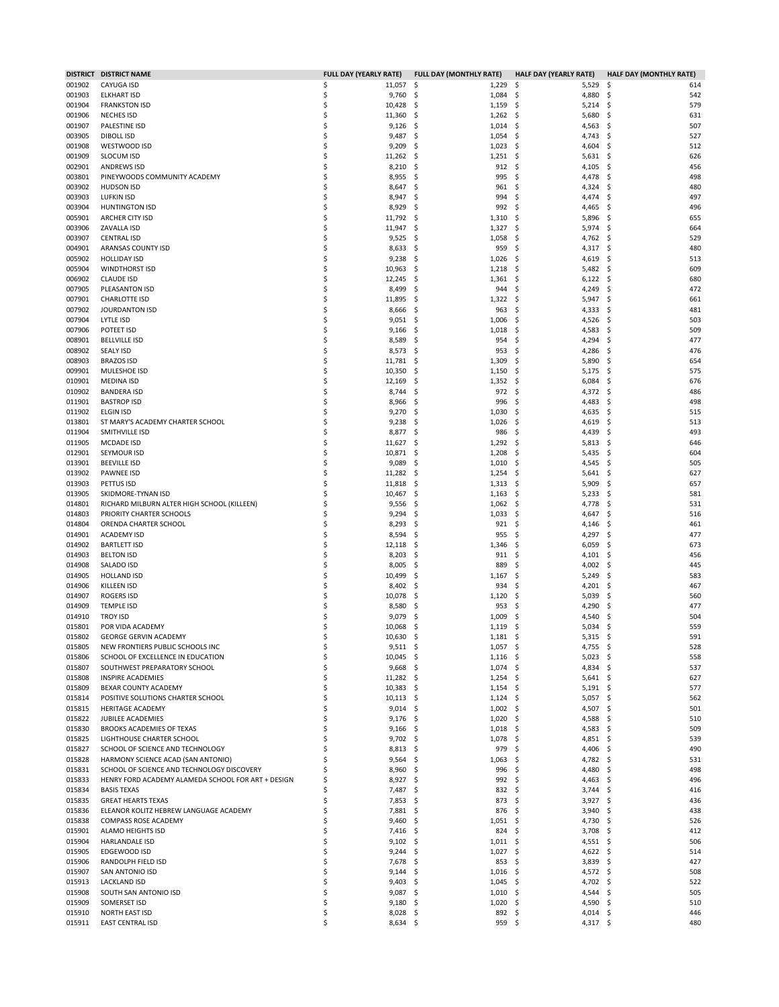|                  | DISTRICT DISTRICT NAME                                   | <b>FULL DAY (YEARLY RATE)</b> |     | <b>FULL DAY (MONTHLY RATE)</b> | <b>HALF DAY (YEARLY RATE)</b>  | <b>HALF DAY (MONTHLY RATE)</b> |
|------------------|----------------------------------------------------------|-------------------------------|-----|--------------------------------|--------------------------------|--------------------------------|
| 001902           | CAYUGA ISD                                               | \$<br>11,057                  | \$, | 1,229                          | \$<br>5,529                    | \$.<br>614                     |
| 001903           | <b>ELKHART ISD</b>                                       | \$<br>9,760                   | \$  | 1,084                          | \$<br>4,880                    | \$<br>542                      |
| 001904           | <b>FRANKSTON ISD</b>                                     | \$<br>10,428                  | \$, | 1,159                          | \$<br>$5,214$ \$               | 579                            |
| 001906           | <b>NECHES ISD</b>                                        | \$<br>11,360                  | \$  | 1,262                          | 5,680<br>\$                    | 631<br>S.                      |
| 001907           | PALESTINE ISD                                            | \$<br>9,126                   | \$  | 1,014                          | \$<br>4,563                    | 507<br>S.                      |
| 003905           | <b>DIBOLL ISD</b>                                        | \$<br>9,487                   | \$  | 1,054                          | \$<br>4,743                    | 527<br>S.                      |
| 001908           | WESTWOOD ISD                                             | 9,209<br>\$                   | \$  | 1,023                          | 4,604<br>\$                    | 512<br>-\$                     |
| 001909           | <b>SLOCUM ISD</b>                                        | \$<br>11,262                  | \$  | 1,251                          | \$<br>5,631                    | \$,<br>626                     |
| 002901           | <b>ANDREWS ISD</b>                                       | \$<br>8,210                   | \$  | 912                            | \$<br>4,105                    | S.<br>456                      |
| 003801           | PINEYWOODS COMMUNITY ACADEMY                             | \$<br>8,955                   | \$  | 995                            | 4,478<br>\$                    | 498<br>-\$                     |
| 003902           | <b>HUDSON ISD</b>                                        | \$<br>8,647                   | \$  | 961                            | \$<br>4,324                    | \$,<br>480                     |
| 003903           | <b>LUFKIN ISD</b>                                        | \$<br>8,947                   | \$  | 994                            | \$<br>4,474                    | 497<br>\$,                     |
| 003904           | <b>HUNTINGTON ISD</b>                                    | \$<br>8,929                   | S   | 992                            | \$<br>4,465                    | S.<br>496                      |
| 005901           | ARCHER CITY ISD                                          | \$<br>11,792                  | \$  | 1,310                          | \$<br>5,896                    | -\$<br>655                     |
| 003906           | ZAVALLA ISD                                              | 11,947<br>\$                  | \$  | 1,327                          | 5,974<br>\$                    | -\$<br>664                     |
| 003907           | <b>CENTRAL ISD</b>                                       | \$<br>9,525                   | \$, | 1,058                          | \$<br>4,762                    | 529<br>S.                      |
| 004901           | ARANSAS COUNTY ISD                                       | \$                            | \$  | 959                            | \$<br>4,317                    | \$,<br>480                     |
|                  |                                                          | 8,633<br>\$<br>9,238          |     |                                | 4,619                          | 513                            |
| 005902           | <b>HOLLIDAY ISD</b>                                      |                               | \$  | 1,026                          | \$                             | -\$                            |
| 005904           | <b>WINDTHORST ISD</b>                                    | \$<br>10,963                  | \$  | 1,218                          | \$<br>5,482                    | -\$<br>609                     |
| 006902           | <b>CLAUDE ISD</b>                                        | \$<br>12,245                  | \$  | 1,361                          | \$<br>6,122                    | \$,<br>680                     |
| 007905           | PLEASANTON ISD                                           | \$<br>8,499                   | \$  | 944                            | 4,249<br>\$                    | 472<br>\$,                     |
| 007901           | <b>CHARLOTTE ISD</b>                                     | \$<br>11,895                  | \$  | 1,322                          | \$<br>5,947                    | -\$<br>661                     |
| 007902           | JOURDANTON ISD                                           | \$<br>8,666                   | \$  | 963                            | \$<br>4,333                    | \$,<br>481                     |
| 007904           | LYTLE ISD                                                | \$<br>9,051                   | \$  | 1,006                          | \$<br>4,526                    | 503<br>Ŝ                       |
| 007906           | POTEET ISD                                               | \$<br>9,166                   | S   | 1,018                          | \$<br>4,583                    | -\$<br>509                     |
| 008901           | <b>BELLVILLE ISD</b>                                     | \$<br>8,589                   | \$  | 954                            | 4,294<br>\$                    | 477<br>\$,                     |
| 008902           | <b>SEALY ISD</b>                                         | \$<br>8,573                   | \$  | 953                            | \$<br>4,286                    | 476<br>Ŝ                       |
| 008903           | <b>BRAZOS ISD</b>                                        | \$<br>11,781                  | \$  | 1,309                          | Ś<br>5,890                     | S.<br>654                      |
| 009901           | MULESHOE ISD                                             | \$<br>10,350                  | \$  | 1,150                          | \$<br>5,175                    | 575<br>\$,                     |
| 010901           | MEDINA ISD                                               | \$<br>12,169                  | \$, | 1,352                          | 6,084<br>\$                    | 676<br>Ŝ                       |
| 010902           | <b>BANDERA ISD</b>                                       | \$<br>8,744                   | \$  | 972                            | \$<br>4,372                    | 486<br>-\$                     |
| 011901           | <b>BASTROP ISD</b>                                       | \$<br>8,966                   | \$  | 996                            | 4,483<br>\$                    | 498<br>-\$                     |
| 011902           | <b>ELGIN ISD</b>                                         | \$<br>9,270                   | \$  | 1,030                          | \$<br>4,635                    | S.<br>515                      |
| 013801           | ST MARY'S ACADEMY CHARTER SCHOOL                         | \$<br>9,238                   | \$  | 1,026                          | \$<br>4,619                    | 513<br>S.                      |
| 011904           | SMITHVILLE ISD                                           | \$<br>8,877                   | \$  | 986                            | \$<br>4,439                    | S.<br>493                      |
| 011905           | <b>MCDADE ISD</b>                                        | \$<br>11,627                  | \$, | 1,292                          | \$<br>5,813                    | -\$<br>646                     |
| 012901           | SEYMOUR ISD                                              | \$<br>10,871                  | \$  | 1,208                          | 5,435<br>\$                    | 604<br>\$,                     |
| 013901           | <b>BEEVILLE ISD</b>                                      | 9,089<br>\$                   | \$, | 1,010                          | \$<br>4,545                    | 505<br>-\$                     |
| 013902           | <b>PAWNEE ISD</b>                                        | \$<br>11,282                  | \$  | 1,254                          | \$<br>5,641                    | 627<br>\$,                     |
| 013903           | PETTUS ISD                                               | \$<br>11,818                  | \$  | 1,313                          | 5,909<br>\$                    | \$,<br>657                     |
| 013905           | SKIDMORE-TYNAN ISD                                       | \$<br>10,467                  | \$, | 1,163                          | \$<br>5,233                    | 581<br>-\$                     |
| 014801           | RICHARD MILBURN ALTER HIGH SCHOOL (KILLEEN)              | \$<br>9,556                   | \$  | 1,062                          | \$<br>4,778                    | \$,<br>531                     |
| 014803           | PRIORITY CHARTER SCHOOLS                                 | 9,294<br>\$                   | \$  | 1,033                          | \$<br>4,647                    | \$,<br>516                     |
| 014804           | ORENDA CHARTER SCHOOL                                    | Ś<br>8,293                    | \$  | 921                            | \$<br>4,146                    | 461<br>-S                      |
| 014901           | <b>ACADEMY ISD</b>                                       | \$<br>8,594                   | \$  | 955                            | \$<br>4,297                    | 477<br>-\$                     |
| 014902           | <b>BARTLETT ISD</b>                                      | \$<br>12,118                  | \$  | 1,346                          | \$<br>6,059                    | S<br>673                       |
| 014903           | <b>BELTON ISD</b>                                        | \$<br>8,203                   | \$, | 911                            | \$<br>4,101                    | 456<br>-\$                     |
| 014908           | SALADO ISD                                               | 8,005<br>\$                   | \$  | 889                            | 4,002<br>\$                    | 445<br>-\$                     |
| 014905           | <b>HOLLAND ISD</b>                                       | \$<br>10,499                  | Ś   | 1,167                          | \$<br>5,249                    | Ŝ<br>583                       |
| 014906           | KILLEEN ISD                                              | \$<br>8,402                   | \$, | 934                            | \$<br>4,201                    | 467<br>-\$                     |
| 014907           | <b>ROGERS ISD</b>                                        | 10,078<br>\$                  | \$, | 1,120                          | 5,039<br>\$                    | 560<br>\$,                     |
| 014909           | TEMPLE ISD                                               | \$<br>8,580                   | S   | 953                            | Ś<br>4,290                     | 477<br>S                       |
| 014910           | <b>TROY ISD</b>                                          | 9,079<br>\$                   | S   | 1,009                          | \$<br>4,540                    | 504                            |
| 015801           | POR VIDA ACADEMY                                         | \$<br>10,068                  | \$, | 1,119                          | 5,034<br>\$                    | 559<br>-\$                     |
| 015802           | <b>GEORGE GERVIN ACADEMY</b>                             | Ś<br>10,630                   | Ŝ   | 1,181                          | Ŝ.<br>$5,315$ \$               | 591                            |
| 015805           | NEW FRONTIERS PUBLIC SCHOOLS INC                         | \$<br>$9,511$ \$              |     | $1,057$ \$                     | 4,755 \$                       | 528                            |
|                  |                                                          | Ś                             |     |                                | $5,023$ \$<br>-\$              | 558                            |
| 015806<br>015807 | SCHOOL OF EXCELLENCE IN EDUCATION                        | 10,045<br>\$                  | -S  | 1,116                          | 4,834 \$                       |                                |
|                  | SOUTHWEST PREPARATORY SCHOOL<br><b>INSPIRE ACADEMIES</b> | 9,668                         | \$, | 1,074                          | \$                             | 537                            |
| 015808           | BEXAR COUNTY ACADEMY                                     | 11,282<br>Ś                   | -\$ | 1,254                          | \$<br>$5,641$ \$<br>$5,191$ \$ | 627                            |
| 015809           |                                                          | 10,383<br>Ś<br>Ś              | -\$ | 1,154                          | \$                             | 577                            |
| 015814           | POSITIVE SOLUTIONS CHARTER SCHOOL                        | 10,113                        | \$. | 1,124                          | \$<br>$5,057$ \$               | 562                            |
| 015815           | <b>HERITAGE ACADEMY</b>                                  | Ś<br>9,014                    | -\$ | $1,002$ \$                     | 4,507 \$                       | 501                            |
| 015822           | JUBILEE ACADEMIES                                        | 9,176<br>Ś                    | -\$ | 1,020                          | 4,588 \$<br>\$.                | 510                            |
| 015830           | BROOKS ACADEMIES OF TEXAS                                | Ś<br>9,166                    | \$, | 1,018                          | \$<br>4,583 \$                 | 509                            |
| 015825           | LIGHTHOUSE CHARTER SCHOOL                                | 9,702<br>\$                   | -\$ | 1,078                          | -\$<br>4,851 \$                | 539                            |
| 015827           | SCHOOL OF SCIENCE AND TECHNOLOGY                         | Ś<br>8,813                    | -S  | 979                            | \$.<br>4,406 \$                | 490                            |
| 015828           | HARMONY SCIENCE ACAD (SAN ANTONIO)                       | \$<br>9,564                   | \$  | 1,063                          | \$<br>4,782 \$                 | 531                            |
| 015831           | SCHOOL OF SCIENCE AND TECHNOLOGY DISCOVERY               | Ś<br>8,960                    | -\$ | 996                            | 4,480<br>\$.                   | -S<br>498                      |
| 015833           | HENRY FORD ACADEMY ALAMEDA SCHOOL FOR ART + DESIGN       | 8,927<br>Ś                    | -\$ | 992                            | \$.<br>4,463 \$                | 496                            |
| 015834           | <b>BASIS TEXAS</b>                                       | \$<br>7,487                   | \$  | 832                            | \$<br>$3,744$ \$               | 416                            |
| 015835           | <b>GREAT HEARTS TEXAS</b>                                | \$<br>7,853                   | -\$ | 873                            | \$.<br>$3,927$ \$              | 436                            |
| 015836           | ELEANOR KOLITZ HEBREW LANGUAGE ACADEMY                   | \$<br>7,881 \$                |     | 876                            | -\$<br>$3,940$ \$              | 438                            |
| 015838           | COMPASS ROSE ACADEMY                                     | 9,460<br>\$                   | \$. | 1,051                          | \$<br>4,730                    | -\$<br>526                     |
| 015901           | ALAMO HEIGHTS ISD                                        | \$<br>7,416                   | -\$ | 824                            | 3,708 \$<br>-S                 | 412                            |
| 015904           | HARLANDALE ISD                                           | Ś<br>9,102                    | -\$ | 1,011                          | \$<br>4,551 \$                 | 506                            |
| 015905           | EDGEWOOD ISD                                             | \$<br>9,244                   | \$. | 1,027                          | \$<br>4,622 \$                 | 514                            |
| 015906           | RANDOLPH FIELD ISD                                       | \$<br>7,678                   | -S  | $853 \quad $$                  | $3,839$ \$                     | 427                            |
| 015907           | SAN ANTONIO ISD                                          | 9,144<br>Ś                    | -\$ | 1,016                          | \$<br>4,572 \$                 | 508                            |
| 015913           | <b>LACKLAND ISD</b>                                      | \$<br>9,403                   | \$, | 1,045                          | \$<br>4,702                    | -S<br>522                      |
| 015908           | SOUTH SAN ANTONIO ISD                                    | \$<br>9,087                   | -\$ | 1,010                          | 4,544 \$<br>-S                 | 505                            |
| 015909           | SOMERSET ISD                                             | \$<br>9,180                   | -\$ | 1,020                          | \$<br>4,590 \$                 | 510                            |
| 015910           | NORTH EAST ISD                                           | \$<br>8,028                   | -\$ | 892                            | 4,014 \$<br>\$.                | 446                            |
| 015911           | <b>EAST CENTRAL ISD</b>                                  | \$<br>$8,634$ \$              |     | $959 \quad $$                  | 4,317 \$                       | 480                            |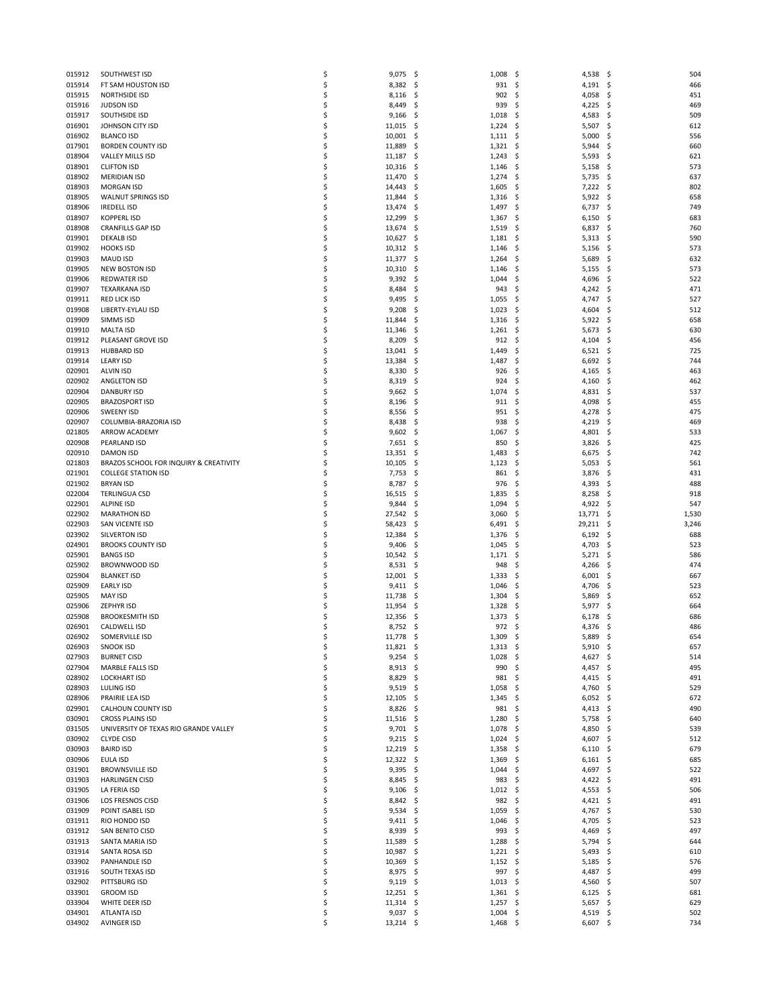| 015912           | SOUTHWEST ISD                          | \$ | 9,075             | - \$<br>1,008     | \$<br>4,538 \$     | 504              |
|------------------|----------------------------------------|----|-------------------|-------------------|--------------------|------------------|
| 015914           | FT SAM HOUSTON ISD                     | \$ | 8,382 \$          | 931               | $4,191$ \$<br>\$   | 466              |
| 015915           | <b>NORTHSIDE ISD</b>                   | \$ | $8,116$ \$        | 902               | \$,<br>4,058       | 451<br>S         |
| 015916           | <b>JUDSON ISD</b>                      | \$ | 8,449             | -\$<br>939        | \$<br>4,225        | \$<br>469        |
| 015917           | SOUTHSIDE ISD                          | \$ | 9,166             | - \$<br>1,018     | \$<br>4,583        | 509<br>\$.       |
| 016901           | JOHNSON CITY ISD                       | \$ | $11,015$ \$       | 1,224             | \$<br>5,507        | 612<br>S         |
| 016902           | <b>BLANCO ISD</b>                      | \$ | 10,001            | -\$<br>1,111      | 5,000<br>\$        | \$<br>556        |
| 017901           | <b>BORDEN COUNTY ISD</b>               | \$ | 11,889            | -\$<br>1,321      | \$<br>5,944        | 660<br>\$,       |
| 018904           | VALLEY MILLS ISD                       | \$ | $11,187$ \$       | 1,243             | \$<br>5,593        | \$<br>621        |
| 018901           | <b>CLIFTON ISD</b>                     | \$ | 10,316            | 1,146<br>-\$      | \$<br>5,158        | 573<br>\$        |
| 018902           | <b>MERIDIAN ISD</b>                    | \$ | 11,470            | -\$<br>1,274      | \$<br>5,735        | 637<br>\$,       |
| 018903           | <b>MORGAN ISD</b>                      | \$ | 14,443            | -\$<br>1,605      | \$<br>7,222        | \$<br>802        |
| 018905           | <b>WALNUT SPRINGS ISD</b>              | \$ | 11,844            | 1,316<br>-\$      | 5,922<br>\$        | 658<br>\$.       |
| 018906           | <b>IREDELL ISD</b>                     | \$ | 13,474            | -\$<br>1,497      | \$<br>6,737        | 749<br>\$,       |
| 018907           | <b>KOPPERLISD</b>                      | \$ | 12,299            | \$.<br>1,367      | \$<br>6,150        | \$<br>683        |
| 018908           | <b>CRANFILLS GAP ISD</b>               | \$ | 13,674            | 1,519             | \$<br>6,837        | 760<br>S         |
|                  |                                        |    |                   | -\$               |                    |                  |
| 019901           | <b>DEKALB ISD</b>                      | \$ | 10,627            | -\$<br>1,181      | \$<br>5,313        | 590<br>\$,       |
| 019902           | <b>HOOKS ISD</b>                       | \$ | $10,312 \quad$ \$ | 1,146             | \$<br>5,156        | \$<br>573        |
| 019903           | <b>MAUD ISD</b>                        | \$ | 11,377            | -\$<br>1,264      | 5,689<br>\$.       | 632<br>S         |
| 019905           | <b>NEW BOSTON ISD</b>                  | \$ | 10,310            | -\$<br>1,146      | \$<br>5,155        | 573<br>\$,       |
| 019906           | <b>REDWATER ISD</b>                    | \$ | 9,392             | -\$<br>1,044      | \$<br>4,696        | \$<br>522        |
| 019907           | TEXARKANA ISD                          | \$ | 8,484             | -\$<br>943        | 4,242<br>\$,       | 471<br>S         |
| 019911           | <b>RED LICK ISD</b>                    | \$ | 9,495             | -\$<br>1,055      | \$<br>4,747        | 527<br>\$,       |
| 019908           | LIBERTY-EYLAU ISD                      | \$ | 9,208             | \$.<br>1,023      | \$<br>4,604        | \$<br>512        |
| 019909           | <b>SIMMS ISD</b>                       | \$ | 11,844            | 1,316<br>-\$      | 5,922<br>-\$       | 658<br>\$,       |
| 019910           | <b>MALTA ISD</b>                       | \$ | 11,346            | -\$<br>1,261      | \$<br>5,673        | 630<br>\$,       |
| 019912           | PLEASANT GROVE ISD                     | \$ | 8,209             | \$<br>912         | \$<br>4,104        | Ś<br>456         |
| 019913           | <b>HUBBARD ISD</b>                     | \$ | $13,041$ \$       | 1,449             | 6,521<br>\$,       | 725<br>-\$       |
| 019914           | <b>LEARY ISD</b>                       | \$ | 13,384            | \$.<br>1,487      | \$<br>6,692        | 744<br>\$,       |
| 020901           | <b>ALVIN ISD</b>                       | \$ | 8,330             | \$.<br>926        | \$<br>4,165        | \$<br>463        |
| 020902           | ANGLETON ISD                           | \$ | $8,319$ \$        | 924               | 4,160<br>\$,       | 462<br>\$,       |
| 020904           | <b>DANBURY ISD</b>                     | \$ | $9,662$ \$        | 1,074             | \$<br>4,831        | 537<br>\$,       |
| 020905           | <b>BRAZOSPORT ISD</b>                  | \$ | 8,196             | \$.<br>911        | \$<br>4,098        | 455<br>S         |
| 020906           | <b>SWEENY ISD</b>                      | \$ | $8,556$ \$        | 951               | \$<br>4,278        | 475<br>\$,       |
| 020907           | COLUMBIA-BRAZORIA ISD                  | \$ | 8,438             | -\$<br>938        | \$<br>4,219        | 469<br>\$,       |
| 021805           | ARROW ACADEMY                          | \$ | 9,602             | -\$<br>1,067      | \$<br>4,801        | \$<br>533        |
| 020908           | PEARLAND ISD                           | \$ | $7,651$ \$        | 850               | 3,826<br>\$.       | 425<br>\$,       |
|                  |                                        | \$ |                   |                   |                    |                  |
| 020910           | <b>DAMON ISD</b>                       |    | 13,351            | -\$<br>1,483      | \$<br>6,675        | 742<br>S         |
| 021803           | BRAZOS SCHOOL FOR INQUIRY & CREATIVITY | \$ | 10,105            | -\$<br>1,123      | \$<br>5,053        | 561<br>\$.       |
| 021901           | <b>COLLEGE STATION ISD</b>             | \$ | $7,753$ \$        | 861               | \$<br>3,876        | 431<br>\$,       |
| 021902           | <b>BRYAN ISD</b>                       | \$ | 8,787             | 976<br>-\$        | \$<br>4,393        | 488<br>S         |
|                  |                                        |    |                   |                   |                    | 918<br>\$,       |
| 022004           | <b>TERLINGUA CSD</b>                   | \$ | 16,515            | -\$<br>1,835      | \$<br>8,258        |                  |
| 022901           | <b>ALPINE ISD</b>                      | \$ | 9,844             | 1,094<br>-\$      | 4,922<br>\$        | \$<br>547        |
| 022902           | <b>MARATHON ISD</b>                    | \$ | 27,542            | 3,060<br>-\$      | 13,771<br>\$.      | 1,530<br>S       |
| 022903           | SAN VICENTE ISD                        | \$ | 58,423            | -\$<br>6,491      | \$<br>29,211       | \$<br>3,246      |
| 023902           | SILVERTON ISD                          | \$ | 12,384            | 1,376<br>-\$      | 6,192<br>\$.       | 688<br>\$.       |
| 024901           | <b>BROOKS COUNTY ISD</b>               | \$ | 9,406             | - \$<br>1,045     | \$<br>4,703        | 523<br>S         |
| 025901           | <b>BANGS ISD</b>                       | \$ | 10,542            | -\$<br>1,171      | \$<br>5,271        | 586<br>\$.       |
| 025902           | <b>BROWNWOOD ISD</b>                   | \$ | 8,531             | 948<br>- \$       | \$<br>4,266        | 474<br>\$,       |
| 025904           | <b>BLANKET ISD</b>                     | \$ | $12,001$ \$       | 1,333             | 6,001<br>\$.       | 667<br>S         |
| 025909           | <b>EARLY ISD</b>                       | \$ | 9,411             | -\$<br>1,046      | \$<br>4,706        | 523<br>\$.       |
| 025905           | <b>MAY ISD</b>                         | \$ | 11,738            | 1,304<br>-\$      | 5,869<br>\$.       | 652<br>\$,       |
| 025906           | <b>ZEPHYR ISD</b>                      | \$ | 11,954            | 1,328<br>-\$      | 5,977<br>\$.       | 664<br>S         |
| 025908           | <b>BROOKESMITH ISD</b>                 | \$ | 12,356            | 1,373<br>-\$      | \$<br>6,178        | 686<br>S         |
| 026901           | CALDWELL ISD                           | \$ | 8,752             | 972<br>- \$       | \$<br>4,376        | 486<br>\$.       |
|                  |                                        | Ś  |                   |                   | \$                 |                  |
| 026902<br>026903 | SOMERVILLE ISD                         |    | 11,778            | 1,309<br>\$       | 5,889              | \$<br>654<br>657 |
|                  | <b>SNOOK ISD</b>                       | \$ | $11,821$ \$       | 1,313             | - \$<br>$5,910$ \$ |                  |
| 027903           | <b>BURNET CISD</b>                     | \$ | $9,254$ \$        | 1,028             | \$<br>4,627 \$     | 514              |
| 027904           | MARBLE FALLS ISD                       | \$ | $8,913$ \$        | 990               | \$<br>4,457 \$     | 495              |
| 028902           | <b>LOCKHART ISD</b>                    | \$ | 8,829             | 981<br>- \$       | \$<br>4,415        | \$.<br>491       |
| 028903           | LULING ISD                             | \$ | $9,519$ \$        | 1,058             | \$<br>4,760        | - \$<br>529      |
| 028906           | PRAIRIE LEA ISD                        | \$ | $12,105$ \$       | 1,345             | \$<br>6,052        | \$<br>672        |
| 029901           | CALHOUN COUNTY ISD                     | \$ | 8,826             | 981<br>- Ş        | \$<br>4,413        | \$.<br>490       |
| 030901           | <b>CROSS PLAINS ISD</b>                | \$ | $11,516$ \$       | 1,280             | \$<br>5,758        | - \$<br>640      |
| 031505           | UNIVERSITY OF TEXAS RIO GRANDE VALLEY  | \$ | $9,701$ \$        | 1,078             | \$<br>4,850        | 539<br>\$        |
| 030902           | <b>CLYDE CISD</b>                      | \$ | $9,215$ \$        | 1,024             | 4,607<br>\$,       | 512<br>\$.       |
| 030903           | <b>BAIRD ISD</b>                       | \$ | $12,219$ \$       | 1,358             | \$<br>6,110        | \$.<br>679       |
| 030906           | EULA ISD                               | \$ | $12,322 \quad$ \$ | 1,369             | \$<br>6,161        | \$<br>685        |
| 031901           | <b>BROWNSVILLE ISD</b>                 | \$ | 9,395             | - \$<br>1,044     | \$<br>4,697        | \$<br>522        |
| 031903           | <b>HARLINGEN CISD</b>                  | \$ | 8,845 \$          | 983               | \$<br>4,422 \$     | 491              |
| 031905           | LA FERIA ISD                           | \$ | $9,106$ \$        | 1,012             | \$<br>4,553        | \$<br>506        |
| 031906           | LOS FRESNOS CISD                       | \$ | $8,842$ \$        | 982               | \$<br>4,421        | 491<br>-\$       |
| 031909           | POINT ISABEL ISD                       | \$ | $9,534$ \$        | 1,059             | \$<br>4,767        | \$<br>530        |
| 031911           | RIO HONDO ISD                          | \$ | 9,411             | -\$<br>1,046      | \$<br>4,705        | \$<br>523        |
| 031912           | SAN BENITO CISD                        | \$ | $8,939$ \$        | 993               | \$<br>4,469        | \$<br>497        |
| 031913           | SANTA MARIA ISD                        | \$ | 11,589            | -\$<br>1,288      | \$<br>5,794        | \$<br>644        |
| 031914           | SANTA ROSA ISD                         | \$ | 10,987            | 1,221<br>Ş        | \$<br>5,493        | \$<br>610        |
| 033902           | PANHANDLE ISD                          | \$ | 10,369            | $1,152$ \$<br>-\$ | 5,185              | 576<br>\$        |
| 031916           | SOUTH TEXAS ISD                        | \$ | 8,975 \$          | 997               | \$<br>4,487        | 499<br>\$        |
| 032902           | PITTSBURG ISD                          | \$ | 9,119             | - \$<br>1,013     | \$<br>4,560        | \$<br>507        |
| 033901           | <b>GROOM ISD</b>                       | \$ | $12,251$ \$       | $1,361$ \$        | 6,125              | 681<br>Ş         |
| 033904           | WHITE DEER ISD                         | \$ | $11,314$ \$       | $1,257$ \$        | $5,657$ \$         | 629              |
| 034901           | ATLANTA ISD                            | \$ | $9,037$ \$        | 1,004             | \$<br>4,519 \$     | 502              |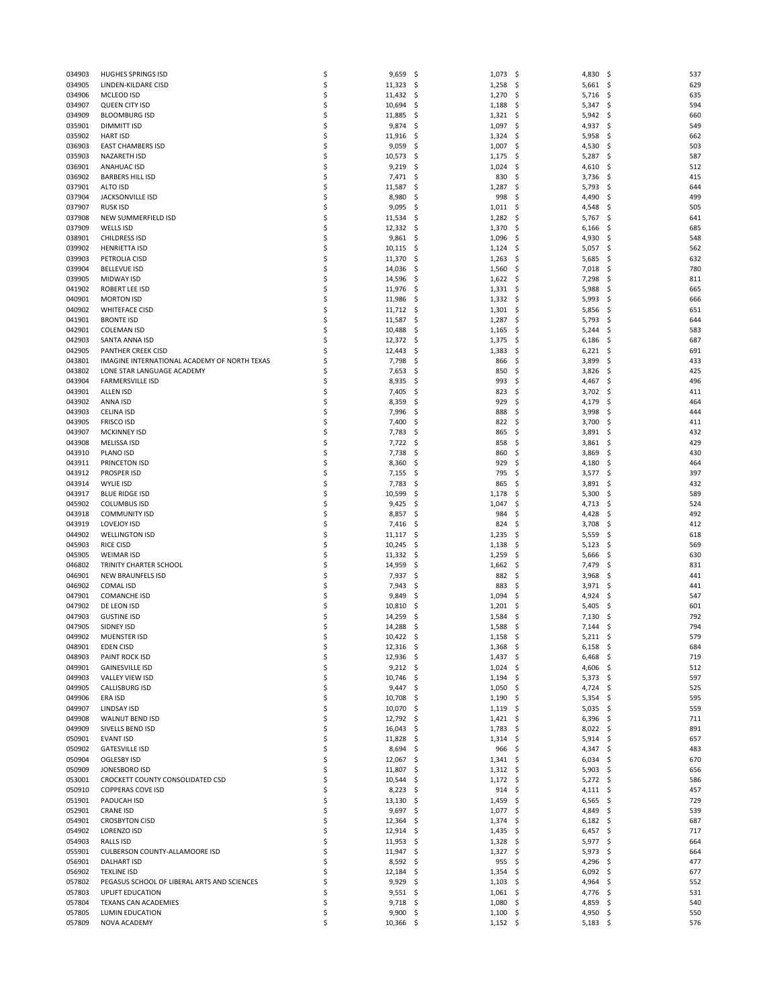| 034903           | <b>HUGHES SPRINGS ISD</b>                                         | \$       | 9,659                   | -\$        | 1,073               | \$        | 4,830          | -\$        | 537        |
|------------------|-------------------------------------------------------------------|----------|-------------------------|------------|---------------------|-----------|----------------|------------|------------|
| 034905           | LINDEN-KILDARE CISD                                               | \$       | 11,323                  | -\$        | 1,258               | \$        | 5,661          | -\$        | 629        |
| 034906           | MCLEOD ISD                                                        | \$       | 11,432                  | -\$        | 1,270               | \$        | 5,716          | \$.        | 635        |
| 034907<br>034909 | QUEEN CITY ISD<br><b>BLOOMBURG ISD</b>                            | \$<br>\$ | 10,694<br>11,885        | \$<br>-\$  | 1,188<br>1,321      | \$<br>\$  | 5,347<br>5,942 | \$<br>.s   | 594<br>660 |
| 035901           | <b>DIMMITT ISD</b>                                                | \$       | 9,874                   | -\$        | 1,097               | \$        | 4,937          | \$         | 549        |
| 035902           | <b>HART ISD</b>                                                   | \$       | 11,916                  | -\$        | 1,324               | \$        | 5,958          | \$         | 662        |
| 036903           | <b>EAST CHAMBERS ISD</b>                                          | \$       | 9,059                   | \$         | 1,007               | \$        | 4,530          | S          | 503        |
| 035903           | <b>NAZARETH ISD</b>                                               | \$       | 10,573                  | \$.        | 1,175               | \$        | 5,287          | \$         | 587        |
| 036901           | <b>ANAHUAC ISD</b>                                                | \$       | 9,219                   | -\$        | 1,024               | \$        | 4,610          | \$         | 512        |
| 036902           | <b>BARBERS HILL ISD</b>                                           | \$       | 7,471                   | -\$        | 830                 | \$        | 3,736          | S          | 415        |
| 037901           | ALTO ISD                                                          | \$       | 11,587                  | \$         | 1,287               | \$        | 5,793          | Ś          | 644        |
| 037904<br>037907 | JACKSONVILLE ISD<br><b>RUSK ISD</b>                               | \$<br>\$ | 8,980                   | \$         | 998                 | \$        | 4,490          | \$.<br>S   | 499<br>505 |
| 037908           | NEW SUMMERFIELD ISD                                               | \$       | 9,095<br>11,534         | -\$<br>\$  | 1,011<br>1,282      | \$<br>\$  | 4,548<br>5,767 | \$         | 641        |
| 037909           | WELLS ISD                                                         | \$       | 12,332                  | -\$        | 1,370               | \$        | 6,166          | S          | 685        |
| 038901           | <b>CHILDRESS ISD</b>                                              | \$       | $9,861$ \$              |            | 1,096               | \$        | 4,930          | S          | 548        |
| 039902           | <b>HENRIETTA ISD</b>                                              | \$       | 10,115                  | -\$        | 1,124               | \$        | 5,057          | \$         | 562        |
| 039903           | PETROLIA CISD                                                     | \$       | 11,370                  | \$.        | 1,263               | \$.       | 5,685          | \$.        | 632        |
| 039904           | <b>BELLEVUE ISD</b>                                               | \$       | 14,036                  | -\$        | 1,560               | \$        | 7,018          | S          | 780        |
| 039905           | <b>MIDWAY ISD</b>                                                 | \$       | 14,596                  | -\$        | 1,622               | \$        | 7,298          | \$         | 811        |
| 041902           | ROBERT LEE ISD                                                    | \$       | 11,976                  | -\$        | 1,331               | \$.       | 5,988          | S          | 665        |
| 040901<br>040902 | <b>MORTON ISD</b><br><b>WHITEFACE CISD</b>                        | \$<br>\$ | 11,986<br>11,712        | -\$<br>-\$ | 1,332<br>1,301      | \$<br>\$  | 5,993<br>5,856 | S<br>\$    | 666<br>651 |
| 041901           | <b>BRONTE ISD</b>                                                 | \$       | 11,587                  | -\$        | 1,287               | \$,       | 5,793          | S          | 644        |
| 042901           | <b>COLEMAN ISD</b>                                                | \$       | 10,488                  | -\$        | 1,165               | \$        | 5,244          | S          | 583        |
| 042903           | SANTA ANNA ISD                                                    | \$       | 12,372                  | \$.        | 1,375               | \$        | 6,186          | \$         | 687        |
| 042905           | <b>PANTHER CREEK CISD</b>                                         | Ś        | 12,443                  | -\$        | 1,383               | \$        | 6,221          | S          | 691        |
| 043801           | IMAGINE INTERNATIONAL ACADEMY OF NORTH TEXAS                      | \$       | 7,798                   | -\$        | 866                 | \$        | 3,899          | S          | 433        |
| 043802           | LONE STAR LANGUAGE ACADEMY                                        | \$       | 7,653                   | \$         | 850                 | \$        | 3,826          | \$         | 425        |
| 043904           | <b>FARMERSVILLE ISD</b>                                           | Ś        | 8,935                   | -\$        | 993                 | \$        | 4,467          | S          | 496        |
| 043901<br>043902 | <b>ALLEN ISD</b><br>ANNA ISD                                      | \$<br>\$ | 7,405<br>8,359          | -\$<br>\$  | 823<br>929          | \$<br>\$  | 3,702<br>4,179 | \$<br>\$   | 411<br>464 |
| 043903           | <b>CELINA ISD</b>                                                 | \$       | 7,996                   | \$.        | 888                 | \$        | 3,998          | S          | 444        |
| 043905           | <b>FRISCO ISD</b>                                                 | \$       | 7,400                   | \$         | 822                 | \$        | 3,700          | S          | 411        |
| 043907           | <b>MCKINNEY ISD</b>                                               | \$       | 7,783                   | \$.        | 865                 | \$        | 3,891          | \$         | 432        |
| 043908           | MELISSA ISD                                                       | \$       | 7,722 \$                |            | 858                 | \$        | 3,861          | \$.        | 429        |
| 043910           | PLANO ISD                                                         | \$       | 7,738                   | \$         | 860                 | \$        | 3,869          | S          | 430        |
| 043911           | PRINCETON ISD                                                     | \$       | 8,360                   | \$         | 929                 | \$        | 4,180          | S          | 464        |
| 043912           | <b>PROSPER ISD</b>                                                | \$       | 7,155                   | -\$        | 795                 | \$        | 3,577          | \$         | 397        |
| 043914           | <b>WYLIE ISD</b>                                                  | \$       | 7,783                   | \$         | 865                 | \$        | 3,891          | S          | 432        |
| 043917<br>045902 | <b>BLUE RIDGE ISD</b><br><b>COLUMBUS ISD</b>                      | \$<br>\$ | 10,599<br>9,425         | \$.<br>-\$ | 1,178<br>1,047      | \$<br>\$  | 5,300<br>4,713 | S<br>\$.   | 589<br>524 |
| 043918           | <b>COMMUNITY ISD</b>                                              | \$       | 8,857                   | \$.        | 984                 | \$        | 4,428          | S          | 492        |
| 043919           | LOVEJOY ISD                                                       | \$       | 7,416                   | -\$        | 824                 | \$        | 3,708          | \$         | 412        |
| 044902           | <b>WELLINGTON ISD</b>                                             | \$       | 11,117                  | -\$        | 1,235               | \$        | 5,559          | \$.        | 618        |
| 045903           | <b>RICE CISD</b>                                                  | \$       | 10,245                  | -\$        | 1,138               | \$        | 5,123          | S          | 569        |
| 045905           | <b>WEIMAR ISD</b>                                                 | \$       | 11,332                  | -\$        | 1,259               | \$        | 5,666          | \$         | 630        |
| 046802           | TRINITY CHARTER SCHOOL                                            | \$       | 14,959                  | -\$        | 1,662               | \$        | 7,479          | S          | 831        |
| 046901           | NEW BRAUNFELS ISD                                                 | \$       | 7,937                   | -\$        | 882                 | \$        | 3,968          | S          | 441        |
| 046902           | <b>COMAL ISD</b>                                                  | \$<br>\$ | 7,943                   | \$         | 883                 | \$        | 3,971          | \$         | 441        |
| 047901<br>047902 | <b>COMANCHE ISD</b><br>DE LEON ISD                                | \$       | 9,849<br>10,810         | \$.<br>-\$ | 1,094<br>1,201      | \$<br>\$. | 4,924<br>5,405 | S<br>S     | 547<br>601 |
| 047903           | <b>GUSTINE ISD</b>                                                | \$       | 14,259                  | Ş          | 1,584               | \$        | 7,130          | S          | 792        |
| 047905           | SIDNEY ISD                                                        | \$       | 14,288                  | \$.        | 1,588               | \$        | 7,144          | .s         | 794        |
| 049902           | MUENSTER ISD                                                      | Ś        | 10,422                  | \$         | 1,158               | \$        | 5,211          | \$         | 579        |
| 048901           | <b>EDEN CISD</b>                                                  | \$       | $12,316$ \$             |            | 1,368               | \$        | $6,158$ \$     |            | 684        |
| 048903           | PAINT ROCK ISD                                                    | \$       | $12,936$ \$             |            | 1,437               | \$        | 6,468          | -S         | 719        |
| 049901           | <b>GAINESVILLE ISD</b>                                            | \$       | $9,212$ \$              |            | 1,024               | \$        | 4,606          | \$.        | 512        |
| 049903           | VALLEY VIEW ISD                                                   | \$       | 10,746                  | - \$       | 1,194               | \$        | 5,373          | \$.        | 597        |
| 049905<br>049906 | <b>CALLISBURG ISD</b><br>ERA ISD                                  | \$<br>\$ | $9,447$ \$<br>10,708 \$ |            | 1,050<br>1,190      | \$<br>\$  | 4,724<br>5,354 | \$.<br>\$. | 525<br>595 |
| 049907           | LINDSAY ISD                                                       | \$       | 10,070                  | -\$        | 1,119               | \$        | 5,035          | \$.        | 559        |
| 049908           | WALNUT BEND ISD                                                   | \$       | 12,792 \$               |            | 1,421               | - \$      | 6,396          | .s         | 711        |
| 049909           | SIVELLS BEND ISD                                                  | \$       | 16,043                  | -\$        | 1,783               | \$        | 8,022          | \$.        | 891        |
| 050901           | <b>EVANT ISD</b>                                                  | \$       | 11,828                  | -\$        | 1,314               | \$        | 5,914          | \$         | 657        |
| 050902           | <b>GATESVILLE ISD</b>                                             | \$       | $8,694$ \$              |            | 966                 | -\$       | 4,347          | \$.        | 483        |
| 050904           | OGLESBY ISD                                                       | \$       | 12,067 \$               |            | 1,341               | \$        | 6,034          | \$.        | 670        |
| 050909           | JONESBORO ISD                                                     | \$       | 11,807                  | -\$        | 1,312               | - \$      | 5,903          | \$.        | 656        |
| 053001<br>050910 | CROCKETT COUNTY CONSOLIDATED CSD<br><b>COPPERAS COVE ISD</b>      | \$<br>\$ | 10,544                  | -\$<br>-\$ | $1,172$ \$<br>914   | \$        | 5,272<br>4,111 | \$.<br>\$. | 586<br>457 |
| 051901           | PADUCAH ISD                                                       | \$       | 8,223<br>$13,130$ \$    |            | 1,459               | \$        | 6,565          | .s         | 729        |
| 052901           | <b>CRANE ISD</b>                                                  | \$       | $9,697$ \$              |            | $1,077$ \$          |           | 4,849          | \$.        | 539        |
| 054901           | <b>CROSBYTON CISD</b>                                             | \$       | 12,364                  | \$         | 1,374               | \$        | 6,182          | \$.        | 687        |
| 054902           | LORENZO ISD                                                       | \$       | 12,914                  | -\$        | 1,435               | \$        | 6,457          | \$.        | 717        |
| 054903           | RALLS ISD                                                         | \$       | $11,953$ \$             |            | 1,328               | -\$       | $5,977$ \$     |            | 664        |
| 055901           | CULBERSON COUNTY-ALLAMOORE ISD                                    | \$       | 11,947                  | -\$        | 1,327               | \$        | 5,973          | \$.        | 664        |
| 056901           | <b>DALHART ISD</b>                                                | \$       | $8,592$ \$              |            | 955                 | \$        | 4,296          | \$.        | 477        |
| 056902<br>057802 | <b>TEXLINE ISD</b><br>PEGASUS SCHOOL OF LIBERAL ARTS AND SCIENCES | \$<br>\$ | 12,184                  | -\$        | 1,354               | \$        | 6,092          | \$<br>\$   | 677<br>552 |
| 057803           | UPLIFT EDUCATION                                                  | \$       | 9,929<br>$9,551$ \$     | -\$        | 1,103<br>$1,061$ \$ | \$        | 4,964<br>4,776 | \$.        | 531        |
| 057804           | TEXANS CAN ACADEMIES                                              | \$       | $9,718$ \$              |            | 1,080               | \$.       | 4,859          | \$.        | 540        |
| 057805           | LUMIN EDUCATION                                                   | \$       | 9,900                   | -\$        | 1,100               | \$        | 4,950          | \$.        | 550        |
| 057809           | NOVA ACADEMY                                                      | \$       | 10,366 \$               |            | $1,152$ \$          |           | $5,183$ \$     |            | 576        |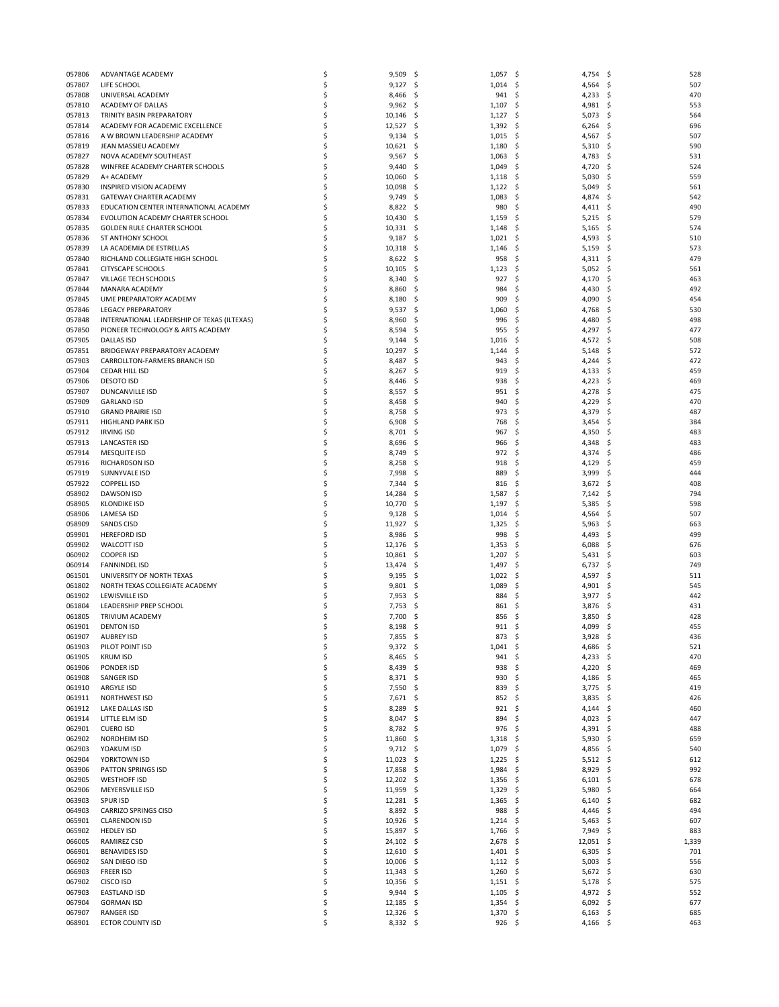| 057806 | ADVANTAGE ACADEMY                           | \$ | 9,509      | -\$          | $1,057$ \$ |      | 4,754 \$   |      | 528   |
|--------|---------------------------------------------|----|------------|--------------|------------|------|------------|------|-------|
| 057807 | LIFE SCHOOL                                 | \$ | 9,127      | -\$          | 1,014      | - \$ | 4,564      | S.   | 507   |
| 057808 | UNIVERSAL ACADEMY                           | \$ | 8,466      | -\$          | 941        | \$   | 4,233      | S    | 470   |
| 057810 | ACADEMY OF DALLAS                           | \$ | 9,962      | -\$          | 1,107      | \$   | 4,981      | \$,  | 553   |
|        |                                             | \$ |            |              |            |      | 5,073      | \$   |       |
| 057813 | TRINITY BASIN PREPARATORY                   |    | 10,146     | -\$          | 1,127      | -\$  |            |      | 564   |
| 057814 | ACADEMY FOR ACADEMIC EXCELLENCE             | \$ | 12,527     | -\$          | 1,392      | -\$  | 6,264      | S    | 696   |
| 057816 | A W BROWN LEADERSHIP ACADEMY                | \$ | 9,134      | -\$          | 1,015      | \$   | 4,567      | \$,  | 507   |
| 057819 | JEAN MASSIEU ACADEMY                        | \$ | 10,621     | -\$          | 1,180      | -\$  | 5,310      | S    | 590   |
| 057827 | NOVA ACADEMY SOUTHEAST                      | \$ | 9,567      | -S           | 1,063      | -\$  | 4,783      | S    | 531   |
| 057828 | WINFREE ACADEMY CHARTER SCHOOLS             | \$ | 9,440      | -\$          | 1,049      | \$   | 4,720      | S    | 524   |
| 057829 | A+ ACADEMY                                  | \$ | 10,060     | \$.          | 1,118      | -\$  | 5,030      | S    | 559   |
| 057830 | INSPIRED VISION ACADEMY                     | \$ | 10,098     | -S           | 1,122      | -\$  | 5,049      | S    | 561   |
| 057831 | GATEWAY CHARTER ACADEMY                     | \$ | 9,749      | -\$          | 1,083      | \$   | 4,874      | S    | 542   |
| 057833 | EDUCATION CENTER INTERNATIONAL ACADEMY      | \$ | 8,822      | -\$          | 980        | \$   | 4,411      | S    | 490   |
| 057834 | EVOLUTION ACADEMY CHARTER SCHOOL            | \$ | 10,430     | -\$          | 1,159      | \$   | 5,215      | S    | 579   |
|        |                                             |    |            |              |            |      |            |      |       |
| 057835 | <b>GOLDEN RULE CHARTER SCHOOL</b>           | \$ | 10,331     | -\$          | 1,148      | \$   | 5,165      | \$   | 574   |
| 057836 | ST ANTHONY SCHOOL                           | Ś  | 9,187      | -\$          | 1,021      | \$   | 4,593      | S    | 510   |
| 057839 | LA ACADEMIA DE ESTRELLAS                    | Ś  | 10,318     | -\$          | 1,146      | \$   | 5,159      | S    | 573   |
| 057840 | RICHLAND COLLEGIATE HIGH SCHOOL             | \$ | 8,622      | -\$          | 958        | \$   | 4,311      | \$,  | 479   |
| 057841 | <b>CITYSCAPE SCHOOLS</b>                    | \$ | 10,105     | -\$          | 1,123      | \$   | 5,052      | S    | 561   |
| 057847 | VILLAGE TECH SCHOOLS                        | \$ | 8,340      | -\$          | 927        | \$   | 4,170      | S    | 463   |
| 057844 | MANARA ACADEMY                              | \$ | 8,860      | -\$          | 984        | \$   | 4,430      | Ş    | 492   |
| 057845 | UME PREPARATORY ACADEMY                     | Ś  | 8,180      | -S           | 909        | \$   | 4,090      | S    | 454   |
| 057846 | <b>LEGACY PREPARATORY</b>                   | Ś  | 9,537      | $\mathsf{S}$ | 1,060      | \$   | 4,768      | S    | 530   |
| 057848 | INTERNATIONAL LEADERSHIP OF TEXAS (ILTEXAS) | \$ | 8,960      | \$.          | 996        | \$   | 4,480      | S    | 498   |
|        | PIONEER TECHNOLOGY & ARTS ACADEMY           |    |            |              |            |      |            |      |       |
| 057850 |                                             | \$ | 8,594      | -\$          | 955        | \$   | 4,297      | S    | 477   |
| 057905 | <b>DALLAS ISD</b>                           | \$ | 9,144      | \$           | 1,016      | \$   | 4,572      | \$   | 508   |
| 057851 | BRIDGEWAY PREPARATORY ACADEMY               | \$ | 10,297     | \$.          | 1,144      | \$   | 5,148      | S    | 572   |
| 057903 | CARROLLTON-FARMERS BRANCH ISD               | Ś  | 8,487      | -\$          | 943        | \$   | 4,244      | S    | 472   |
| 057904 | CEDAR HILL ISD                              | \$ | 8,267      | \$           | 919        | \$   | 4,133      | \$   | 459   |
| 057906 | <b>DESOTO ISD</b>                           | \$ | 8,446      | \$.          | 938        | \$,  | 4,223      | S    | 469   |
| 057907 | DUNCANVILLE ISD                             | \$ | 8,557      | -\$          | 951        | \$   | 4,278      | S    | 475   |
| 057909 | <b>GARLAND ISD</b>                          | \$ | 8,458      | \$           | 940        | \$   | 4,229      | \$   | 470   |
| 057910 | <b>GRAND PRAIRIE ISD</b>                    | \$ | 8,758      | -\$          | 973        | \$   | 4,379      | S    | 487   |
|        |                                             |    |            |              |            |      |            |      |       |
| 057911 | <b>HIGHLAND PARK ISD</b>                    | \$ | 6,908      | -\$          | 768        | \$   | 3,454      | S    | 384   |
| 057912 | <b>IRVING ISD</b>                           | \$ | 8,701      | \$           | 967        | \$   | 4,350      | S    | 483   |
| 057913 | LANCASTER ISD                               | \$ | 8,696      | -\$          | 966        | \$   | 4,348      | S    | 483   |
| 057914 | <b>MESQUITE ISD</b>                         | \$ | 8,749      | \$           | 972        | \$   | 4,374      | S    | 486   |
| 057916 | RICHARDSON ISD                              | \$ | 8,258      | \$.          | 918        | \$   | 4,129      | S    | 459   |
| 057919 | SUNNYVALE ISD                               | \$ | 7,998      | -\$          | 889        | \$   | 3,999      | S    | 444   |
| 057922 | <b>COPPELL ISD</b>                          | \$ | 7,344      | \$           | 816        | \$   | 3,672      | S    | 408   |
| 058902 | DAWSON ISD                                  | \$ | 14,284     | \$.          | 1,587      | \$   | 7,142      | S    | 794   |
| 058905 | <b>KLONDIKE ISD</b>                         | \$ | 10,770     | -\$          | 1,197      | \$   | 5,385      | S    | 598   |
| 058906 | LAMESA ISD                                  | \$ | 9,128      | -\$          | 1,014      | -\$  | 4,564      | \$,  | 507   |
|        |                                             |    |            |              |            |      |            |      |       |
| 058909 | <b>SANDS CISD</b>                           | \$ | 11,927     | -\$          | 1,325      | \$   | 5,963      | S    | 663   |
| 059901 | <b>HEREFORD ISD</b>                         | \$ | 8,986      | -\$          | 998        | \$   | 4,493      | S    | 499   |
| 059902 | <b>WALCOTT ISD</b>                          | \$ | 12,176     | -\$          | 1,353      | \$.  | 6,088      | S    | 676   |
| 060902 | <b>COOPER ISD</b>                           | \$ | 10,861     | -\$          | 1,207      | \$   | 5,431      | \$,  | 603   |
| 060914 | <b>FANNINDEL ISD</b>                        | \$ | 13,474     | -\$          | 1,497      | -\$  | 6,737      | S    | 749   |
| 061501 | UNIVERSITY OF NORTH TEXAS                   | \$ | 9,195      | -\$          | 1,022      | \$.  | 4,597      | S    | 511   |
| 061802 | NORTH TEXAS COLLEGIATE ACADEMY              | \$ | 9,801      | -\$          | 1,089      | \$   | 4,901      | \$,  | 545   |
| 061902 | LEWISVILLE ISD                              | \$ | 7,953      | -\$          | 884        | \$   | 3,977      | S    | 442   |
| 061804 | LEADERSHIP PREP SCHOOL                      | \$ | 7,753      | \$.          | 861        | \$,  | 3,876      | S    | 431   |
| 061805 | <b>TRIVIUM ACADEMY</b>                      | \$ | 7,700      | \$           | 856        | \$   | 3,850      |      | 428   |
|        |                                             |    |            |              |            |      |            |      |       |
| 061901 | <b>DENTON ISD</b>                           | \$ | 8,198      | \$           | 911        | -\$  | 4,099      | S    | 455   |
| 061907 | <b>AUBREY ISD</b>                           | Ś  | 7,855      | Ś            | 873        | -\$  | 3,928      | Ś    | 436   |
| 061903 | PILOT POINT ISD                             | \$ | $9,372$ \$ |              | $1,041$ \$ |      | 4,686 \$   |      | 521   |
| 061905 | <b>KRUM ISD</b>                             | \$ | 8,465      | -\$          | 941        | \$   | $4,233$ \$ |      | 470   |
| 061906 | PONDER ISD                                  | \$ | 8,439      | -\$          | 938        | \$   | 4,220 \$   |      | 469   |
| 061908 | <b>SANGER ISD</b>                           | \$ | 8,371      | -\$          | 930        | \$   | 4,186      | - \$ | 465   |
| 061910 | ARGYLE ISD                                  | \$ | 7,550      | -\$          | 839        | \$   | 3,775      | \$.  | 419   |
| 061911 | NORTHWEST ISD                               | \$ | 7,671 \$   |              | 852        | -\$  | $3,835$ \$ |      | 426   |
| 061912 | LAKE DALLAS ISD                             | \$ | 8,289      | -\$          | 921        | \$   | 4,144      | \$,  | 460   |
| 061914 |                                             | \$ | 8,047      | -\$          | 894        | \$   | 4,023      | \$,  | 447   |
|        | LITTLE ELM ISD                              |    |            |              |            |      |            |      |       |
| 062901 | <b>CUERO ISD</b>                            | \$ | 8,782 \$   |              | 976        | -\$  | $4,391$ \$ |      | 488   |
| 062902 | <b>NORDHEIM ISD</b>                         | \$ | 11,860     | -\$          | 1,318      | \$   | 5,930      | -\$  | 659   |
| 062903 | YOAKUM ISD                                  | \$ | $9,712$ \$ |              | 1,079      | \$   | 4,856      | - \$ | 540   |
| 062904 | YORKTOWN ISD                                | \$ | 11,023     | -\$          | 1,225      | -\$  | $5,512$ \$ |      | 612   |
| 063906 | PATTON SPRINGS ISD                          | \$ | 17,858     | -\$          | 1,984      | \$   | 8,929      | \$   | 992   |
| 062905 | <b>WESTHOFF ISD</b>                         | \$ | 12,202     | -\$          | 1,356      | \$   | 6,101      | \$,  | 678   |
| 062906 | MEYERSVILLE ISD                             | \$ | 11,959     | -\$          | 1,329      | \$   | 5,980      | \$   | 664   |
| 063903 | <b>SPUR ISD</b>                             | \$ | 12,281     | -\$          | 1,365      | \$   | 6,140      | \$,  | 682   |
| 064903 | <b>CARRIZO SPRINGS CISD</b>                 | \$ | 8,892      | -\$          | 988        | -\$  | 4,446      | \$,  | 494   |
|        |                                             |    |            |              |            |      |            |      |       |
| 065901 | <b>CLARENDON ISD</b>                        | \$ | 10,926     | -\$          | 1,214      | \$   | 5,463      | \$   | 607   |
| 065902 | <b>HEDLEY ISD</b>                           | \$ | 15,897     | -\$          | 1,766      | \$.  | 7,949      | \$,  | 883   |
| 066005 | RAMIREZ CSD                                 | \$ | 24,102     | -\$          | 2,678      | -\$  | 12,051     | \$,  | 1,339 |
| 066901 | <b>BENAVIDES ISD</b>                        | \$ | 12,610     | -\$          | 1,401      | - \$ | 6,305      | - \$ | 701   |
| 066902 | SAN DIEGO ISD                               | \$ | 10,006     | -\$          | 1,112      | - \$ | $5,003$ \$ |      | 556   |
| 066903 | <b>FREER ISD</b>                            | \$ | 11,343     | -\$          | 1,260      | \$   | $5,672$ \$ |      | 630   |
| 067902 | CISCO ISD                                   | \$ | 10,356     | -\$          | 1,151      | \$   | 5,178      | \$,  | 575   |
| 067903 | <b>EASTLAND ISD</b>                         | \$ | 9,944      | -\$          | 1,105      | \$   | 4,972 \$   |      | 552   |
| 067904 | <b>GORMAN ISD</b>                           | \$ | 12,185     | -\$          | $1,354$ \$ |      | $6,092$ \$ |      | 677   |
| 067907 | <b>RANGER ISD</b>                           | \$ | 12,326     | -\$          | 1,370      | \$   | 6,163      | \$   | 685   |
|        |                                             |    |            |              |            |      |            |      |       |
| 068901 | <b>ECTOR COUNTY ISD</b>                     | \$ | $8,332$ \$ |              | 926 \$     |      | 4,166 \$   |      | 463   |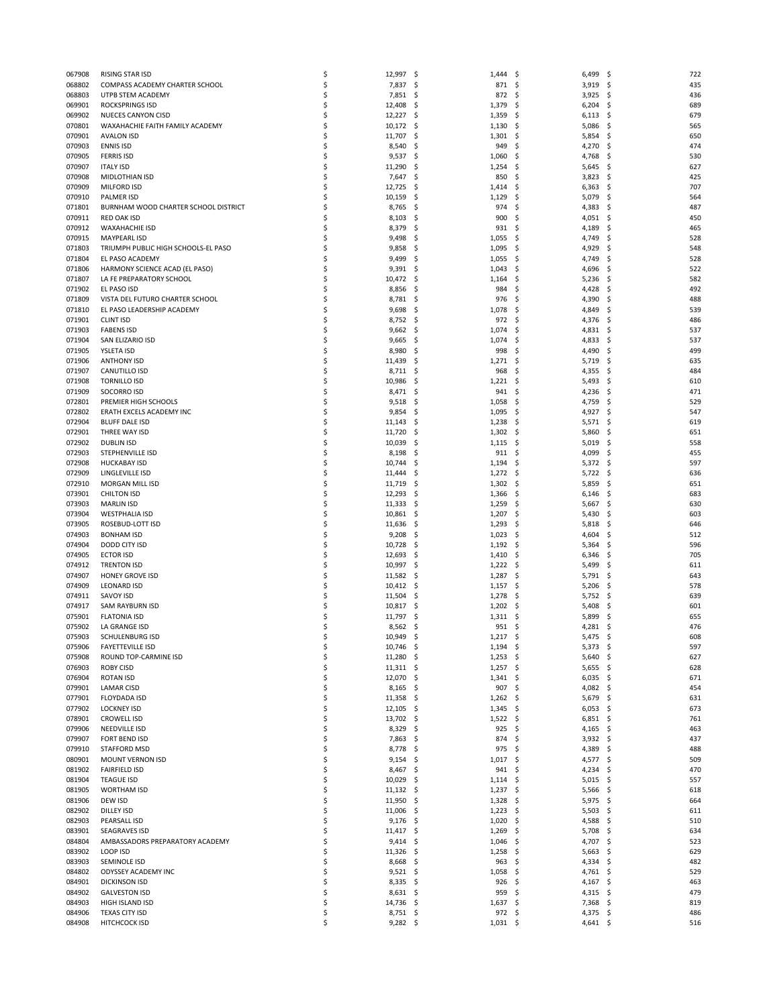| 067908 | RISING STAR ISD                      | \$ | 12,997            | -\$ | 1,444      | \$   | $6,499$ \$ |      | 722 |
|--------|--------------------------------------|----|-------------------|-----|------------|------|------------|------|-----|
|        |                                      | \$ |                   |     |            |      | $3,919$ \$ |      | 435 |
| 068802 | COMPASS ACADEMY CHARTER SCHOOL       |    | 7,837             | -\$ | 871        | -\$  |            |      |     |
| 068803 | UTPB STEM ACADEMY                    | \$ | 7,851             | \$. | 872        | \$   | 3,925      | -S   | 436 |
| 069901 | <b>ROCKSPRINGS ISD</b>               | \$ | 12,408            | \$  | 1,379      | \$   | 6,204      | \$.  | 689 |
| 069902 | NUECES CANYON CISD                   | \$ | 12,227            | -\$ | 1,359      | -\$  | $6,113$ \$ |      | 679 |
| 070801 | WAXAHACHIE FAITH FAMILY ACADEMY      | \$ | 10,172            | -\$ | 1,130      | \$   | 5,086      | S    | 565 |
| 070901 | <b>AVALON ISD</b>                    | \$ | 11,707            | \$  | 1,301      | \$   | 5,854      | \$.  | 650 |
| 070903 |                                      | \$ |                   |     |            |      |            |      |     |
|        | <b>ENNIS ISD</b>                     |    | 8,540             | -\$ | 949        | \$   | 4,270      | S    | 474 |
| 070905 | <b>FERRIS ISD</b>                    | \$ | 9,537             | -\$ | 1,060      | \$   | 4,768      | S    | 530 |
| 070907 | <b>ITALY ISD</b>                     | \$ | 11,290            | \$  | 1,254      | \$   | 5,645      | S    | 627 |
| 070908 | MIDLOTHIAN ISD                       | \$ | 7,647             | -\$ | 850        | \$   | 3,823      | S    | 425 |
| 070909 | <b>MILFORD ISD</b>                   | \$ | 12,725            | \$. | 1,414      | \$   | 6,363      | S    | 707 |
| 070910 | <b>PALMER ISD</b>                    | \$ |                   |     |            |      |            |      | 564 |
|        |                                      |    | 10,159            | \$  | 1,129      | \$   | 5,079      | \$.  |     |
| 071801 | BURNHAM WOOD CHARTER SCHOOL DISTRICT | \$ | 8,765             | \$. | 974        | \$   | 4,383      | S    | 487 |
| 070911 | <b>RED OAK ISD</b>                   | \$ | 8,103             | -\$ | 900        | \$   | 4,051      | S    | 450 |
| 070912 | <b>WAXAHACHIE ISD</b>                | \$ | 8,379             | \$. | 931        | \$   | 4,189      | \$.  | 465 |
| 070915 | MAYPEARL ISD                         | \$ | 9,498             | \$. | 1,055      | \$   | 4,749      | S    | 528 |
|        | TRIUMPH PUBLIC HIGH SCHOOLS-EL PASO  | \$ |                   |     |            |      |            |      | 548 |
| 071803 |                                      |    | 9,858             | \$. | 1,095      | -\$  | 4,929      | S    |     |
| 071804 | EL PASO ACADEMY                      | \$ | 9,499             | \$. | 1,055      | \$   | 4,749      | \$.  | 528 |
| 071806 | HARMONY SCIENCE ACAD (EL PASO)       | \$ | 9,391             | -\$ | 1,043      | \$   | 4,696      | S    | 522 |
| 071807 | LA FE PREPARATORY SCHOOL             | \$ | 10,472            | \$. | 1,164      | \$   | 5,236      | .S   | 582 |
| 071902 | EL PASO ISD                          | \$ | 8,856             | \$. | 984        | \$   | 4,428      | \$.  | 492 |
| 071809 | VISTA DEL FUTURO CHARTER SCHOOL      | \$ | 8,781             | -\$ | 976        | -\$  | 4,390      | S    | 488 |
|        |                                      |    |                   |     |            |      |            |      |     |
| 071810 | EL PASO LEADERSHIP ACADEMY           | \$ | 9,698             | \$. | 1,078      | \$   | 4,849      | S    | 539 |
| 071901 | <b>CLINT ISD</b>                     | \$ | 8,752             | \$. | 972        | \$   | 4,376      | S    | 486 |
| 071903 | <b>FABENS ISD</b>                    | \$ | 9,662             | -\$ | 1,074      | \$   | 4,831      | S    | 537 |
| 071904 | SAN ELIZARIO ISD                     | \$ | 9,665             | \$. | 1,074      | -\$  | 4,833      | \$   | 537 |
| 071905 | YSLETA ISD                           | \$ | 8,980             | \$. | 998        | \$.  | 4,490      | \$.  | 499 |
|        |                                      |    |                   |     |            |      |            |      |     |
| 071906 | <b>ANTHONY ISD</b>                   | \$ | 11,439            | \$, | 1,271      | \$   | 5,719      | S    | 635 |
| 071907 | CANUTILLO ISD                        | \$ | 8,711             | \$. | 968        | \$   | 4,355      | \$   | 484 |
| 071908 | <b>TORNILLO ISD</b>                  | \$ | 10,986            | -\$ | 1,221      | -\$  | 5,493      | S    | 610 |
| 071909 | SOCORRO ISD                          | \$ | 8,471             | -\$ | 941        | -\$  | 4,236      | S    | 471 |
| 072801 | PREMIER HIGH SCHOOLS                 | \$ | 9,518             | \$. | 1,058      | \$   | 4,759      | \$   | 529 |
|        |                                      |    |                   |     |            |      |            |      |     |
| 072802 | ERATH EXCELS ACADEMY INC             | \$ | 9,854             | -\$ | 1,095      | -\$  | 4,927      | -\$  | 547 |
| 072904 | <b>BLUFF DALE ISD</b>                | \$ | 11,143            | \$  | 1,238      | -\$  | 5,571      | -\$  | 619 |
| 072901 | THREE WAY ISD                        | \$ | 11,720            | \$  | 1,302      | \$   | 5,860      | S    | 651 |
| 072902 | <b>DUBLIN ISD</b>                    | \$ | 10,039            | -\$ | 1,115      | -\$  | 5,019      | -\$  | 558 |
|        |                                      | \$ |                   |     |            |      |            |      | 455 |
| 072903 | STEPHENVILLE ISD                     |    | 8,198             | \$. | 911        | -\$  | 4,099      | -\$  |     |
| 072908 | <b>HUCKABAY ISD</b>                  | \$ | 10,744            | \$  | 1,194      | \$   | 5,372      | \$.  | 597 |
| 072909 | LINGLEVILLE ISD                      | \$ | 11,444            | \$. | 1,272      | -\$  | 5,722      | S    | 636 |
| 072910 | MORGAN MILL ISD                      | \$ | 11,719            | -\$ | 1,302      | -\$  | 5,859      | S    | 651 |
| 073901 | <b>CHILTON ISD</b>                   | \$ | 12,293            | \$. | 1,366      | \$   | 6,146      | S    | 683 |
| 073903 | <b>MARLIN ISD</b>                    | \$ | 11,333            | -\$ | 1,259      | \$   | 5,667      | S    | 630 |
|        |                                      |    |                   |     |            |      |            |      |     |
| 073904 | <b>WESTPHALIA ISD</b>                | \$ | 10,861            | \$. | 1,207      | -\$  | 5,430      | \$.  | 603 |
| 073905 | ROSEBUD-LOTT ISD                     | \$ | 11,636            | \$  | 1,293      | \$   | 5,818      | \$.  | 646 |
| 074903 | <b>BONHAM ISD</b>                    | \$ | 9,208             | -\$ | 1,023      | -\$  | 4,604      | S    | 512 |
| 074904 | DODD CITY ISD                        | \$ | 10,728            | \$, | 1,192      | -\$  | 5,364      | S    | 596 |
| 074905 |                                      | \$ |                   |     |            |      |            |      | 705 |
|        | <b>ECTOR ISD</b>                     |    | 12,693            | \$  | 1,410      | \$   | 6,346      | \$.  |     |
| 074912 | <b>TRENTON ISD</b>                   | \$ | 10,997            | -\$ | 1,222      | -\$  | 5,499      | S    | 611 |
| 074907 | <b>HONEY GROVE ISD</b>               | \$ | 11,582            | -\$ | 1,287      | -\$  | 5,791      | S    | 643 |
| 074909 | <b>LEONARD ISD</b>                   | \$ | 10,412            | -\$ | 1,157      | \$   | 5,206      | \$.  | 578 |
| 074911 | SAVOY ISD                            | \$ | 11,504            | -\$ | 1,278      | -\$  | 5,752      | S    | 639 |
|        |                                      |    |                   |     |            |      |            |      |     |
| 074917 | SAM RAYBURN ISD                      | \$ | 10,817            | -\$ | 1,202      | -\$  | 5,408      | S    | 601 |
| 075901 | <b>FLATONIA ISD</b>                  | \$ | 11,797            | \$. | 1,311      | \$   | 5,899      | S    | 655 |
| 075902 | LA GRANGE ISD                        | \$ | 8,562             | \$. | 951        | -\$  | 4,281      | S    | 476 |
| 075903 | <b>SCHULENBURG ISD</b>               | Ś  | 10,949            | Ś   | 1,217      | \$   | 5,475      | -\$  | 608 |
| 075906 | <b>FAYETTEVILLE ISD</b>              | \$ | $10,746$ \$       |     | 1,194      | - \$ | $5,373$ \$ |      | 597 |
|        |                                      |    |                   |     |            |      |            |      |     |
| 075908 | ROUND TOP-CARMINE ISD                | \$ | 11,280            | \$. | 1,253      | -\$  | $5,640$ \$ |      | 627 |
| 076903 | <b>ROBY CISD</b>                     | \$ | 11,311 \$         |     | $1,257$ \$ |      | $5,655$ \$ |      | 628 |
| 076904 | <b>ROTAN ISD</b>                     | \$ | 12,070            | \$. | 1,341      | -\$  | 6,035      | - \$ | 671 |
| 079901 | LAMAR CISD                           | \$ | 8,165             | \$. | 907        | \$   | 4,082 \$   |      | 454 |
| 077901 | FLOYDADA ISD                         | \$ | 11,358            | -\$ | 1,262      | -\$  | $5,679$ \$ |      | 631 |
| 077902 |                                      | \$ |                   |     |            |      | $6,053$ \$ |      | 673 |
|        | <b>LOCKNEY ISD</b>                   |    | 12,105            | \$  | 1,345      | \$   |            |      |     |
| 078901 | <b>CROWELL ISD</b>                   | \$ | 13,702            | \$  | 1,522      | \$   | 6,851      | \$.  | 761 |
| 079906 | NEEDVILLE ISD                        | \$ | 8,329             | \$. | 925        | \$   | 4,165 \$   |      | 463 |
| 079907 | <b>FORT BEND ISD</b>                 | \$ | 7,863             | \$  | 874        | \$   | $3,932$ \$ |      | 437 |
| 079910 | STAFFORD MSD                         | \$ | 8,778             | -\$ | 975        | -\$  | 4,389 \$   |      | 488 |
| 080901 | MOUNT VERNON ISD                     | \$ | 9,154             | -\$ | 1,017      | -\$  | 4,577 \$   |      | 509 |
|        |                                      |    |                   |     |            |      |            |      |     |
| 081902 | <b>FAIRFIELD ISD</b>                 | \$ | 8,467             | \$. | 941        | \$   | 4,234      | \$.  | 470 |
| 081904 | <b>TEAGUE ISD</b>                    | \$ | 10,029            | -\$ | 1,114      | -\$  | $5,015$ \$ |      | 557 |
| 081905 | <b>WORTHAM ISD</b>                   | \$ | $11,132 \quad$ \$ |     | 1,237      | - \$ | 5,566      | \$.  | 618 |
| 081906 | DEW ISD                              | \$ | 11,950            | \$  | 1,328      | \$   | 5,975      | \$.  | 664 |
|        |                                      | \$ |                   |     |            |      |            |      |     |
| 082902 | <b>DILLEY ISD</b>                    |    | 11,006            | \$. | 1,223      | \$   | 5,503      | - \$ | 611 |
| 082903 | PEARSALL ISD                         | \$ | 9,176             | -\$ | 1,020      | -\$  | 4,588      | \$.  | 510 |
| 083901 | <b>SEAGRAVES ISD</b>                 | \$ | 11,417            | Ş.  | 1,269      | \$   | 5,708      | \$.  | 634 |
| 084804 | AMBASSADORS PREPARATORY ACADEMY      | \$ | $9,414$ \$        |     | 1,046      | -\$  | 4,707 \$   |      | 523 |
| 083902 | LOOP ISD                             | \$ | 11,326            | \$. | 1,258      | -\$  | 5,663      | - \$ | 629 |
|        |                                      |    |                   |     |            |      |            |      |     |
| 083903 | SEMINOLE ISD                         | \$ | 8,668             | \$. | 963        | \$   | 4,334 \$   |      | 482 |
| 084802 | ODYSSEY ACADEMY INC                  | \$ | $9,521$ \$        |     | 1,058      | -\$  | 4,761 \$   |      | 529 |
| 084901 | <b>DICKINSON ISD</b>                 | \$ | 8,335             | \$. | 926        | \$   | 4,167      | \$   | 463 |
| 084902 | <b>GALVESTON ISD</b>                 | \$ | 8,631             | \$  | 959        | -\$  | 4,315 \$   |      | 479 |
| 084903 | HIGH ISLAND ISD                      | \$ | 14,736            | -\$ | $1,637$ \$ |      | $7,368$ \$ |      | 819 |
| 084906 |                                      | \$ | 8,751             | \$. | 972        | \$   | 4,375 \$   |      | 486 |
|        | <b>TEXAS CITY ISD</b>                |    |                   |     |            |      |            |      |     |
| 084908 | HITCHCOCK ISD                        | \$ | $9,282$ \$        |     | $1,031$ \$ |      | 4,641 \$   |      | 516 |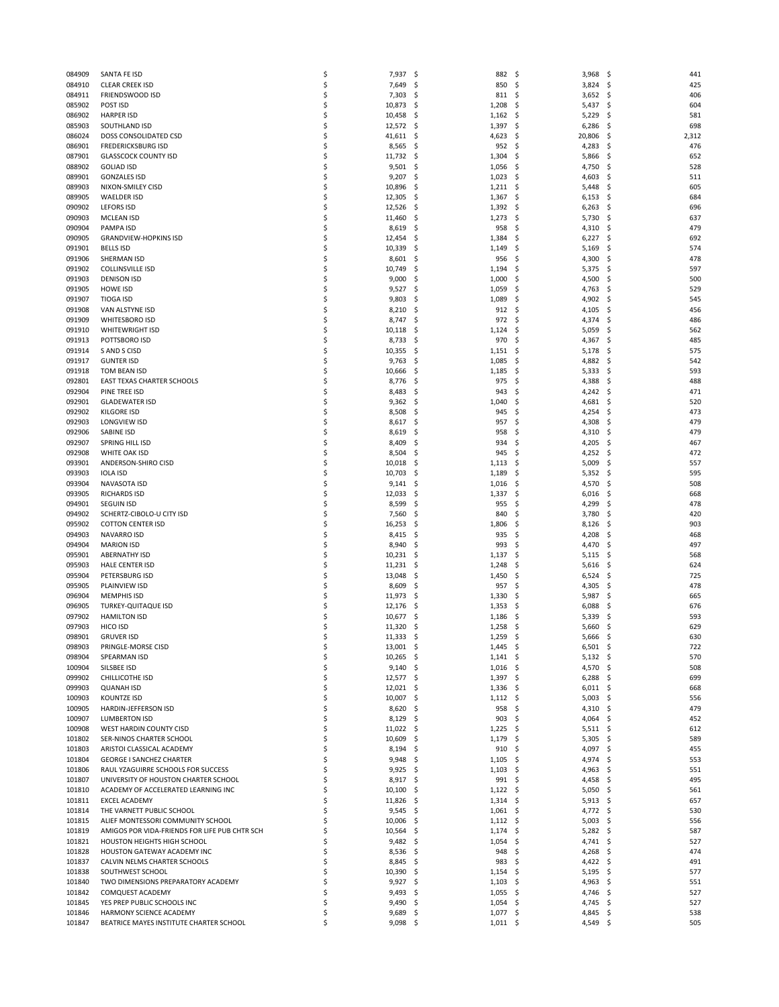| 084909 | SANTA FE ISD                                  | \$<br>7,937       | -\$  | 882              | \$   | 3,968      | - \$     | 441   |
|--------|-----------------------------------------------|-------------------|------|------------------|------|------------|----------|-------|
| 084910 | <b>CLEAR CREEK ISD</b>                        | \$<br>7,649       | -\$  | 850              | \$   | $3,824$ \$ |          | 425   |
| 084911 | FRIENDSWOOD ISD                               | \$<br>7,303       | \$   | 811              | \$   | 3,652      | \$,      | 406   |
| 085902 | POST ISD                                      | \$<br>10,873      | -\$  | 1,208            | \$   | 5,437      | \$       | 604   |
| 086902 | <b>HARPER ISD</b>                             | \$<br>10,458      |      | 1,162            | -\$  | 5,229      | \$       | 581   |
|        |                                               | \$                | -\$  |                  |      |            | S        |       |
| 085903 | SOUTHLAND ISD                                 | 12,572 \$         |      | 1,397            | -\$  | 6,286      |          | 698   |
| 086024 | DOSS CONSOLIDATED CSD                         | \$<br>41,611      | -\$  | 4,623            | \$   | 20,806     | \$       | 2,312 |
| 086901 | <b>FREDERICKSBURG ISD</b>                     | \$<br>8,565       | -\$  | 952              | -\$  | 4,283      | S        | 476   |
| 087901 | <b>GLASSCOCK COUNTY ISD</b>                   | \$<br>11,732 \$   |      | 1,304            | -\$  | 5,866      | S        | 652   |
| 088902 | <b>GOLIAD ISD</b>                             | \$<br>9,501       | -\$  | 1,056            | \$   | 4,750      | Ş        | 528   |
| 089901 | <b>GONZALES ISD</b>                           | \$<br>9,207       | -\$  | 1,023            | -\$  | 4,603      | S        | 511   |
| 089903 | NIXON-SMILEY CISD                             | \$<br>10,896      | -\$  | 1,211            | - \$ | 5,448      | S        | 605   |
| 089905 | <b>WAELDER ISD</b>                            | \$<br>12,305      | \$   | 1,367            | \$   | 6,153      | \$,      | 684   |
| 090902 | <b>LEFORS ISD</b>                             | \$<br>12,526      | -\$  | 1,392            | \$.  | 6,263      | S        | 696   |
| 090903 | <b>MCLEAN ISD</b>                             | \$<br>11,460      | -\$  | 1,273            | -\$  | 5,730      | S        | 637   |
| 090904 | PAMPA ISD                                     | \$<br>8,619       | \$.  | 958              | \$   | 4,310      | \$,      | 479   |
| 090905 | <b>GRANDVIEW-HOPKINS ISD</b>                  | \$<br>12,454      | \$.  | 1,384            | \$.  | 6,227      | S        | 692   |
|        |                                               | \$                |      |                  |      |            |          |       |
| 091901 | <b>BELLS ISD</b>                              | 10,339            | \$.  | 1,149            | \$   | 5,169      | S        | 574   |
| 091906 | SHERMAN ISD                                   | \$<br>8,601       | -\$  | 956              | \$   | 4,300      | \$,      | 478   |
| 091902 | <b>COLLINSVILLE ISD</b>                       | \$<br>10,749      | -\$  | 1,194            | \$   | 5,375      | S        | 597   |
| 091903 | <b>DENISON ISD</b>                            | \$<br>9,000       | \$   | 1,000            | \$   | 4,500      | S        | 500   |
| 091905 | <b>HOWE ISD</b>                               | \$<br>9,527       | -\$  | 1,059            | \$   | 4,763      | \$,      | 529   |
| 091907 | <b>TIOGA ISD</b>                              | \$<br>9,803       | -\$  | 1,089            | \$   | 4,902      | S        | 545   |
| 091908 | VAN ALSTYNE ISD                               | \$<br>8,210       | \$.  | 912              | \$   | 4,105      | S        | 456   |
| 091909 | WHITESBORO ISD                                | \$<br>8,747       | \$.  | 972              | \$   | 4,374      | S        | 486   |
| 091910 | <b>WHITEWRIGHT ISD</b>                        | \$<br>10,118      | -\$  | 1,124            | -\$  | 5,059      | \$,      | 562   |
| 091913 | POTTSBORO ISD                                 | \$<br>8,733       | \$.  | 970              | \$   | 4,367      | \$       | 485   |
| 091914 | S AND S CISD                                  | \$<br>10,355      | -\$  | 1,151            | -\$  | 5,178      | S        | 575   |
|        | <b>GUNTER ISD</b>                             |                   |      |                  |      |            |          | 542   |
| 091917 |                                               | \$<br>9,763       | -\$  | 1,085            | \$   | 4,882      | S        |       |
| 091918 | TOM BEAN ISD                                  | \$<br>10,666      | \$.  | 1,185            | \$   | 5,333      | \$       | 593   |
| 092801 | EAST TEXAS CHARTER SCHOOLS                    | \$<br>8,776       | -\$  | 975              | \$.  | 4,388      | S        | 488   |
| 092904 | PINE TREE ISD                                 | \$<br>8,483       | -\$  | 943              | \$   | 4,242      | \$,      | 471   |
| 092901 | <b>GLADEWATER ISD</b>                         | \$<br>9,362       | -\$  | 1,040            | \$   | 4,681      | Ś        | 520   |
| 092902 | <b>KILGORE ISD</b>                            | \$<br>8,508       | -\$  | 945              | \$.  | 4,254      | S        | 473   |
| 092903 | LONGVIEW ISD                                  | \$<br>8,617       | -\$  | 957              | \$   | 4,308      | \$,      | 479   |
| 092906 | SABINE ISD                                    | \$<br>8,619       | \$   | 958              | \$   | 4,310      | S        | 479   |
| 092907 | SPRING HILL ISD                               | \$<br>8,409       | -\$  | 934              | -\$  | 4,205      | \$,      | 467   |
| 092908 | WHITE OAK ISD                                 | \$<br>8,504       | \$.  | 945              | \$   | 4,252      | \$,      | 472   |
| 093901 | ANDERSON-SHIRO CISD                           | \$<br>10,018      | \$   | 1,113            | \$   | 5,009      | Ś        | 557   |
| 093903 | <b>IOLA ISD</b>                               | \$<br>10,703      | -\$  | 1,189            | \$.  | 5,352      | \$,      | 595   |
| 093904 | NAVASOTA ISD                                  | \$                |      | 1,016            | \$   |            |          | 508   |
|        |                                               | \$<br>9,141       | -\$  |                  |      | 4,570      | \$,<br>S |       |
| 093905 | <b>RICHARDS ISD</b>                           | 12,033            | \$.  | 1,337            | \$   | 6,016      |          | 668   |
| 094901 | <b>SEGUIN ISD</b>                             | \$<br>8,599       | \$.  | 955              | \$   | 4,299      | \$,      | 478   |
| 094902 | SCHERTZ-CIBOLO-U CITY ISD                     | \$<br>7,560       | \$.  | 840              | \$   | 3,780      | \$,      | 420   |
| 095902 | <b>COTTON CENTER ISD</b>                      | \$<br>16,253      | \$.  | 1,806            | \$   | 8,126      | S        | 903   |
| 094903 | NAVARRO ISD                                   | \$<br>8,415       | -\$  | 935              | \$   | 4,208      | \$,      | 468   |
| 094904 | <b>MARION ISD</b>                             | \$<br>8,940       | \$.  | 993              | \$   | 4,470      | S        | 497   |
| 095901 | <b>ABERNATHY ISD</b>                          | \$<br>10,231      | -\$  | 1,137            | \$   | 5,115      | \$,      | 568   |
| 095903 | <b>HALE CENTER ISD</b>                        | \$<br>11,231      | -\$  | 1,248            | -\$  | 5,616      | S        | 624   |
| 095904 | PETERSBURG ISD                                | \$<br>13,048      | \$.  | 1,450            | -\$  | 6,524      | S        | 725   |
| 095905 | PLAINVIEW ISD                                 | \$<br>8,609       | -\$  | 957              | \$   | 4,305      | \$,      | 478   |
| 096904 | <b>MEMPHIS ISD</b>                            | \$<br>11,973      | -\$  | 1,330            | \$.  | 5,987      | S        | 665   |
| 096905 | TURKEY-QUITAQUE ISD                           | \$<br>12,176      | -\$  | 1,353            | -\$  | 6,088      | S        | 676   |
| 097902 | <b>HAMILTON ISD</b>                           | \$                |      |                  |      |            | S        |       |
|        |                                               | 10,677            | Ş    | 1,186            | \$   | 5,339      |          | 593   |
| 097903 | HICO ISD                                      | \$<br>11,320      | -\$  | 1,258            | \$   | 5,660      | \$.      | 629   |
| 098901 | <b>GRUVER ISD</b>                             | 11,333            | \$   | 1,259            | \$   | 5,666      | \$       | 630   |
| 098903 | PRINGLE-MORSE CISD                            | \$<br>$13,001$ \$ |      | $1,445$ \$       |      | $6,501$ \$ |          | 722   |
| 098904 | SPEARMAN ISD                                  | \$<br>$10,265$ \$ |      | 1,141            | \$   | $5,132$ \$ |          | 570   |
| 100904 | SILSBEE ISD                                   | \$<br>$9,140$ \$  |      | $1,016$ \$       |      | 4,570      | \$.      | 508   |
| 099902 | CHILLICOTHE ISD                               | \$<br>12,577      | - Ş  | 1,397            | -\$  | 6,288      | \$.      | 699   |
| 099903 | <b>QUANAH ISD</b>                             | \$<br>$12,021$ \$ |      | 1,336            | -\$  | 6,011      | \$       | 668   |
| 100903 | KOUNTZE ISD                                   | \$<br>$10,007$ \$ |      | $1,112$ \$       |      | 5,003      | \$       | 556   |
| 100905 | HARDIN-JEFFERSON ISD                          | \$<br>8,620       | -\$  | 958              | \$   | 4,310      | \$       | 479   |
| 100907 | LUMBERTON ISD                                 | \$<br>8,129       | - \$ | 903              | \$   | 4,064      | \$       | 452   |
| 100908 | WEST HARDIN COUNTY CISD                       | \$<br>$11,022$ \$ |      | 1,225            | - \$ | 5,511      | \$       | 612   |
| 101802 | SER-NINOS CHARTER SCHOOL                      | \$                |      |                  |      |            | \$       | 589   |
|        |                                               | 10,609            | -\$  | 1,179            | \$   | 5,305      |          |       |
| 101803 | ARISTOI CLASSICAL ACADEMY                     | \$<br>$8,194$ \$  |      | 910              | -\$  | 4,097      | \$       | 455   |
| 101804 | <b>GEORGE I SANCHEZ CHARTER</b>               | \$<br>$9,948$ \$  |      | 1,105            | \$   | 4,974      | \$       | 553   |
| 101806 | RAUL YZAGUIRRE SCHOOLS FOR SUCCESS            | \$<br>9,925       | -\$  | 1,103            | \$   | 4,963      | S        | 551   |
| 101807 |                                               |                   |      | 991              | - \$ | 4,458      | -\$      | 495   |
|        | UNIVERSITY OF HOUSTON CHARTER SCHOOL          | \$<br>$8,917$ \$  |      |                  |      |            |          | 561   |
| 101810 | ACADEMY OF ACCELERATED LEARNING INC           | \$<br>10,100      | -\$  | $1,122$ \$       |      | 5,050      | \$       |       |
| 101811 | <b>EXCEL ACADEMY</b>                          | \$<br>11,826      | -\$  | 1,314            | - \$ | 5,913      | \$.      | 657   |
| 101814 | THE VARNETT PUBLIC SCHOOL                     | \$                | - S  |                  | - \$ |            | \$.      | 530   |
|        |                                               | 9,545             |      | 1,061            |      | 4,772      |          |       |
| 101815 | ALIEF MONTESSORI COMMUNITY SCHOOL             | \$<br>10,006      | -\$  | $1,112 \quad$ \$ |      | 5,003      | \$       | 556   |
| 101819 | AMIGOS POR VIDA-FRIENDS FOR LIFE PUB CHTR SCH | \$<br>10,564      | Ş    | 1,174            | -\$  | 5,282      | \$.      | 587   |
| 101821 | HOUSTON HEIGHTS HIGH SCHOOL                   | \$<br>$9,482$ \$  |      | $1,054$ \$       |      | 4,741      | \$       | 527   |
| 101828 | HOUSTON GATEWAY ACADEMY INC                   | \$<br>8,536       | -\$  | 948              | \$   | 4,268      | \$       | 474   |
| 101837 | CALVIN NELMS CHARTER SCHOOLS                  | \$<br>8,845       | -\$  | 983              | -\$  | 4,422      | -\$      | 491   |
| 101838 | SOUTHWEST SCHOOL                              | \$<br>10,390      | -\$  | 1,154            | \$   | 5,195      | \$.      | 577   |
| 101840 | TWO DIMENSIONS PREPARATORY ACADEMY            | \$<br>9,927       | \$   | 1,103            | \$   | 4,963      | \$       | 551   |
| 101842 | COMQUEST ACADEMY                              | \$<br>9,493       | -\$  | 1,055            | -\$  | 4,746      | \$.      | 527   |
| 101845 | YES PREP PUBLIC SCHOOLS INC                   | \$<br>9,490       | - \$ | $1,054$ \$       |      | 4,745 \$   |          | 527   |
| 101846 | HARMONY SCIENCE ACADEMY                       | \$<br>9,689       | Ş    | 1,077            | \$.  | 4,845      | \$       | 538   |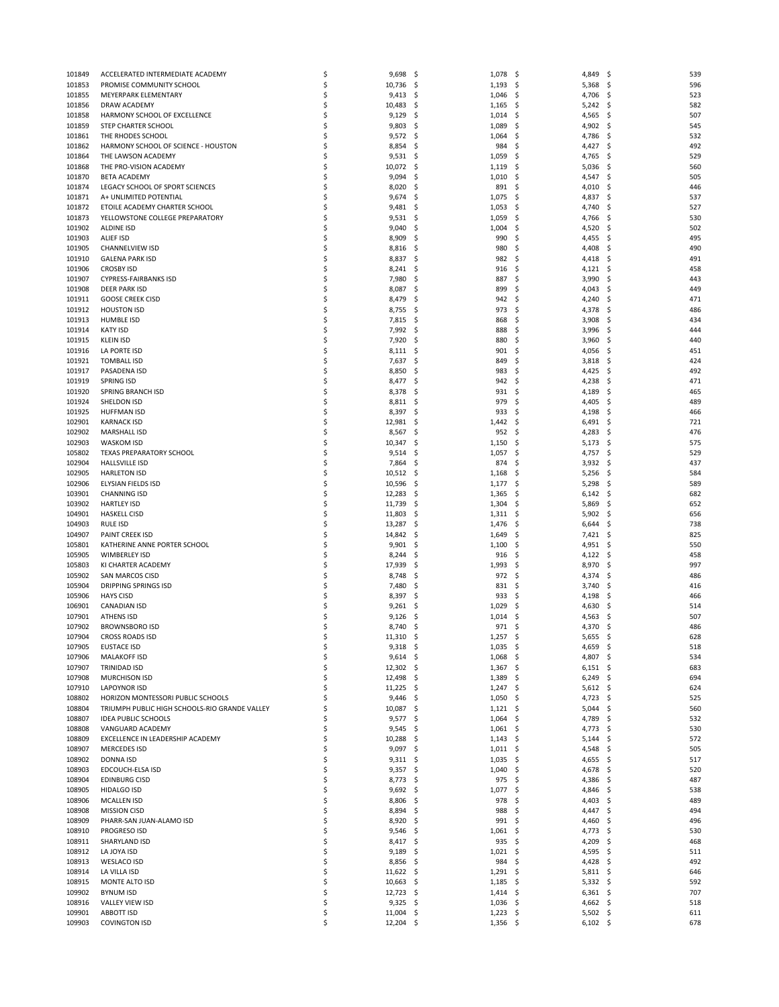| 101849 | ACCELERATED INTERMEDIATE ACADEMY              | \$ | 9,698            | -\$          | 1,078      | -\$  | 4,849 \$   |      | 539 |
|--------|-----------------------------------------------|----|------------------|--------------|------------|------|------------|------|-----|
| 101853 | PROMISE COMMUNITY SCHOOL                      | \$ | 10,736           | \$.          | 1,193      | -\$  | $5,368$ \$ |      | 596 |
| 101855 | MEYERPARK ELEMENTARY                          | \$ | 9,413            | \$,          | 1,046      | -\$  | 4,706      | -S   | 523 |
| 101856 | DRAW ACADEMY                                  | \$ | 10,483           | -\$          | 1,165      | \$   | 5,242      | -\$  | 582 |
| 101858 | HARMONY SCHOOL OF EXCELLENCE                  | \$ | 9,129            | \$.          |            | -\$  | 4,565      | S    | 507 |
|        |                                               |    |                  |              | 1,014      |      |            |      |     |
| 101859 | STEP CHARTER SCHOOL                           | \$ | 9,803            | -\$          | 1,089      | \$   | 4,902      | S    | 545 |
| 101861 | THE RHODES SCHOOL                             | \$ | 9,572            | -\$          | 1,064      | \$   | 4,786      | S    | 532 |
| 101862 | HARMONY SCHOOL OF SCIENCE - HOUSTON           | \$ | 8,854            | -\$          | 984        | \$   | 4,427      | S    | 492 |
| 101864 | THE LAWSON ACADEMY                            | \$ | 9,531            | -\$          | 1,059      | -\$  | 4,765      | -S   | 529 |
|        |                                               |    |                  |              |            |      |            |      |     |
| 101868 | THE PRO-VISION ACADEMY                        | \$ | 10,072           | -\$          | 1,119      | \$   | 5,036      | S    | 560 |
| 101870 | <b>BETA ACADEMY</b>                           | \$ | 9,094            | -\$          | 1,010      | -\$  | 4,547      | S    | 505 |
| 101874 | LEGACY SCHOOL OF SPORT SCIENCES               | \$ | 8,020            | \$.          | 891        | -\$  | 4,010      | S    | 446 |
|        |                                               |    |                  |              |            |      |            |      |     |
| 101871 | A+ UNLIMITED POTENTIAL                        | \$ | 9,674            | \$           | 1,075      | \$   | 4,837      | \$.  | 537 |
| 101872 | ETOILE ACADEMY CHARTER SCHOOL                 | \$ | 9,481            | \$.          | 1,053      | \$   | 4,740      |      | 527 |
| 101873 | YELLOWSTONE COLLEGE PREPARATORY               | \$ | 9,531            | -\$          | 1,059      | -\$  | 4,766      | S    | 530 |
|        |                                               |    |                  |              |            |      |            |      |     |
| 101902 | <b>ALDINE ISD</b>                             | \$ | 9,040            | \$.          | 1,004      | \$   | 4,520      | \$.  | 502 |
| 101903 | ALIEF ISD                                     | \$ | 8,909            | -\$          | 990        | \$   | 4,455      |      | 495 |
| 101905 | CHANNELVIEW ISD                               | \$ | 8,816            | \$.          | 980        | \$   | 4,408      | S    | 490 |
| 101910 | <b>GALENA PARK ISD</b>                        | \$ | 8,837            | -\$          | 982        | \$   | 4,418      | \$.  | 491 |
|        |                                               |    |                  |              |            |      |            |      |     |
| 101906 | <b>CROSBY ISD</b>                             | \$ | 8,241            | -\$          | 916        | \$   | 4,121      | S    | 458 |
| 101907 | <b>CYPRESS-FAIRBANKS ISD</b>                  | \$ | 7,980            | \$           | 887        | \$   | 3,990      | S    | 443 |
| 101908 | DEER PARK ISD                                 | \$ | 8,087            | -\$          | 899        | \$   | 4,043      | \$.  | 449 |
| 101911 | <b>GOOSE CREEK CISD</b>                       | \$ | 8,479            | S.           | 942        | \$   | 4,240      | S    | 471 |
|        |                                               |    |                  |              |            |      |            |      |     |
| 101912 | <b>HOUSTON ISD</b>                            | \$ | 8,755            | $\mathsf{S}$ | 973        | \$   | 4,378      | S    | 486 |
| 101913 | <b>HUMBLE ISD</b>                             | \$ | 7,815            | -\$          | 868        | \$   | 3,908      | S    | 434 |
| 101914 | <b>KATY ISD</b>                               | \$ | 7,992            | -\$          | 888        | \$   | 3,996      | S    | 444 |
|        |                                               | \$ |                  |              |            |      |            |      |     |
| 101915 | <b>KLEIN ISD</b>                              |    | 7,920            | \$.          | 880        | \$   | 3,960      | \$   | 440 |
| 101916 | LA PORTE ISD                                  | \$ | 8,111            | -\$          | 901        | \$.  | 4,056      | S    | 451 |
| 101921 | <b>TOMBALL ISD</b>                            | \$ | 7,637            | \$.          | 849        | \$   | 3,818      | S    | 424 |
| 101917 | PASADENA ISD                                  | \$ | 8,850            | \$           | 983        | \$   | 4,425      | \$   | 492 |
|        |                                               |    |                  |              |            |      |            |      |     |
| 101919 | <b>SPRING ISD</b>                             | \$ | 8,477            | -\$          | 942        | \$.  | 4,238      | S    | 471 |
| 101920 | SPRING BRANCH ISD                             | \$ | 8,378            | \$,          | 931        | \$   | 4,189      | S    | 465 |
| 101924 | SHELDON ISD                                   | \$ | 8,811            | -\$          | 979        | \$   | 4,405      | S    | 489 |
|        |                                               |    |                  |              |            |      |            |      |     |
| 101925 | <b>HUFFMAN ISD</b>                            | \$ | 8,397            | -\$          | 933        | \$   | 4,198      | S    | 466 |
| 102901 | <b>KARNACK ISD</b>                            | \$ | 12,981           | -\$          | 1,442      | \$   | 6,491      | \$.  | 721 |
| 102902 | <b>MARSHALL ISD</b>                           | \$ | 8,567            | \$           | 952        | \$   | 4,283      | S    | 476 |
| 102903 | WASKOM ISD                                    | \$ | 10,347           | -\$          | 1,150      | -\$  | 5,173      | -\$  | 575 |
|        |                                               |    |                  |              |            |      |            |      |     |
| 105802 | TEXAS PREPARATORY SCHOOL                      | \$ | 9,514            | -\$          | 1,057      | -\$  | 4,757      | -\$  | 529 |
| 102904 | <b>HALLSVILLE ISD</b>                         | \$ | 7,864            | \$,          | 874        | \$   | 3,932      | S    | 437 |
| 102905 | <b>HARLETON ISD</b>                           | \$ | 10,512           | -\$          | 1,168      | -\$  | 5,256      | S    | 584 |
|        |                                               |    |                  |              |            |      |            |      |     |
| 102906 | ELYSIAN FIELDS ISD                            | \$ | 10,596           | -\$          | 1,177      | -\$  | 5,298      | \$.  | 589 |
| 103901 | <b>CHANNING ISD</b>                           | \$ | 12,283           | -\$          | 1,365      | \$   | 6,142      | \$.  | 682 |
| 103902 | <b>HARTLEY ISD</b>                            | \$ | 11,739           | -\$          | 1,304      | -\$  | 5,869      | S    | 652 |
| 104901 | <b>HASKELL CISD</b>                           | \$ | 11,803           | -\$          | 1,311      | -\$  | 5,902      | \$.  | 656 |
|        |                                               |    |                  |              |            |      |            |      |     |
| 104903 | RULE ISD                                      | \$ | 13,287           | \$           | 1,476      | \$   | 6,644      | \$.  | 738 |
| 104907 | PAINT CREEK ISD                               | \$ | 14,842           | -\$          | 1,649      | -\$  | 7,421      | S    | 825 |
| 105801 | KATHERINE ANNE PORTER SCHOOL                  | \$ | 9,901            | -\$          | 1,100      | \$.  | 4,951      | S    | 550 |
|        | <b>WIMBERLEY ISD</b>                          | \$ |                  |              |            |      |            |      |     |
| 105905 |                                               |    | 8,244            | -\$          | 916        | \$   | 4,122      | \$.  | 458 |
| 105803 | KI CHARTER ACADEMY                            | \$ | 17,939           | -\$          | 1,993      | -\$  | 8,970      | S    | 997 |
| 105902 | SAN MARCOS CISD                               | \$ | 8,748            | \$,          | 972        | \$   | 4,374      | S    | 486 |
| 105904 | <b>DRIPPING SPRINGS ISD</b>                   | \$ | 7,480            | -\$          | 831        | \$   | 3,740      | S    | 416 |
|        |                                               |    |                  |              |            |      |            |      |     |
| 105906 | <b>HAYS CISD</b>                              | \$ | 8,397            | -\$          | 933        | \$   | 4,198      | -S   | 466 |
| 106901 | CANADIAN ISD                                  | \$ | 9,261            | -\$          | 1,029      | \$.  | 4,630      | S    | 514 |
| 107901 | <b>ATHENS ISD</b>                             | \$ | 9,126            | \$,          | 1,014      | \$   | 4,563      | S    | 507 |
| 107902 | <b>BROWNSBORO ISD</b>                         | \$ | 8,740            | \$.          | 971        | -\$  | 4,370      | S    | 486 |
|        |                                               |    |                  |              |            |      |            |      |     |
| 107904 | <b>CROSS ROADS ISD</b>                        | Ś  | 11,310           | \$           | 1,257      | -\$  | 5,655      | - \$ | 628 |
| 107905 | <b>EUSTACE ISD</b>                            | \$ | $9,318$ \$       |              | $1,035$ \$ |      | 4,659 \$   |      | 518 |
| 107906 | <b>MALAKOFF ISD</b>                           | \$ | $9,614$ \$       |              | 1,068      | -\$  | 4,807 \$   |      | 534 |
|        | TRINIDAD ISD                                  | \$ |                  |              |            |      |            |      |     |
| 107907 |                                               |    | $12,302 \quad $$ |              | $1,367$ \$ |      | $6,151$ \$ |      | 683 |
| 107908 | <b>MURCHISON ISD</b>                          | \$ | 12,498           | \$           | 1,389      | \$   | 6,249      | - \$ | 694 |
| 107910 | LAPOYNOR ISD                                  | \$ | 11,225           | -\$          | 1,247      | -\$  | $5,612$ \$ |      | 624 |
| 108802 | HORIZON MONTESSORI PUBLIC SCHOOLS             | \$ | $9,446$ \$       |              | $1,050$ \$ |      | 4,723 \$   |      | 525 |
|        |                                               | \$ |                  |              |            |      |            |      |     |
| 108804 | TRIUMPH PUBLIC HIGH SCHOOLS-RIO GRANDE VALLEY |    | 10,087           | \$           | 1,121      | -\$  | 5,044      | \$.  | 560 |
| 108807 | <b>IDEA PUBLIC SCHOOLS</b>                    | \$ | 9,577            | \$.          | 1,064      | \$   | 4,789      | \$.  | 532 |
| 108808 | VANGUARD ACADEMY                              | \$ | 9,545            | -\$          | $1,061$ \$ |      | 4,773 \$   |      | 530 |
| 108809 | EXCELLENCE IN LEADERSHIP ACADEMY              | \$ | 10,288           | \$.          | 1,143      | \$   | 5,144      | \$.  | 572 |
|        |                                               |    |                  |              |            |      |            |      |     |
| 108907 | <b>MERCEDES ISD</b>                           | \$ | $9,097$ \$       |              | 1,011      | -\$  | 4,548 \$   |      | 505 |
| 108902 | DONNA ISD                                     | \$ | $9,311 \quad $$  |              | 1,035      | - \$ | 4,655      | \$.  | 517 |
| 108903 | EDCOUCH-ELSA ISD                              | \$ | 9,357            | \$.          | 1,040      | \$   | 4,678      | \$.  | 520 |
|        |                                               | \$ |                  |              |            |      |            |      | 487 |
| 108904 | <b>EDINBURG CISD</b>                          |    | $8,773$ \$       |              | 975        | -\$  | 4,386      | \$   |     |
| 108905 | <b>HIDALGO ISD</b>                            | \$ | $9,692$ \$       |              | 1,077      | -\$  | 4,846      | \$   | 538 |
| 108906 | <b>MCALLEN ISD</b>                            | \$ | 8,806            | \$           | 978        | \$   | 4,403      | \$.  | 489 |
| 108908 | <b>MISSION CISD</b>                           | \$ | 8,894            | \$.          | 988        | -\$  | 4,447 \$   |      | 494 |
|        |                                               |    |                  |              |            |      |            |      |     |
| 108909 | PHARR-SAN JUAN-ALAMO ISD                      | \$ | 8,920            | \$           | 991        | -\$  | 4,460      | \$.  | 496 |
| 108910 | PROGRESO ISD                                  | \$ | 9,546            | \$.          | 1,061      | -\$  | 4,773      | -\$  | 530 |
| 108911 | SHARYLAND ISD                                 | \$ | 8,417 \$         |              | 935        | -\$  | 4,209      | \$   | 468 |
|        |                                               |    |                  |              |            |      |            |      |     |
| 108912 | LA JOYA ISD                                   | \$ | 9,189            | \$.          | 1,021      | -\$  | 4,595      | - \$ | 511 |
| 108913 | WESLACO ISD                                   | \$ | 8,856            | -\$          | 984        | -\$  | 4,428 \$   |      | 492 |
| 108914 | LA VILLA ISD                                  | \$ | 11,622           | -\$          | 1,291      | -\$  | $5,811$ \$ |      | 646 |
| 108915 | MONTE ALTO ISD                                | \$ | 10,663           | \$.          | 1,185      | \$   | $5,332$ \$ |      | 592 |
|        |                                               |    |                  |              |            |      |            |      |     |
| 109902 | <b>BYNUM ISD</b>                              | \$ | 12,723           | -Ş           | 1,414      | \$   | $6,361$ \$ |      | 707 |
| 108916 | VALLEY VIEW ISD                               | \$ | 9,325            | -\$          | $1,036$ \$ |      | 4,662 \$   |      | 518 |
| 109901 | <b>ABBOTT ISD</b>                             | \$ | 11,004           | \$.          | 1,223      | \$   | $5,502$ \$ |      | 611 |
| 109903 | <b>COVINGTON ISD</b>                          | \$ | $12,204$ \$      |              | $1,356$ \$ |      | $6,102$ \$ |      | 678 |
|        |                                               |    |                  |              |            |      |            |      |     |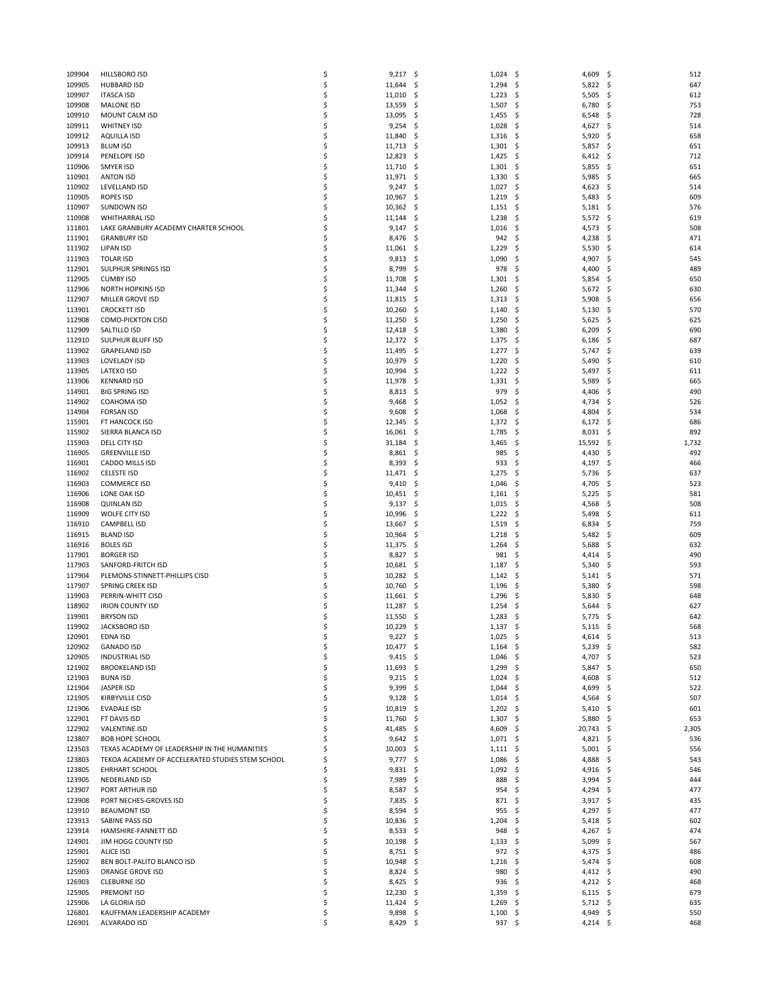| 109904 | HILLSBORO ISD                                    | \$ | $9,217$ \$  |            | 1,024 | \$,<br>4,609      | -\$ | 512   |
|--------|--------------------------------------------------|----|-------------|------------|-------|-------------------|-----|-------|
| 109905 | <b>HUBBARD ISD</b>                               | \$ | 11,644      | \$         | 1,294 | \$<br>5,822       | \$  | 647   |
| 109907 | <b>ITASCA ISD</b>                                | \$ | 11,010      | \$         | 1,223 | \$,<br>5,505      | .s  | 612   |
| 109908 | <b>MALONE ISD</b>                                | \$ | 13,559      | \$         | 1,507 | \$<br>6,780       | \$. | 753   |
| 109910 | MOUNT CALM ISD                                   | \$ | 13,095      | -\$        | 1,455 | \$<br>6,548       | .s  | 728   |
| 109911 | <b>WHITNEY ISD</b>                               | \$ | 9,254       | -\$        | 1,028 | \$,<br>4,627      | \$. | 514   |
| 109912 | <b>AQUILLA ISD</b>                               | \$ | 11,840      | \$         | 1,316 | \$<br>5,920       | \$. | 658   |
| 109913 | <b>BLUM ISD</b>                                  | \$ | 11,713      | \$.        | 1,301 | \$<br>5,857       | \$. | 651   |
| 109914 | PENELOPE ISD                                     | \$ | 12,823      | \$.        | 1,425 | \$,<br>6,412      | \$. | 712   |
| 110906 | SMYER ISD                                        | \$ | 11,710      | \$.        | 1,301 | \$<br>5,855       | \$. | 651   |
| 110901 | <b>ANTON ISD</b>                                 | \$ | 11,971      | -\$        | 1,330 | \$<br>5,985       | .s  | 665   |
| 110902 | LEVELLAND ISD                                    | \$ | 9,247       | \$         | 1,027 | \$<br>4,623       | \$. | 514   |
| 110905 | <b>ROPES ISD</b>                                 | \$ | 10,967      | \$         | 1,219 | \$<br>5,483       | \$. | 609   |
| 110907 | <b>SUNDOWN ISD</b>                               | \$ | 10,362      | \$         | 1,151 | \$,<br>5,181      | \$. | 576   |
| 110908 | <b>WHITHARRAL ISD</b>                            | \$ | 11,144      | \$         | 1,238 | \$<br>5,572       | \$. | 619   |
| 111801 | LAKE GRANBURY ACADEMY CHARTER SCHOOL             | \$ | 9,147       |            | 1,016 | \$<br>4,573       | \$  | 508   |
| 111901 | <b>GRANBURY ISD</b>                              | \$ | 8,476       | \$.<br>-\$ | 942   | \$,<br>4,238      | \$. | 471   |
|        |                                                  | \$ |             |            |       |                   |     |       |
| 111902 | <b>LIPAN ISD</b>                                 |    | 11,061      | \$         | 1,229 | \$<br>5,530       | \$  | 614   |
| 111903 | <b>TOLAR ISD</b>                                 | \$ | 9,813       | \$.        | 1,090 | \$<br>4,907       | \$  | 545   |
| 112901 | SULPHUR SPRINGS ISD                              | \$ | 8,799       | \$         | 978   | \$,<br>4,400      | \$  | 489   |
| 112905 | <b>CUMBY ISD</b>                                 | \$ | 11,708      | \$         | 1,301 | \$<br>5,854       | \$  | 650   |
| 112906 | <b>NORTH HOPKINS ISD</b>                         | \$ | 11,344      | \$.        | 1,260 | 5,672<br>\$,      | \$. | 630   |
| 112907 | MILLER GROVE ISD                                 | \$ | 11,815      | \$.        | 1,313 | \$<br>5,908       | \$. | 656   |
| 113901 | <b>CROCKETT ISD</b>                              | \$ | 10,260      | \$         | 1,140 | \$<br>5,130       | \$. | 570   |
| 112908 | <b>COMO-PICKTON CISD</b>                         | \$ | 11,250      | -\$        | 1,250 | \$<br>5,625       | \$. | 625   |
| 112909 | SALTILLO ISD                                     | \$ | 12,418      | \$.        | 1,380 | \$<br>6,209       | \$. | 690   |
| 112910 | <b>SULPHUR BLUFF ISD</b>                         | \$ | 12,372      | \$         | 1,375 | \$<br>6,186       | \$  | 687   |
| 113902 | <b>GRAPELAND ISD</b>                             | \$ | 11,495      | -\$        | 1,277 | \$<br>5,747       | \$. | 639   |
| 113903 | <b>LOVELADY ISD</b>                              | \$ | 10,979      | \$         | 1,220 | \$<br>5,490       | \$, | 610   |
| 113905 | LATEXO ISD                                       | \$ | 10,994      | \$         | 1,222 | \$<br>5,497       | \$  | 611   |
| 113906 | <b>KENNARD ISD</b>                               | \$ | 11,978      | -\$        | 1,331 | \$,<br>5,989      | \$. | 665   |
| 114901 | <b>BIG SPRING ISD</b>                            | \$ | $8,813$ \$  |            | 979   | \$<br>4,406       | \$, | 490   |
| 114902 | COAHOMA ISD                                      | \$ | 9,468       | \$         | 1,052 | \$<br>4,734       | \$  | 526   |
| 114904 | <b>FORSAN ISD</b>                                | \$ | 9,608       | -\$        | 1,068 | \$<br>4,804       | -\$ | 534   |
| 115901 | FT HANCOCK ISD                                   | \$ | 12,345      | \$         | 1,372 | \$,<br>6,172      | \$. | 686   |
| 115902 | SIERRA BLANCA ISD                                | \$ | 16,061      | \$         | 1,785 | \$<br>8,031       | \$. | 892   |
| 115903 | DELL CITY ISD                                    | \$ | 31,184      | Ş          | 3,465 | \$,<br>15,592     | \$, | 1,732 |
|        |                                                  | \$ |             |            |       |                   | \$  | 492   |
| 116905 | <b>GREENVILLE ISD</b>                            |    | 8,861       | \$.        | 985   | \$<br>4,430       |     |       |
| 116901 | CADDO MILLS ISD                                  | \$ | 8,393       | \$.        | 933   | \$<br>4,197       | \$. | 466   |
| 116902 | <b>CELESTE ISD</b>                               | \$ | 11,471 \$   |            | 1,275 | \$,<br>5,736      | \$, | 637   |
| 116903 | <b>COMMERCE ISD</b>                              | \$ | 9,410       | \$         | 1,046 | \$<br>4,705       | \$  | 523   |
| 116906 | LONE OAK ISD                                     | \$ | 10,451      | -\$        | 1,161 | \$<br>5,225       | \$. | 581   |
| 116908 | <b>QUINLAN ISD</b>                               | \$ | 9,137       | \$.        | 1,015 | \$<br>4,568       | \$, | 508   |
| 116909 | WOLFE CITY ISD                                   | \$ | 10,996      | \$         | 1,222 | \$,<br>5,498      | \$  | 611   |
| 116910 | <b>CAMPBELL ISD</b>                              | \$ | 13,667      | \$         | 1,519 | \$<br>6,834       | \$  | 759   |
| 116915 | <b>BLAND ISD</b>                                 | \$ | 10,964      | \$.        | 1,218 | \$<br>5,482       | \$. | 609   |
| 116916 | <b>BOLES ISD</b>                                 | \$ | 11,375      | -\$        | 1,264 | \$,<br>5,688      | S.  | 632   |
| 117901 | <b>BORGER ISD</b>                                | \$ | 8,827       | \$         | 981   | \$<br>4,414       | \$  | 490   |
| 117903 | SANFORD-FRITCH ISD                               | \$ | 10,681      | \$.        | 1,187 | \$<br>5,340       | S   | 593   |
| 117904 | PLEMONS-STINNETT-PHILLIPS CISD                   | \$ | 10,282      | \$,        | 1,142 | \$,<br>5,141      | -\$ | 571   |
| 117907 | SPRING CREEK ISD                                 | \$ | 10,760      | \$         | 1,196 | \$<br>5,380       | \$  | 598   |
| 119903 | PERRIN-WHITT CISD                                | Ś  | 11,661      | \$.        | 1,296 | \$<br>5,830       | S   | 648   |
| 118902 | <b>IRION COUNTY ISD</b>                          | \$ | 11,287      | \$.        | 1,254 | 5,644<br>-\$      | .s  | 627   |
| 119901 | <b>BRYSON ISD</b>                                | \$ | 11,550      | \$,        | 1,283 | \$<br>5,775       | S   | 642   |
| 119902 | <b>JACKSBORO ISD</b>                             | \$ | 10,229      | \$.        | 1,137 | \$<br>5,115       | \$. | 568   |
| 120901 | EDNA ISD                                         | Ś  | 9,227       | \$         | 1,025 | \$<br>4,614       | S.  | 513   |
| 120902 | <b>GANADO ISD</b>                                | \$ | $10,477$ \$ |            | 1,164 | \$,<br>$5,239$ \$ |     | 582   |
| 120905 | <b>INDUSTRIAL ISD</b>                            | \$ | $9,415$ \$  |            | 1,046 | -\$<br>4,707 \$   |     | 523   |
| 121902 | <b>BROOKELAND ISD</b>                            | \$ | 11,693      | \$         | 1,299 | \$<br>5,847       | -\$ | 650   |
| 121903 | <b>BUNA ISD</b>                                  | \$ | $9,215$ \$  |            | 1,024 | \$<br>4,608       | \$  | 512   |
| 121904 | <b>JASPER ISD</b>                                | \$ | $9,399$ \$  |            | 1,044 | \$.<br>4,699      | \$. | 522   |
| 121905 | KIRBYVILLE CISD                                  | \$ | $9,128$ \$  |            | 1,014 | \$<br>4,564       | \$. | 507   |
| 121906 | <b>EVADALE ISD</b>                               | \$ | 10,819      | -\$        | 1,202 | \$<br>5,410       | \$. | 601   |
| 122901 | FT DAVIS ISD                                     | \$ | 11,760 \$   |            | 1,307 | \$<br>5,880       | -\$ | 653   |
|        |                                                  |    |             |            |       |                   |     |       |
| 122902 | <b>VALENTINE ISD</b>                             | \$ | $41,485$ \$ |            | 4,609 | \$<br>20,743      | \$  | 2,305 |
| 123807 | <b>BOB HOPE SCHOOL</b>                           | \$ | 9,642       | -\$        | 1,071 | \$<br>4,821       | \$. | 536   |
| 123503 | TEXAS ACADEMY OF LEADERSHIP IN THE HUMANITIES    | \$ | $10,003$ \$ |            | 1,111 | \$<br>5,001       | \$. | 556   |
| 123803 | TEKOA ACADEMY OF ACCELERATED STUDIES STEM SCHOOL | \$ | $9,777$ \$  |            | 1,086 | \$<br>4,888       | \$  | 543   |
| 123805 | <b>EHRHART SCHOOL</b>                            | \$ | $9,831$ \$  |            | 1,092 | \$<br>4,916       | -\$ | 546   |
| 123905 | NEDERLAND ISD                                    | \$ | 7,989 \$    |            | 888   | \$<br>3,994       | -\$ | 444   |
| 123907 | PORT ARTHUR ISD                                  | \$ | 8,587       | \$         | 954   | \$<br>4,294       | \$  | 477   |
| 123908 | PORT NECHES-GROVES ISD                           | \$ | 7,835 \$    |            | 871   | -\$<br>3,917      | -\$ | 435   |
| 123910 | <b>BEAUMONT ISD</b>                              | \$ | $8,594$ \$  |            | 955   | \$<br>4,297       | -\$ | 477   |
| 123913 | SABINE PASS ISD                                  | \$ | 10,836      | \$.        | 1,204 | \$<br>5,418       | \$  | 602   |
| 123914 | HAMSHIRE-FANNETT ISD                             | \$ | $8,533$ \$  |            | 948   | \$<br>4,267       | -\$ | 474   |
| 124901 | JIM HOGG COUNTY ISD                              | \$ | $10,198$ \$ |            | 1,133 | \$<br>5,099       | -\$ | 567   |
| 125901 | <b>ALICE ISD</b>                                 | \$ | 8,751       | -\$        | 972   | \$<br>4,375       | \$. | 486   |
| 125902 | BEN BOLT-PALITO BLANCO ISD                       | \$ | 10,948 \$   |            | 1,216 | \$<br>5,474       | \$. | 608   |
| 125903 | ORANGE GROVE ISD                                 | \$ | $8,824$ \$  |            | 980   | \$<br>4,412       | -\$ | 490   |
| 126903 | <b>CLEBURNE ISD</b>                              | \$ | 8,425       | - \$       | 936   | \$<br>4,212 \$    |     | 468   |
| 125905 | PREMONT ISD                                      | \$ | $12,230$ \$ |            | 1,359 | 6,115<br>-\$      | -\$ | 679   |
| 125906 | LA GLORIA ISD                                    | \$ | $11,424$ \$ |            | 1,269 | \$<br>5,712 \$    |     | 635   |
| 126801 | KAUFFMAN LEADERSHIP ACADEMY                      | \$ | $9,898$ \$  |            | 1,100 | \$<br>4,949       | -\$ | 550   |
| 126901 | ALVARADO ISD                                     | \$ | $8,429$ \$  |            | 937   | \$<br>4,214 \$    |     | 468   |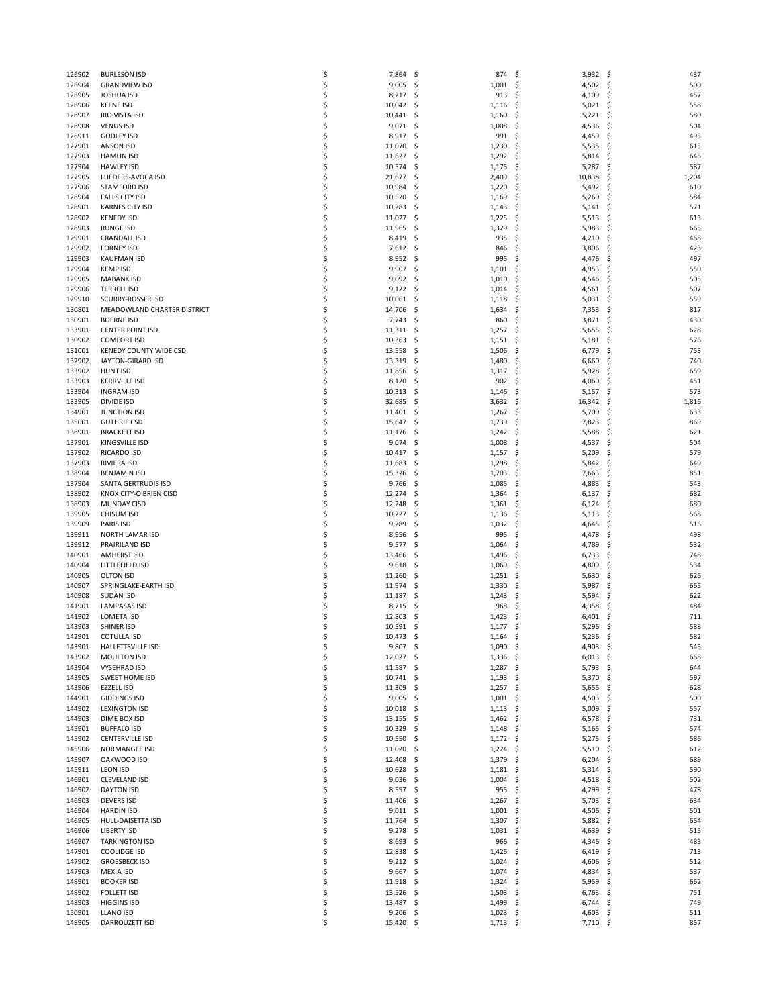| 126902           | <b>BURLESON ISD</b>         | \$       | 7,864<br>-\$       | 874                        | -\$<br>$3,932$ \$       | 437               |
|------------------|-----------------------------|----------|--------------------|----------------------------|-------------------------|-------------------|
| 126904           | <b>GRANDVIEW ISD</b>        | \$       | 9,005<br>- \$      | 1,001                      | 4,502 \$<br>- \$        | 500               |
|                  |                             |          |                    |                            |                         |                   |
| 126905           | <b>JOSHUA ISD</b>           | \$       | 8,217              | 913<br>\$.                 | 4,109<br>\$             | 457<br>\$.        |
| 126906           | <b>KEENE ISD</b>            | \$       | 10,042<br>-\$      | 1,116                      | \$<br>5,021             | -\$<br>558        |
| 126907           | RIO VISTA ISD               | \$       | $10,441$ \$        | 1,160                      | $5,221$ \$<br>\$        | 580               |
| 126908           | <b>VENUS ISD</b>            | \$       | $9,071$ \$         | 1,008                      | -\$<br>4,536            | 504<br>\$.        |
| 126911           | <b>GODLEY ISD</b>           | \$       | 8,917<br>-\$       | 991                        | \$<br>4,459             | 495<br>\$         |
| 127901           |                             | \$       | 11,070             |                            |                         | 615               |
|                  | ANSON ISD                   |          | -\$                | 1,230                      | \$<br>5,535             | \$.               |
| 127903           | <b>HAMLIN ISD</b>           | \$       | 11,627<br>-\$      | 1,292                      | \$<br>5,814             | \$.<br>646        |
| 127904           | <b>HAWLEY ISD</b>           | \$       | 10,574<br>-\$      | 1,175                      | \$<br>5,287             | 587<br>\$         |
| 127905           | LUEDERS-AVOCA ISD           | \$       | 21,677<br>-\$      | 2,409                      | 10,838<br>-\$           | 1,204<br>\$       |
| 127906           | <b>STAMFORD ISD</b>         | \$       | 10,984             | \$.<br>1,220               | \$<br>5,492             | 610<br>-\$        |
|                  |                             |          |                    |                            |                         |                   |
| 128904           | <b>FALLS CITY ISD</b>       | \$       | 10,520             | \$<br>1,169                | \$<br>5,260             | \$<br>584         |
| 128901           | <b>KARNES CITY ISD</b>      | \$       | 10,283             | 1,143<br>-\$               | \$<br>5,141             | 571<br>\$.        |
| 128902           | <b>KENEDY ISD</b>           | \$       | 11,027<br>-\$      | 1,225                      | \$<br>$5,513$ \$        | 613               |
| 128903           | <b>RUNGE ISD</b>            | \$       | 11,965<br>-\$      | 1,329                      | \$<br>5,983             | \$.<br>665        |
| 129901           | <b>CRANDALL ISD</b>         | \$       | 8,419<br>-\$       | 935                        | \$<br>4,210             | 468               |
|                  |                             |          |                    |                            |                         | \$.               |
| 129902           | <b>FORNEY ISD</b>           | \$       | $7,612$ \$         | 846                        | 3,806<br>\$             | 423<br>\$         |
| 129903           | <b>KAUFMAN ISD</b>          | \$       | 8,952<br>-\$       | 995                        | 4,476<br>\$             | 497<br>\$.        |
| 129904           | <b>KEMP ISD</b>             | \$       | $9,907$ \$         | 1,101                      | \$<br>4,953             | 550<br>S          |
| 129905           | <b>MABANK ISD</b>           | \$       | $9,092$ \$         | 1,010                      | \$<br>4,546             | 505<br>\$         |
|                  |                             | \$       |                    |                            |                         |                   |
| 129906           | <b>TERRELL ISD</b>          |          | 9,122<br>-\$       | 1,014                      | \$<br>4,561             | 507<br>-\$        |
| 129910           | SCURRY-ROSSER ISD           | \$       | 10,061<br>-\$      | 1,118                      | \$<br>5,031             | \$.<br>559        |
| 130801           | MEADOWLAND CHARTER DISTRICT | \$       | 14,706<br>-\$      | 1,634                      | -\$<br>7,353            | \$<br>817         |
| 130901           | <b>BOERNE ISD</b>           | \$       | 7,743<br>-\$       | 860                        | \$<br>3,871             | 430<br>\$.        |
| 133901           | <b>CENTER POINT ISD</b>     | \$       | $11,311 \quad $$   | 1,257                      | \$<br>5,655             | -\$<br>628        |
|                  |                             |          |                    |                            |                         |                   |
| 130902           | <b>COMFORT ISD</b>          | \$       | 10,363<br>-\$      | 1,151                      | \$<br>5,181             | 576<br>\$         |
| 131001           | KENEDY COUNTY WIDE CSD      | \$       | 13,558             | 1,506<br>-\$               | 6,779<br>\$.            | 753<br>\$.        |
| 132902           | JAYTON-GIRARD ISD           | \$       | 13,319<br>-\$      | 1,480                      | \$<br>6,660             | 740<br>S          |
| 133902           | <b>HUNT ISD</b>             | \$       | 11,856<br>-\$      | 1,317                      | \$<br>5,928             | \$<br>659         |
|                  |                             |          |                    |                            |                         |                   |
| 133903           | <b>KERRVILLE ISD</b>        | \$       | 8,120              | 902<br>-\$                 | \$<br>4,060             | 451<br>S          |
| 133904           | <b>INGRAM ISD</b>           | \$       | 10,313<br>-\$      | 1,146                      | \$<br>5,157             | 573<br>S          |
| 133905           | <b>DIVIDE ISD</b>           | \$       | 32,685<br>-\$      | 3,632                      | \$<br>16,342            | 1,816<br>\$       |
| 134901           | <b>JUNCTION ISD</b>         | \$       | 11,401<br>-\$      | 1,267                      | \$<br>5,700             | 633<br>\$.        |
| 135001           | <b>GUTHRIE CSD</b>          | \$       | 15,647<br>-\$      | 1,739                      | \$<br>7,823             | 869<br>\$.        |
|                  |                             |          |                    |                            |                         |                   |
| 136901           | <b>BRACKETT ISD</b>         | \$       | 11,176<br>-\$      | 1,242                      | \$<br>5,588             | \$<br>621         |
| 137901           | KINGSVILLE ISD              | \$       | 9,074<br>-\$       | 1,008                      | \$<br>4,537             | 504<br>- Ş        |
| 137902           | <b>RICARDO ISD</b>          | \$       | 10,417<br>-\$      | 1,157                      | 5,209<br>-\$            | 579<br>\$.        |
| 137903           | RIVIERA ISD                 | \$       | 11,683             | \$.<br>1,298               | \$<br>5,842             | \$<br>649         |
| 138904           | <b>BENJAMIN ISD</b>         | \$       | 15,326             |                            | \$<br>7,663             | 851<br>\$         |
|                  |                             |          | -\$                | 1,703                      |                         |                   |
| 137904           | SANTA GERTRUDIS ISD         | \$       | 9,766<br>-\$       | 1,085                      | \$<br>4,883             | 543<br>\$.        |
| 138902           | KNOX CITY-O'BRIEN CISD      | \$       | 12,274             | \$<br>1,364                | \$<br>6,137             | \$<br>682         |
| 138903           | <b>MUNDAY CISD</b>          | \$       | 12,248             | \$<br>1,361                | \$<br>6,124             | 680<br>\$.        |
| 139905           | CHISUM ISD                  | \$       | 10,227<br>-\$      | 1,136                      | \$<br>5,113             | 568<br>-\$        |
|                  |                             |          |                    |                            |                         |                   |
| 139909           | PARIS ISD                   | \$       | 9,289<br>-\$       | 1,032                      | \$<br>4,645             | \$<br>516         |
| 139911           | NORTH LAMAR ISD             | \$       | 8,956<br>-\$       | 995                        | \$<br>4,478             | 498<br>\$.        |
| 139912           | PRAIRILAND ISD              | \$       | 9,577              | \$.<br>1,064               | \$<br>4,789             | 532<br>S          |
| 140901           | <b>AMHERST ISD</b>          | \$       | 13,466<br>-\$      | 1,496                      | \$<br>6,733             | 748<br>\$.        |
| 140904           | LITTLEFIELD ISD             | \$       | 9,618<br>-\$       | 1,069                      | 4,809<br>\$             | 534<br>\$.        |
|                  |                             |          |                    |                            |                         |                   |
| 140905           | OLTON ISD                   | \$       | 11,260             | 1,251<br>Ş                 | \$<br>5,630             | 626<br>S          |
| 140907           | SPRINGLAKE-EARTH ISD        | \$       | 11,974<br>-\$      | 1,330                      | \$<br>5,987             | \$<br>665         |
| 140908           | <b>SUDAN ISD</b>            | \$       | 11,187<br>-\$      | 1,243                      | \$<br>5,594             | 622<br>\$.        |
| 141901           | <b>LAMPASAS ISD</b>         | \$       | 8,715<br>-\$       | 968                        | \$<br>4,358             | 484<br>S          |
| 141902           | <b>LOMETA ISD</b>           | \$       | 12,803             | \$<br>1,423                | \$<br>6,401             | 711<br>\$.        |
|                  |                             |          |                    |                            |                         |                   |
| 143903           | SHINER ISD                  | \$       | 10,591<br>-\$      | 1,177                      | 5,296<br>\$             | 588<br>\$.        |
| 142901           | <b>COTULLA ISD</b>          | Ś        | 10,473             | \$<br>1,164                | \$<br>5,236             | 582<br>\$,        |
| 143901           | HALLETTSVILLE ISD           | \$       | $9,807$ \$         | 1,090                      | 4,903 \$<br>- \$        | 545               |
| 143902           | <b>MOULTON ISD</b>          | \$       | 12,027<br>-\$      | 1,336                      | $6,013$ \$<br>-\$       | 668               |
| 143904           | <b>VYSEHRAD ISD</b>         | \$       | 11,587 \$          | $1,287$ \$                 | $5,793$ \$              | 644               |
|                  |                             |          |                    |                            |                         |                   |
| 143905           | SWEET HOME ISD              | \$       | 10,741 \$          | 1,193                      | -\$<br>5,370            | 597<br>- \$       |
| 143906           | EZZELL ISD                  | \$       | 11,309<br>- \$     | $1,257$ \$                 | 5,655                   | 628<br>- \$       |
| 144901           | <b>GIDDINGS ISD</b>         | \$       | $9,005$ \$         | $1,001$ \$                 | 4,503 \$                | 500               |
| 144902           | <b>LEXINGTON ISD</b>        | \$       | 10,018<br>-\$      | 1,113                      | 5,009<br>- \$           | 557<br>- \$       |
| 144903           |                             | \$       |                    |                            | 6,578                   | 731<br>- \$       |
|                  | DIME BOX ISD                |          | $13,155$ \$        | 1,462                      | - \$                    |                   |
| 145901           | <b>BUFFALO ISD</b>          | \$       | $10,329$ \$        | $1,148$ \$                 | $5,165$ \$              | 574               |
| 145902           | <b>CENTERVILLE ISD</b>      | \$       | 10,550<br>-\$      | 1,172                      | 5,275<br>-\$            | 586<br>- \$       |
| 145906           | NORMANGEE ISD               | \$       | 11,020<br>- \$     | 1,224                      | - \$<br>$5,510$ \$      | 612               |
| 145907           | OAKWOOD ISD                 | \$       | 12,408 \$          | 1,379                      | $6,204$ \$<br>- \$      | 689               |
|                  |                             |          |                    |                            |                         |                   |
| 145911           | <b>LEON ISD</b>             | \$       | 10,628<br>-\$      | 1,181                      | -\$<br>$5,314$ \$       | 590               |
| 146901           | <b>CLEVELAND ISD</b>        | \$       | $9,036$ \$         | $1,004$ \$                 | 4,518                   | 502<br>- \$       |
| 146902           | <b>DAYTON ISD</b>           | \$       | $8,597$ \$         | 955                        | 4,299<br>- \$           | 478<br>\$         |
| 146903           | <b>DEVERS ISD</b>           | \$       | 11,406<br>- \$     | 1,267                      | -\$<br>5,703            | - \$<br>634       |
| 146904           | <b>HARDIN ISD</b>           | \$       |                    |                            |                         | 501               |
|                  |                             |          | $9,011$ \$         | 1,001                      | - \$<br>4,506           | - \$              |
| 146905           | HULL-DAISETTA ISD           | \$       | 11,764 \$          | 1,307                      | 5,882 \$<br>-\$         | 654               |
| 146906           | <b>LIBERTY ISD</b>          | \$       | 9,278<br>-\$       | 1,031                      | - \$<br>4,639           | 515<br>-\$        |
| 146907           | <b>TARKINGTON ISD</b>       | \$       | $8,693$ \$         | 966                        | -\$<br>4,346            | 483<br>- \$       |
| 147901           | <b>COOLIDGE ISD</b>         | \$       | 12,838 \$          | 1,426                      | -\$<br>$6,419$ \$       | 713               |
|                  |                             |          |                    |                            |                         |                   |
| 147902           | <b>GROESBECK ISD</b>        | \$       | $9,212$ \$         | 1,024                      | - \$<br>4,606           | - \$<br>512       |
| 147903           | <b>MEXIA ISD</b>            | \$       | $9,667$ \$         | $1,074$ \$                 | 4,834 \$                | 537               |
| 148901           | <b>BOOKER ISD</b>           | \$       | 11,918<br>-\$      | 1,324                      | 5,959<br>\$             | \$<br>662         |
| 148902           | <b>FOLLETT ISD</b>          | \$       | 13,526<br>- S      | 1,503                      | -\$<br>$6,763$ \$       | 751               |
| 148903           | <b>HIGGINS ISD</b>          | \$       | 13,487 \$          | 1,499                      | - \$<br>$6,744$ \$      | 749               |
|                  |                             |          |                    |                            |                         |                   |
|                  |                             |          |                    |                            |                         |                   |
| 150901<br>148905 | LLANO ISD<br>DARROUZETT ISD | \$<br>\$ | 9,206<br>15,420 \$ | \$.<br>1,023<br>$1,713$ \$ | \$<br>4,603<br>7,710 \$ | \$.<br>511<br>857 |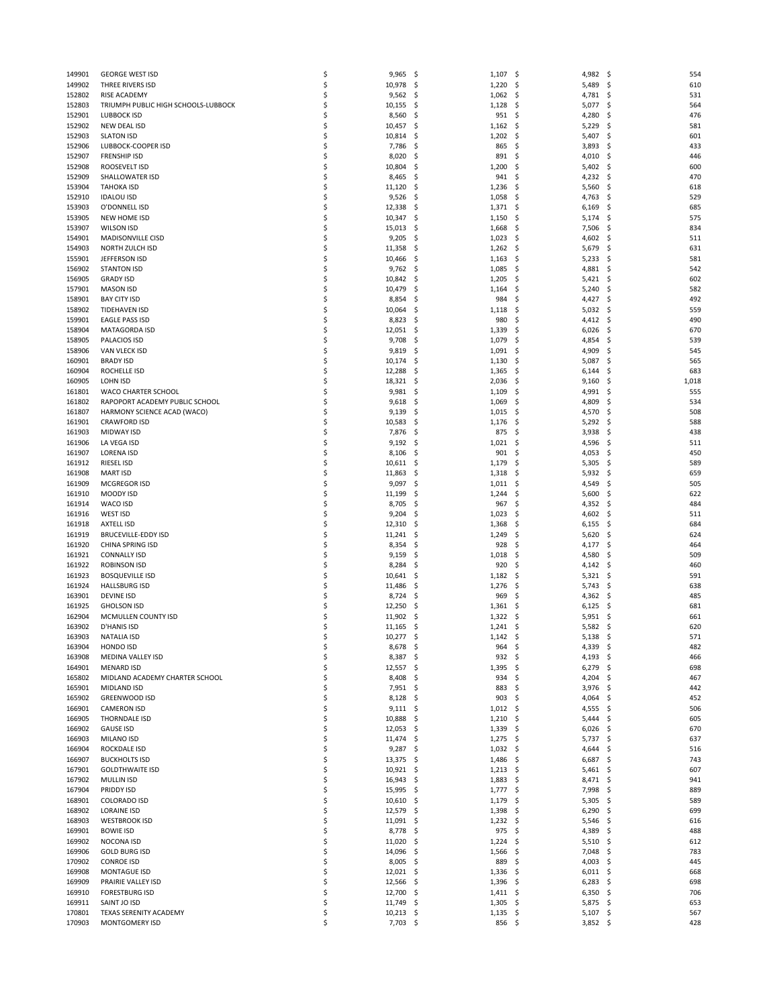| 149901 | <b>GEORGE WEST ISD</b>              | \$ | 9,965       | -\$  | 1,107            | \$<br>4,982    | -\$ | 554   |
|--------|-------------------------------------|----|-------------|------|------------------|----------------|-----|-------|
|        |                                     |    |             |      |                  |                |     |       |
| 149902 | THREE RIVERS ISD                    | \$ | 10,978      | -\$  | 1,220            | 5,489<br>\$    | -\$ | 610   |
| 152802 | RISE ACADEMY                        | \$ | 9,562       | \$.  | 1,062            | \$<br>4,781    | \$. | 531   |
| 152803 | TRIUMPH PUBLIC HIGH SCHOOLS-LUBBOCK | \$ | 10,155      | \$.  | 1,128            | \$<br>5,077    | \$. | 564   |
| 152901 | LUBBOCK ISD                         | \$ | 8,560       | \$.  | 951              | \$<br>4,280    | \$. | 476   |
| 152902 | NEW DEAL ISD                        | \$ | 10,457      | -\$  | 1,162            | \$<br>5,229    | \$  | 581   |
|        |                                     |    |             |      |                  |                |     |       |
| 152903 | <b>SLATON ISD</b>                   | \$ | 10,814      | \$.  | 1,202            | \$<br>5,407    | \$  | 601   |
| 152906 | LUBBOCK-COOPER ISD                  | \$ | 7,786       | \$.  | 865              | \$<br>3,893    | \$. | 433   |
| 152907 | <b>FRENSHIP ISD</b>                 | \$ | 8,020       | \$.  | 891              | \$<br>4,010    | .s  | 446   |
| 152908 | ROOSEVELT ISD                       | \$ | 10,804      | \$.  | 1,200            | \$<br>5,402    | \$. | 600   |
| 152909 | SHALLOWATER ISD                     | \$ | 8,465       | \$.  | 941              | \$<br>4,232    | \$. | 470   |
|        |                                     |    |             |      |                  |                |     |       |
| 153904 | <b>TAHOKA ISD</b>                   | \$ | 11,120      | \$.  | 1,236            | \$,<br>5,560   | .s  | 618   |
| 152910 | <b>IDALOU ISD</b>                   | \$ | 9,526       | \$   | 1,058            | \$<br>4,763    | \$  | 529   |
| 153903 | O'DONNELL ISD                       | \$ | 12,338      | -\$  | 1,371            | \$<br>6,169    | S   | 685   |
| 153905 | NEW HOME ISD                        | \$ | 10,347      | \$.  | 1,150            | 5,174<br>-\$   | \$. | 575   |
|        |                                     |    |             |      |                  |                |     |       |
| 153907 | <b>WILSON ISD</b>                   | \$ | 15,013      | \$.  | 1,668            | \$<br>7,506    | \$  | 834   |
| 154901 | <b>MADISONVILLE CISD</b>            | \$ | 9,205       | -\$  | 1,023            | \$<br>4,602    | -\$ | 511   |
| 154903 | NORTH ZULCH ISD                     | \$ | 11,358      | \$.  | 1,262            | \$<br>5,679    | \$. | 631   |
| 155901 | JEFFERSON ISD                       | \$ | 10,466      | -\$  | 1,163            | \$<br>5,233    | \$. | 581   |
| 156902 | <b>STANTON ISD</b>                  | \$ | 9,762       | \$.  | 1,085            | \$<br>4,881    | \$. | 542   |
|        |                                     |    |             |      |                  |                |     |       |
| 156905 | <b>GRADY ISD</b>                    | \$ | 10,842      | \$.  | 1,205            | \$<br>5,421    | \$. | 602   |
| 157901 | <b>MASON ISD</b>                    | \$ | 10,479      | -\$  | 1,164            | \$<br>5,240    | \$  | 582   |
| 158901 | <b>BAY CITY ISD</b>                 | \$ | 8,854       | .s   | 984              | \$<br>4,427    | \$. | 492   |
| 158902 | <b>TIDEHAVEN ISD</b>                | \$ | 10,064      | \$.  | 1,118            | \$<br>5,032    | \$. | 559   |
| 159901 | EAGLE PASS ISD                      | \$ | 8,823       | -\$  | 980              | \$<br>4,412    | \$  | 490   |
| 158904 | MATAGORDA ISD                       | \$ |             | \$.  |                  | \$             | \$. | 670   |
|        |                                     |    | 12,051      |      | 1,339            | 6,026          |     |       |
| 158905 | PALACIOS ISD                        | \$ | 9,708       | \$.  | 1,079            | \$<br>4,854    | \$  | 539   |
| 158906 | VAN VLECK ISD                       | \$ | 9,819       | -\$  | 1,091            | \$<br>4,909    | \$. | 545   |
| 160901 | <b>BRADY ISD</b>                    | \$ | 10,174      | \$.  | 1,130            | \$<br>5,087    | \$  | 565   |
| 160904 | ROCHELLE ISD                        | \$ | 12,288      | \$.  | 1,365            | \$<br>6,144    | \$  | 683   |
|        |                                     | Ś  |             |      |                  |                |     |       |
| 160905 | LOHN ISD                            |    | 18,321      | -\$  | 2,036            | \$<br>9,160    | \$. | 1,018 |
| 161801 | WACO CHARTER SCHOOL                 | \$ | 9,981       | -\$  | 1,109            | \$<br>4,991    | \$. | 555   |
| 161802 | RAPOPORT ACADEMY PUBLIC SCHOOL      | \$ | 9,618       | \$.  | 1,069            | \$<br>4,809    | \$  | 534   |
| 161807 | HARMONY SCIENCE ACAD (WACO)         | \$ | 9,139       | -\$  | 1,015            | \$<br>4,570    | \$. | 508   |
| 161901 | <b>CRAWFORD ISD</b>                 | \$ | 10,583      | \$.  | 1,176            | \$<br>5,292    | \$. | 588   |
|        |                                     |    |             |      |                  |                |     |       |
| 161903 | <b>MIDWAY ISD</b>                   | Ś  | 7,876       | \$.  | 875              | \$<br>3,938    | \$  | 438   |
| 161906 | LA VEGA ISD                         | \$ | 9,192       | Ş    | 1,021            | \$<br>4,596    | -\$ | 511   |
| 161907 | <b>LORENA ISD</b>                   | \$ | 8,106       | \$.  | 901              | \$<br>4,053    | \$. | 450   |
| 161912 | RIESEL ISD                          | \$ | 10,611      | \$.  | 1,179            | \$<br>5,305    | \$  | 589   |
| 161908 | <b>MART ISD</b>                     | \$ | 11,863      | -\$  | 1,318            | \$<br>5,932    | \$. | 659   |
|        |                                     |    |             |      |                  |                |     |       |
| 161909 | <b>MCGREGOR ISD</b>                 | \$ | 9,097       | \$.  | 1,011            | \$<br>4,549    | \$  | 505   |
| 161910 | MOODY ISD                           | \$ | 11,199      | \$.  | 1,244            | \$<br>5,600    | \$  | 622   |
| 161914 | WACO ISD                            | \$ | 8,705       | \$.  | 967              | \$<br>4,352    | -\$ | 484   |
| 161916 | WEST ISD                            | \$ | 9,204       | \$.  | 1,023            | \$<br>4,602    | \$. | 511   |
| 161918 | <b>AXTELL ISD</b>                   | \$ | 12,310      | \$.  | 1,368            | \$<br>6,155    | \$. | 684   |
|        |                                     |    |             |      |                  |                |     |       |
| 161919 | <b>BRUCEVILLE-EDDY ISD</b>          | \$ | $11,241$ \$ |      | 1,249            | \$<br>5,620    | \$. | 624   |
| 161920 | CHINA SPRING ISD                    | Ś  | 8,354       | -\$  | 928              | \$<br>4,177    | \$  | 464   |
| 161921 | <b>CONNALLY ISD</b>                 | \$ | 9,159       | -\$  | 1,018            | \$<br>4,580    | \$  | 509   |
| 161922 | <b>ROBINSON ISD</b>                 | \$ | 8,284       | \$.  | 920              | \$<br>4,142    | \$. | 460   |
| 161923 | <b>BOSQUEVILLE ISD</b>              | S  | 10,641      | -\$  | 1,182            | \$<br>5,321    | \$  | 591   |
|        |                                     |    |             |      |                  |                |     |       |
| 161924 | <b>HALLSBURG ISD</b>                | \$ | 11,486      | \$.  | 1,276            | \$<br>5,743    | \$. | 638   |
| 163901 | <b>DEVINE ISD</b>                   | \$ | 8,724       | -\$  | 969              | \$<br>4,362    | \$. | 485   |
| 161925 | <b>GHOLSON ISD</b>                  | S  | 12,250      | -\$  | 1,361            | \$<br>6,125    | \$. | 681   |
| 162904 | MCMULLEN COUNTY ISD                 | \$ | 11,902      | \$.  | 1,322            | \$<br>5,951    | \$  | 661   |
| 163902 | D'HANIS ISD                         | \$ |             | \$.  | 1,241            | \$<br>5,582    | \$. | 620   |
|        |                                     |    | 11,165      |      |                  |                |     |       |
| 163903 | <b>NATALIA ISD</b>                  | Ś  | 10,277      | S    | 1,142            | \$<br>5,138    | \$. | 571   |
| 163904 | HONDO ISD                           | \$ | $8,678$ \$  |      | 964              | \$<br>4,339 \$ |     | 482   |
| 163908 | MEDINA VALLEY ISD                   | \$ | 8,387       | -\$  | 932              | \$<br>4,193    | \$  | 466   |
| 164901 | <b>MENARD ISD</b>                   | \$ | 12,557      | \$.  | 1,395            | \$<br>6,279    | -\$ | 698   |
| 165802 | MIDLAND ACADEMY CHARTER SCHOOL      | \$ | 8,408       | -\$  | 934              | \$<br>4,204    | \$  | 467   |
|        |                                     |    |             |      |                  |                |     |       |
| 165901 | MIDLAND ISD                         | \$ | $7,951$ \$  |      | 883              | \$.<br>3,976   | \$. | 442   |
| 165902 | GREENWOOD ISD                       | \$ | $8,128$ \$  |      | 903              | \$<br>4,064    | \$. | 452   |
| 166901 | <b>CAMERON ISD</b>                  | \$ | $9,111$ \$  |      | 1,012            | \$<br>4,555    | \$  | 506   |
| 166905 | THORNDALE ISD                       | \$ | $10,888$ \$ |      | 1,210            | \$<br>5,444    | -\$ | 605   |
| 166902 | <b>GAUSE ISD</b>                    | \$ | $12,053$ \$ |      | 1,339            | \$<br>6,026    | -\$ | 670   |
|        |                                     |    |             |      |                  |                |     |       |
| 166903 | MILANO ISD                          | \$ | 11,474      | -\$  | 1,275            | \$<br>5,737    | \$  | 637   |
| 166904 | ROCKDALE ISD                        | \$ | $9,287$ \$  |      | $1,032$ \$       | 4,644          | -\$ | 516   |
| 166907 | <b>BUCKHOLTS ISD</b>                | \$ | $13,375$ \$ |      | 1,486            | \$<br>6,687    | \$  | 743   |
| 167901 | <b>GOLDTHWAITE ISD</b>              | \$ | 10,921      | -\$  | 1,213            | \$<br>5,461    | \$. | 607   |
| 167902 | <b>MULLIN ISD</b>                   | \$ |             |      |                  | \$<br>8,471    | -\$ | 941   |
|        |                                     |    | $16,943$ \$ |      | 1,883            |                |     |       |
| 167904 | PRIDDY ISD                          | \$ | $15,995$ \$ |      | 1,777            | \$<br>7,998    | \$. | 889   |
| 168901 | <b>COLORADO ISD</b>                 | \$ | 10,610      | -\$  | 1,179            | \$<br>5,305    | \$. | 589   |
| 168902 | <b>LORAINE ISD</b>                  | \$ | 12,579 \$   |      | 1,398            | -\$<br>6,290   | \$  | 699   |
| 168903 | <b>WESTBROOK ISD</b>                | \$ | 11,091 \$   |      | 1,232            | \$<br>5,546    | \$  | 616   |
| 169901 | <b>BOWIE ISD</b>                    | \$ |             |      | 975              | \$<br>4,389    | \$. | 488   |
|        |                                     |    | 8,778       | -\$  |                  |                |     |       |
| 169902 | NOCONA ISD                          | \$ | $11,020$ \$ |      | 1,224            | \$<br>5,510    | \$. | 612   |
| 169906 | <b>GOLD BURG ISD</b>                | \$ | 14,096      | -\$  | 1,566            | \$<br>7,048    | \$  | 783   |
| 170902 | <b>CONROE ISD</b>                   | \$ | $8,005$ \$  |      | 889              | \$<br>4,003    | \$. | 445   |
| 169908 | <b>MONTAGUE ISD</b>                 | \$ | $12,021$ \$ |      | 1,336            | \$<br>6,011    | \$  | 668   |
|        |                                     |    |             |      |                  |                |     |       |
| 169909 | PRAIRIE VALLEY ISD                  | \$ | 12,566      | \$.  | 1,396            | \$<br>6,283    | \$  | 698   |
| 169910 | <b>FORESTBURG ISD</b>               | \$ | 12,700      | -\$  | 1,411            | 6,350<br>-\$   | \$  | 706   |
| 169911 | SAINT JO ISD                        | \$ | 11,749      | - \$ | 1,305            | \$<br>5,875    | \$  | 653   |
| 170801 | TEXAS SERENITY ACADEMY              | \$ | $10,213$ \$ |      | 1,135            | \$<br>5,107    | \$  | 567   |
| 170903 | MONTGOMERY ISD                      | \$ | 7,703 \$    |      | $856\frac{2}{3}$ | $3,852$ \$     |     | 428   |
|        |                                     |    |             |      |                  |                |     |       |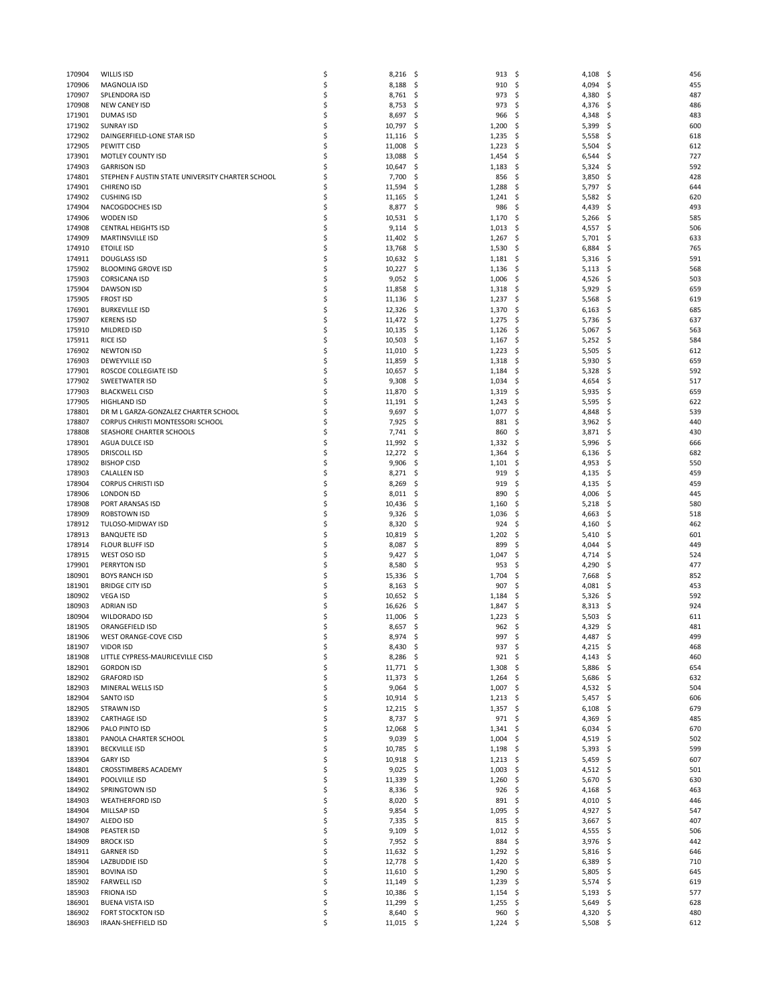| 170904           | <b>WILLIS ISD</b>                                | \$       | 8,216            | \$         | 913              | \$         | 4,108          | - \$        | 456        |
|------------------|--------------------------------------------------|----------|------------------|------------|------------------|------------|----------------|-------------|------------|
| 170906           | <b>MAGNOLIA ISD</b>                              | \$       | 8,188            | -\$        | 910              | \$         | 4,094          | \$,         | 455        |
| 170907           | SPLENDORA ISD                                    | \$       | 8,761            | -\$        | 973              | \$         | 4,380          | S           | 487        |
| 170908           | NEW CANEY ISD                                    | \$       | 8,753            | -\$        | 973              | \$         | 4,376          | \$,         | 486        |
| 171901           | <b>DUMAS ISD</b>                                 | \$       | 8,697            | -\$        | 966              | \$         | 4,348          | S           | 483        |
| 171902           | <b>SUNRAY ISD</b>                                | \$       | 10,797           | -\$        | 1,200            | \$         | 5,399          | S           | 600        |
| 172902           | DAINGERFIELD-LONE STAR ISD                       | \$       | 11,116           | -\$        | 1,235            | \$         | 5,558          | \$          | 618        |
| 172905           | PEWITT CISD                                      | \$       | 11,008           | -\$        | 1,223            | \$         | 5,504          | S           | 612        |
| 173901           | MOTLEY COUNTY ISD                                | Ś        | 13,088           | -\$        | 1,454            | \$         | 6,544          | \$          | 727        |
| 174903           | <b>GARRISON ISD</b>                              | \$       | 10,647           | -\$        | 1,183            | \$         | 5,324          | \$,         | 592        |
| 174801           | STEPHEN F AUSTIN STATE UNIVERSITY CHARTER SCHOOL | \$       | 7,700            | \$.        | 856              | \$         | 3,850          | S           | 428        |
| 174901<br>174902 | <b>CHIRENO ISD</b><br><b>CUSHING ISD</b>         | Ś<br>\$  | 11,594<br>11,165 | -\$<br>-\$ | 1,288<br>1,241   | \$<br>\$   | 5,797<br>5,582 | \$<br>\$,   | 644<br>620 |
| 174904           | NACOGDOCHES ISD                                  | \$       | 8,877            | -\$        | 986              | -\$        | 4,439          | S           | 493        |
| 174906           | <b>WODEN ISD</b>                                 | \$       | 10,531           | -\$        | 1,170            | \$         | 5,266          | S           | 585        |
| 174908           | <b>CENTRAL HEIGHTS ISD</b>                       | \$       | 9,114            | -\$        | 1,013            | \$         | 4,557          | S           | 506        |
| 174909           | <b>MARTINSVILLE ISD</b>                          | \$       | 11,402           | -\$        | 1,267            | -\$        | 5,701          | S           | 633        |
| 174910           | <b>ETOILE ISD</b>                                | \$       | 13,768           | \$         | 1,530            | \$         | 6,884          | \$          | 765        |
| 174911           | <b>DOUGLASS ISD</b>                              | \$       | 10,632           | -\$        | 1,181            | \$.        | 5,316          | S           | 591        |
| 175902           | <b>BLOOMING GROVE ISD</b>                        | \$       | 10,227           | -\$        | 1,136            | \$         | 5,113          | S           | 568        |
| 175903           | <b>CORSICANA ISD</b>                             | \$       | 9,052            | -\$        | 1,006            | \$         | 4,526          | \$          | 503        |
| 175904           | <b>DAWSON ISD</b>                                | \$       | 11,858           | \$.        | 1,318            | \$.        | 5,929          | S           | 659        |
| 175905           | <b>FROST ISD</b>                                 | \$       | 11,136           | -\$        | 1,237            | \$         | 5,568          | S           | 619        |
| 176901           | <b>BURKEVILLE ISD</b>                            | \$       | 12,326           | -\$        | 1,370            | \$         | 6,163          | \$          | 685        |
| 175907           | <b>KERENS ISD</b>                                | \$       | 11,472           | -\$        | 1,275            | -\$        | 5,736          | S           | 637        |
| 175910           | MILDRED ISD                                      | \$       | 10,135           | -\$        | 1,126            | \$         | 5,067          | \$,         | 563        |
| 175911<br>176902 | <b>RICE ISD</b><br><b>NEWTON ISD</b>             | \$       | 10,503           | \$         | 1,167            | \$         | 5,252          | \$<br>\$    | 584<br>612 |
| 176903           | DEWEYVILLE ISD                                   | \$<br>\$ | 11,010<br>11,859 | -\$<br>\$  | 1,223<br>1,318   | -\$<br>\$  | 5,505<br>5,930 | \$          | 659        |
| 177901           | ROSCOE COLLEGIATE ISD                            | \$       | 10,657           | \$         | 1,184            | \$         | 5,328          | S           | 592        |
| 177902           | SWEETWATER ISD                                   | \$       | 9,308            | \$.        | 1,034            | \$         | 4,654          | \$,         | 517        |
| 177903           | <b>BLACKWELL CISD</b>                            | \$       | 11,870           | \$         | 1,319            | \$         | 5,935          | S.          | 659        |
| 177905           | <b>HIGHLAND ISD</b>                              | \$       | 11,191           | -\$        | 1,243            | \$         | 5,595          | S           | 622        |
| 178801           | DR M L GARZA-GONZALEZ CHARTER SCHOOL             | \$       | 9,697            | -\$        | 1,077            | \$         | 4,848          | S           | 539        |
| 178807           | CORPUS CHRISTI MONTESSORI SCHOOL                 | \$       | 7,925            | -\$        | 881              | -\$        | 3,962          | \$,         | 440        |
| 178808           | SEASHORE CHARTER SCHOOLS                         | \$       | 7,741            | -\$        | 860              | \$         | 3,871          | S           | 430        |
| 178901           | AGUA DULCE ISD                                   | \$       | 11,992           | -\$        | 1,332            | -\$        | 5,996          | S           | 666        |
| 178905           | <b>DRISCOLL ISD</b>                              | \$       | 12,272           | -\$        | 1,364            | \$         | 6,136          | S           | 682        |
| 178902           | <b>BISHOP CISD</b>                               | \$       | 9,906            | -\$        | 1,101            | \$         | 4,953          | \$,         | 550        |
| 178903<br>178904 | <b>CALALLEN ISD</b><br><b>CORPUS CHRISTI ISD</b> | \$<br>\$ | 8,271<br>8,269   | -\$<br>\$  | 919<br>919       | \$<br>\$   | 4,135<br>4,135 | S<br>S      | 459<br>459 |
| 178906           | <b>LONDON ISD</b>                                | \$       | 8,011            | -\$        | 890              | \$         | 4,006          | S           | 445        |
| 178908           | PORT ARANSAS ISD                                 | \$       | 10,436           | -\$        | 1,160            | \$         | 5,218          | S           | 580        |
| 178909           | ROBSTOWN ISD                                     | \$       | 9,326            | -\$        | 1,036            | \$         | 4,663          | S           | 518        |
| 178912           | TULOSO-MIDWAY ISD                                | \$       | 8,320            | -\$        | 924              | \$         | 4,160          | S           | 462        |
| 178913           | <b>BANQUETE ISD</b>                              | \$       | 10,819           | -\$        | 1,202            | -\$        | 5,410          | S           | 601        |
| 178914           | <b>FLOUR BLUFF ISD</b>                           | \$       | 8,087            | -\$        | 899              | \$         | 4,044          | S           | 449        |
| 178915           | WEST OSO ISD                                     | \$       | 9,427            | -\$        | 1,047            | \$         | 4,714          | \$,         | 524        |
| 179901           | PERRYTON ISD                                     | \$       | 8,580            | \$         | 953              | \$         | 4,290          |             | 477        |
| 180901           | <b>BOYS RANCH ISD</b><br><b>BRIDGE CITY ISD</b>  | \$<br>\$ | 15,336           | -\$        | 1,704            | \$         | 7,668          | S           | 852        |
| 181901<br>180902 | <b>VEGA ISD</b>                                  | \$       | 8,163<br>10,652  | -\$<br>-\$ | 907<br>1,184     | \$<br>\$   | 4,081<br>5,326 | \$,         | 453<br>592 |
| 180903           | <b>ADRIAN ISD</b>                                | \$       | 16,626           | -\$        | 1,847            | -\$        | 8,313          | S           | 924        |
| 180904           | WILDORADO ISD                                    | \$       | 11,006           | \$         | 1,223            | \$         | 5,503          | S           | 611        |
| 181905           | ORANGEFIELD ISD                                  | \$       | 8,657            | -\$        | 962              | \$         | 4,329          | S           | 481        |
| 181906           | WEST ORANGE-COVE CISD                            | Ś        | 8,974            | \$         | 997              | \$         | 4,487          | \$          | 499        |
| 181907           | VIDOR ISD                                        | \$       | 8,430            | -\$        | 937 \$           |            | $4,215$ \$     |             | 468        |
| 181908           | LITTLE CYPRESS-MAURICEVILLE CISD                 | \$       | 8,286            | -\$        | 921              | -\$        | $4,143$ \$     |             | 460        |
| 182901           | <b>GORDON ISD</b>                                | \$       | 11,771           | -\$        | 1,308            | \$         | 5,886 \$       |             | 654        |
| 182902           | <b>GRAFORD ISD</b>                               | \$       | 11,373           | -\$        | 1,264            | \$         | 5,686          | \$,         | 632        |
| 182903           | MINERAL WELLS ISD                                | \$       | 9,064            | -\$        | 1,007            | -\$        | 4,532          | \$,         | 504        |
| 182904           | SANTO ISD                                        | \$       | 10,914           | -\$        | $1,213$ \$       |            | 5,457          | \$          | 606        |
| 182905           | <b>STRAWN ISD</b>                                | \$       | 12,215           | -\$        | 1,357            | - \$       | 6,108          | \$          | 679        |
| 183902           | <b>CARTHAGE ISD</b>                              | \$       | 8,737 \$         |            | 971              | - \$       | 4,369          | \$,         | 485        |
| 182906           | PALO PINTO ISD                                   | \$       | 12,068           | -\$        | 1,341            | -\$        | 6,034          | \$          | 670        |
| 183801<br>183901 | PANOLA CHARTER SCHOOL<br><b>BECKVILLE ISD</b>    | \$<br>\$ | 9,039<br>10,785  | -\$<br>-\$ | 1,004<br>1,198   | \$,<br>-\$ | 4,519<br>5,393 | \$,<br>- \$ | 502<br>599 |
| 183904           | <b>GARY ISD</b>                                  | \$       | 10,918           | -\$        | 1,213            | -\$        | 5,459          | \$,         | 607        |
| 184801           | CROSSTIMBERS ACADEMY                             | \$       | 9,025            | -\$        | 1,003            | \$         | $4,512$ \$     |             | 501        |
| 184901           | POOLVILLE ISD                                    | \$       | 11,339           | -\$        | 1,260            | -\$        | 5,670          | \$,         | 630        |
| 184902           | SPRINGTOWN ISD                                   | \$       | 8,336            | -\$        | 926              | \$         | 4,168          | \$          | 463        |
| 184903           | <b>WEATHERFORD ISD</b>                           | \$       | 8,020            | -\$        | 891              | -\$        | 4,010          | -\$         | 446        |
| 184904           | MILLSAP ISD                                      | \$       | 9,854            | -\$        | 1,095            | - \$       | $4,927$ \$     |             | 547        |
| 184907           | ALEDO ISD                                        | \$       | 7,335            | -\$        | 815              | \$         | 3,667          | \$          | 407        |
| 184908           | PEASTER ISD                                      | \$       | 9,109            | -\$        | $1,012 \quad$ \$ |            | 4,555          | \$,         | 506        |
| 184909           | <b>BROCK ISD</b>                                 | \$       | $7,952$ \$       |            | 884              | -\$        | 3,976          | - \$        | 442        |
| 184911<br>185904 | <b>GARNER ISD</b><br>LAZBUDDIE ISD               | \$<br>\$ | 11,632<br>12,778 | -\$<br>-\$ | 1,292<br>1,420   | \$<br>-\$  | 5,816<br>6,389 | \$<br>\$    | 646<br>710 |
| 185901           | <b>BOVINA ISD</b>                                | \$       | 11,610           | -\$        | 1,290            | -\$        | 5,805          | -\$         | 645        |
| 185902           | <b>FARWELL ISD</b>                               | \$       | 11,149           | -\$        | 1,239            | \$         | 5,574          | \$,         | 619        |
| 185903           | <b>FRIONA ISD</b>                                | \$       | 10,386           | -\$        | 1,154            | -\$        | 5,193          | \$,         | 577        |
| 186901           | <b>BUENA VISTA ISD</b>                           | \$       | 11,299           | -\$        | 1,255            | - \$       | 5,649          | - \$        | 628        |
| 186902           | <b>FORT STOCKTON ISD</b>                         | \$       | 8,640            | \$         | 960              | \$         | 4,320 \$       |             | 480        |
| 186903           | IRAAN-SHEFFIELD ISD                              | \$       | 11,015 \$        |            | $1,224$ \$       |            | $5,508$ \$     |             | 612        |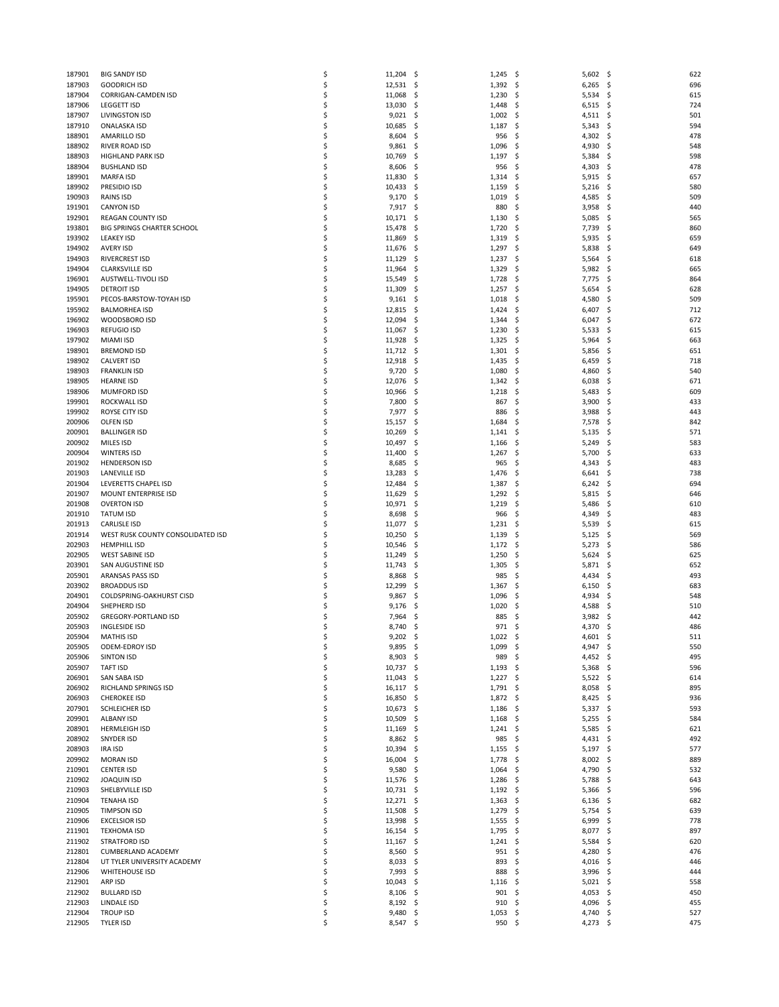| 187901 | <b>BIG SANDY ISD</b>              | \$ | 11,204   | -\$ | 1,245 | -\$  | $5,602$ \$ |      | 622 |
|--------|-----------------------------------|----|----------|-----|-------|------|------------|------|-----|
|        |                                   | \$ |          |     | 1,392 |      |            |      | 696 |
| 187903 | <b>GOODRICH ISD</b>               |    | 12,531   | \$. |       | \$   | 6,265      | -\$  |     |
| 187904 | CORRIGAN-CAMDEN ISD               | \$ | 11,068   | \$. | 1,230 | \$   | $5,534$ \$ |      | 615 |
| 187906 | <b>LEGGETT ISD</b>                | \$ | 13,030   | \$. | 1,448 | -\$  | 6,515      | \$.  | 724 |
| 187907 | <b>LIVINGSTON ISD</b>             | \$ | 9,021    | -\$ | 1,002 | -\$  | $4,511$ \$ |      | 501 |
| 187910 | <b>ONALASKA ISD</b>               | \$ | 10,685   | -\$ | 1,187 | -\$  | 5,343      | -\$  | 594 |
|        |                                   |    |          |     |       |      |            |      |     |
| 188901 | AMARILLO ISD                      | \$ | 8,604    | \$  | 956   | \$   | 4,302      | \$   | 478 |
| 188902 | RIVER ROAD ISD                    | \$ | 9,861    | -\$ | 1,096 | -\$  | 4,930      | -\$  | 548 |
| 188903 | <b>HIGHLAND PARK ISD</b>          | \$ | 10,769   | \$. | 1,197 | -\$  | 5,384      | \$   | 598 |
| 188904 | <b>BUSHLAND ISD</b>               | \$ | 8,606    | \$  | 956   | \$   | 4,303      | \$   | 478 |
| 189901 | <b>MARFA ISD</b>                  | \$ | 11,830   | -\$ | 1,314 | -\$  | 5,915      | S    | 657 |
|        |                                   |    |          |     |       |      |            |      |     |
| 189902 | PRESIDIO ISD                      | \$ | 10,433   | \$. | 1,159 | \$   | 5,216      | -\$  | 580 |
| 190903 | RAINS ISD                         | \$ | 9,170    | \$  | 1,019 | \$   | 4,585      | S    | 509 |
| 191901 | <b>CANYON ISD</b>                 | \$ | 7,917    | \$. | 880   | \$   | 3,958      | S    | 440 |
| 192901 | <b>REAGAN COUNTY ISD</b>          | \$ | 10,171   | -\$ | 1,130 | \$   | 5,085      | \$.  | 565 |
| 193801 | <b>BIG SPRINGS CHARTER SCHOOL</b> | \$ | 15,478   | \$, | 1,720 | \$   | 7,739      |      | 860 |
|        |                                   |    |          |     |       |      |            | \$.  |     |
| 193902 | <b>LEAKEY ISD</b>                 | \$ | 11,869   | -\$ | 1,319 | \$   | 5,935      | S    | 659 |
| 194902 | <b>AVERY ISD</b>                  | \$ | 11,676   | \$. | 1,297 | -\$  | 5,838      | S    | 649 |
| 194903 | RIVERCREST ISD                    | \$ | 11,129   | \$  | 1,237 | \$   | 5,564      | \$.  | 618 |
| 194904 | <b>CLARKSVILLE ISD</b>            | \$ | 11,964   | \$. | 1,329 | -\$  | 5,982      | \$.  | 665 |
|        |                                   |    |          |     |       |      |            |      |     |
| 196901 | AUSTWELL-TIVOLI ISD               | \$ | 15,549   | \$, | 1,728 | \$   | 7,775      | S    | 864 |
| 194905 | <b>DETROIT ISD</b>                | \$ | 11,309   | \$  | 1,257 | \$   | 5,654      | \$.  | 628 |
| 195901 | PECOS-BARSTOW-TOYAH ISD           | \$ | 9,161    | -\$ | 1,018 | -\$  | 4,580      | \$   | 509 |
| 195902 | <b>BALMORHEA ISD</b>              | \$ | 12,815   | -\$ | 1,424 | \$   | 6,407      | \$.  | 712 |
| 196902 | WOODSBORO ISD                     | \$ | 12,094   | \$  | 1,344 | \$   | 6,047      | \$.  | 672 |
|        |                                   |    |          |     |       |      |            |      |     |
| 196903 | <b>REFUGIO ISD</b>                | \$ | 11,067   | \$. | 1,230 | \$   | 5,533      | S    | 615 |
| 197902 | <b>MIAMI ISD</b>                  | \$ | 11,928   | \$. | 1,325 | -\$  | 5,964      | \$   | 663 |
| 198901 | <b>BREMOND ISD</b>                | \$ | 11,712   | -\$ | 1,301 | \$   | 5,856      | \$.  | 651 |
| 198902 | <b>CALVERT ISD</b>                | \$ | 12,918   | -\$ | 1,435 | \$   | 6,459      | S    | 718 |
|        |                                   |    |          |     |       |      |            |      |     |
| 198903 | <b>FRANKLIN ISD</b>               | \$ | 9,720    | \$. | 1,080 | -\$  | 4,860      | S    | 540 |
| 198905 | <b>HEARNE ISD</b>                 | \$ | 12,076   | \$  | 1,342 | \$   | 6,038      | S    | 671 |
| 198906 | <b>MUMFORD ISD</b>                | \$ | 10,966   | -\$ | 1,218 | \$   | 5,483      | S    | 609 |
| 199901 | ROCKWALL ISD                      | \$ | 7,800    | -\$ | 867   | -\$  | 3,900      | S    | 433 |
| 199902 | ROYSE CITY ISD                    | \$ | 7,977    | \$. | 886   | \$   | 3,988      | \$.  | 443 |
|        |                                   |    |          |     |       |      |            |      |     |
| 200906 | OLFEN ISD                         | \$ | 15,157   | -\$ | 1,684 | \$   | 7,578      | S    | 842 |
| 200901 | <b>BALLINGER ISD</b>              | \$ | 10,269   | \$. | 1,141 | -\$  | 5,135      | \$   | 571 |
| 200902 | MILES ISD                         | \$ | 10,497   | -\$ | 1,166 | \$   | 5,249      | \$.  | 583 |
| 200904 | <b>WINTERS ISD</b>                | \$ | 11,400   | \$, | 1,267 | -\$  | 5,700      | S    | 633 |
| 201902 | <b>HENDERSON ISD</b>              | \$ | 8,685    | \$. | 965   | -\$  | 4,343      | \$   | 483 |
|        |                                   |    |          |     |       |      |            |      |     |
| 201903 | <b>LANEVILLE ISD</b>              | \$ | 13,283   | \$, | 1,476 | \$   | 6,641      | S    | 738 |
| 201904 | LEVERETTS CHAPEL ISD              | \$ | 12,484   | \$. | 1,387 | \$   | 6,242      | S    | 694 |
| 201907 | MOUNT ENTERPRISE ISD              | \$ | 11,629   | \$. | 1,292 | -\$  | 5,815      | .s   | 646 |
| 201908 | <b>OVERTON ISD</b>                | \$ | 10,971   | \$. | 1,219 | \$   | 5,486      | S    | 610 |
|        |                                   |    |          |     |       |      |            |      |     |
| 201910 | <b>TATUM ISD</b>                  | \$ | 8,698    | \$. | 966   | -\$  | 4,349      | \$.  | 483 |
| 201913 | <b>CARLISLE ISD</b>               | \$ | 11,077   | \$. | 1,231 | -\$  | 5,539      | \$   | 615 |
| 201914 | WEST RUSK COUNTY CONSOLIDATED ISD | \$ | 10,250   | \$. | 1,139 | \$.  | 5,125      | \$.  | 569 |
| 202903 | <b>HEMPHILL ISD</b>               | \$ | 10,546   | \$. | 1,172 | -\$  | 5,273      | \$.  | 586 |
| 202905 | <b>WEST SABINE ISD</b>            | \$ | 11,249   | \$. | 1,250 | \$   | 5,624      | \$   | 625 |
|        |                                   |    |          |     |       |      |            |      |     |
| 203901 | SAN AUGUSTINE ISD                 | \$ | 11,743   | -\$ | 1,305 | -\$  | 5,871      | S    | 652 |
| 205901 | ARANSAS PASS ISD                  | \$ | 8,868    | \$. | 985   | -\$  | 4,434      | \$.  | 493 |
| 203902 | <b>BROADDUS ISD</b>               | \$ | 12,299   | \$  | 1,367 | \$   | 6,150      | \$   | 683 |
| 204901 | COLDSPRING-OAKHURST CISD          | \$ | 9,867    | -\$ | 1,096 | \$   | 4,934      | S    | 548 |
|        | SHEPHERD ISD                      |    |          |     |       |      |            |      |     |
| 204904 |                                   | \$ | 9,176    | \$, | 1,020 | \$   | 4,588      | \$.  | 510 |
| 205902 | <b>GREGORY-PORTLAND ISD</b>       | \$ | 7,964    | Ś   | 885   | \$   | 3,982      |      | 442 |
| 205903 | <b>INGLESIDE ISD</b>              | \$ | 8,740    | \$. | 971   | -\$  | 4,370      | S    | 486 |
| 205904 | <b>MATHIS ISD</b>                 | Ś  | 9,202    | S,  | 1,022 | -\$  | $4,601$ \$ |      | 511 |
| 205905 | ODEM-EDROY ISD                    | \$ | 9,895    | -\$ | 1,099 | -\$  | 4,947 \$   |      | 550 |
|        |                                   |    |          |     |       |      |            |      |     |
| 205906 | <b>SINTON ISD</b>                 | \$ | 8,903    | -\$ | 989   | -\$  | 4,452 \$   |      | 495 |
| 205907 | <b>TAFT ISD</b>                   | \$ | 10,737   | -\$ | 1,193 | -\$  | $5,368$ \$ |      | 596 |
| 206901 | SAN SABA ISD                      | \$ | 11,043   | \$  | 1,227 | \$   | $5,522$ \$ |      | 614 |
| 206902 | RICHLAND SPRINGS ISD              | \$ | 16,117   | \$  | 1,791 | - \$ | 8,058      | - \$ | 895 |
| 206903 | <b>CHEROKEE ISD</b>               | \$ | 16,850   | \$  | 1,872 | -\$  | $8,425$ \$ |      | 936 |
|        |                                   |    |          |     |       |      |            |      |     |
| 207901 | SCHLEICHER ISD                    | \$ | 10,673   | -\$ | 1,186 | \$   | $5,337$ \$ |      | 593 |
| 209901 | <b>ALBANY ISD</b>                 | \$ | 10,509   | \$  | 1,168 | -\$  | $5,255$ \$ |      | 584 |
| 208901 | <b>HERMLEIGH ISD</b>              | \$ | 11,169   | \$. | 1,241 | -\$  | 5,585      | \$.  | 621 |
| 208902 | SNYDER ISD                        | \$ | 8,862    | \$  | 985   | \$,  | 4,431      | - \$ | 492 |
| 208903 | <b>IRA ISD</b>                    | \$ |          | \$. |       | -\$  | $5,197$ \$ |      | 577 |
|        |                                   |    | 10,394   |     | 1,155 |      |            |      |     |
| 209902 | <b>MORAN ISD</b>                  | \$ | 16,004   | -\$ | 1,778 | \$   | 8,002      | \$.  | 889 |
| 210901 | <b>CENTER ISD</b>                 | \$ | 9,580    | \$  | 1,064 | \$   | 4,790      | \$   | 532 |
| 210902 | <b>JOAQUIN ISD</b>                | \$ | 11,576   | \$. | 1,286 | -\$  | 5,788      | \$.  | 643 |
| 210903 | SHELBYVILLE ISD                   | \$ | 10,731   | -\$ | 1,192 | -\$  | 5,366      | \$.  | 596 |
|        |                                   |    |          |     |       |      |            |      |     |
| 210904 | <b>TENAHA ISD</b>                 | \$ | 12,271   | \$  | 1,363 | \$   | 6,136      | \$   | 682 |
| 210905 | <b>TIMPSON ISD</b>                | \$ | 11,508   | \$. | 1,279 | \$   | 5,754      | \$.  | 639 |
| 210906 | <b>EXCELSIOR ISD</b>              | \$ | 13,998   | \$. | 1,555 | -\$  | 6,999      | - \$ | 778 |
| 211901 | <b>TEXHOMA ISD</b>                | \$ | 16,154   | \$  | 1,795 | \$   | 8,077      | \$   | 897 |
| 211902 | <b>STRATFORD ISD</b>              | \$ |          | \$  | 1,241 | -\$  | 5,584      |      | 620 |
|        |                                   |    | 11,167   |     |       |      |            | \$.  |     |
| 212801 | CUMBERLAND ACADEMY                | \$ | 8,560    | \$  | 951   | -\$  | 4,280      | \$.  | 476 |
| 212804 | UT TYLER UNIVERSITY ACADEMY       | \$ | 8,033    | \$  | 893   | \$   | 4,016      | - \$ | 446 |
| 212906 | <b>WHITEHOUSE ISD</b>             | \$ | 7,993    | \$. | 888   | \$   | 3,996      | \$.  | 444 |
| 212901 | ARP ISD                           | \$ | 10,043   | \$. | 1,116 | -\$  | $5,021$ \$ |      | 558 |
|        |                                   |    |          |     |       |      |            |      |     |
| 212902 | <b>BULLARD ISD</b>                | \$ | 8,106    | \$  | 901   | \$   | 4,053      | \$.  | 450 |
| 212903 | LINDALE ISD                       | \$ | 8,192    | \$. | 910   | \$   | 4,096 \$   |      | 455 |
| 212904 | <b>TROUP ISD</b>                  | \$ | 9,480    | \$. | 1,053 | -\$  | 4,740 \$   |      | 527 |
| 212905 | TYLER ISD                         | \$ | 8,547 \$ |     | 950%  |      | $4,273$ \$ |      | 475 |
|        |                                   |    |          |     |       |      |            |      |     |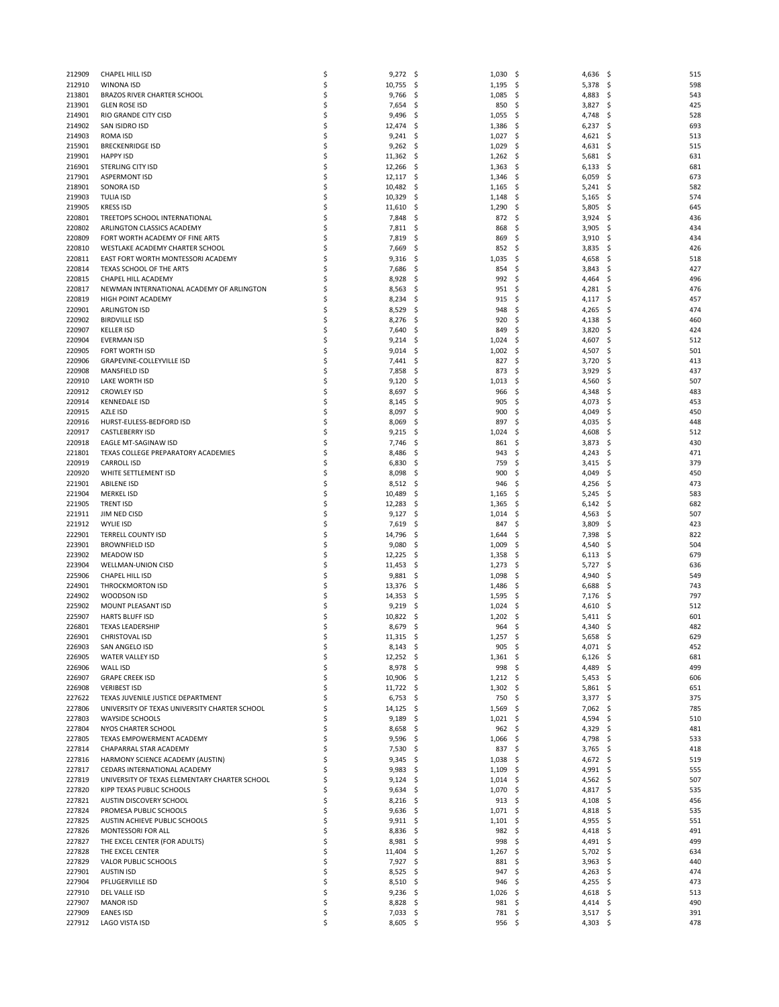| 212909           | CHAPEL HILL ISD                                    | \$       | 9,272            | -\$        | 1,030          | \$        | 4,636          | - \$       | 515        |
|------------------|----------------------------------------------------|----------|------------------|------------|----------------|-----------|----------------|------------|------------|
| 212910           | WINONA ISD                                         | \$       | 10,755           | -\$        | 1,195          | \$        | 5,378          | S.         | 598        |
| 213801           | BRAZOS RIVER CHARTER SCHOOL                        | \$       | 9,766            | -\$        | 1,085          | - \$      | 4,883          | \$         | 543        |
| 213901           | <b>GLEN ROSE ISD</b>                               | \$       | 7,654            | -\$        | 850            | -\$       | 3,827          | \$,        | 425        |
| 214901           | RIO GRANDE CITY CISD                               | \$       | 9,496            | -S         | 1,055          | -\$       | 4,748          | -S         | 528        |
| 214902           | SAN ISIDRO ISD                                     | Ś        | 12,474           | -\$        | 1,386          | -\$       | 6,237          | S          | 693        |
| 214903           | <b>ROMA ISD</b>                                    | Ś        | 9,241            | -\$        | 1,027          | \$        | 4,621          | S          | 513        |
| 215901           | <b>BRECKENRIDGE ISD</b>                            | \$       | 9,262            | -\$        | 1,029          | -\$       | 4,631          | S          | 515        |
| 219901           | <b>HAPPY ISD</b>                                   | \$       | 11,362           | -\$        | 1,262          | -\$       | 5,681          | \$         | 631        |
| 216901           | STERLING CITY ISD                                  | \$       | 12,266           | -\$        | 1,363          | -\$       | 6,133          | \$,        | 681        |
| 217901           | <b>ASPERMONT ISD</b>                               | \$       | 12,117           | -\$        | 1,346          | -\$       | 6,059          | S          | 673        |
| 218901           | SONORA ISD                                         | \$<br>Ś  | 10,482           | \$.        | 1,165          | -\$       | 5,241          | \$         | 582        |
| 219903<br>219905 | TULIA ISD<br><b>KRESS ISD</b>                      | \$       | 10,329<br>11,610 | -\$<br>-\$ | 1,148<br>1,290 | -\$<br>\$ | 5,165<br>5,805 | Ş<br>S     | 574<br>645 |
| 220801           | TREETOPS SCHOOL INTERNATIONAL                      | \$       | 7,848            | \$         | 872            | \$        | 3,924          | \$         | 436        |
| 220802           | ARLINGTON CLASSICS ACADEMY                         | \$       | 7,811            | -\$        | 868            | \$        | 3,905          | S          | 434        |
| 220809           | FORT WORTH ACADEMY OF FINE ARTS                    | \$       | 7,819            | -\$        | 869            | \$        | 3,910          | S          | 434        |
| 220810           | WESTLAKE ACADEMY CHARTER SCHOOL                    | Ś        | 7,669            | \$         | 852            | \$        | 3,835          | S          | 426        |
| 220811           | EAST FORT WORTH MONTESSORI ACADEMY                 | \$       | 9,316            | -\$        | 1,035          | -\$       | 4,658          | S          | 518        |
| 220814           | TEXAS SCHOOL OF THE ARTS                           | Ś        | 7,686            | -\$        | 854            | -\$       | 3,843          | S          | 427        |
| 220815           | CHAPEL HILL ACADEMY                                | Ś        | 8,928            | \$         | 992            | \$        | 4,464          | S          | 496        |
| 220817           | NEWMAN INTERNATIONAL ACADEMY OF ARLINGTON          | \$       | 8,563            | -\$        | 951            | -\$       | 4,281          | S          | 476        |
| 220819           | HIGH POINT ACADEMY                                 | Ś        | 8,234            | -\$        | 915            | -\$       | 4,117          | \$,        | 457        |
| 220901           | ARLINGTON ISD                                      | Ś        | 8,529            | \$.        | 948            | \$        | 4,265          | S          | 474        |
| 220902           | <b>BIRDVILLE ISD</b>                               | Ś        | 8,276            | -\$        | 920            | \$        | 4,138          | S          | 460        |
| 220907           | <b>KELLER ISD</b>                                  | \$       | 7,640            | -\$        | 849            | \$        | 3,820          | S          | 424        |
| 220904           | <b>EVERMAN ISD</b>                                 | \$       | 9,214            | \$.        | 1,024          | \$        | 4,607          | S          | 512        |
| 220905<br>220906 | FORT WORTH ISD<br><b>GRAPEVINE-COLLEYVILLE ISD</b> | \$<br>\$ | 9,014<br>7,441   | -\$<br>-\$ | 1,002<br>827   | -\$<br>\$ | 4,507<br>3,720 | S<br>S     | 501<br>413 |
| 220908           | <b>MANSFIELD ISD</b>                               | \$       | 7,858            | \$.        | 873            | \$        | 3,929          | S          | 437        |
| 220910           | LAKE WORTH ISD                                     | \$       | 9,120            | -\$        | 1,013          | -\$       | 4,560          | S          | 507        |
| 220912           | <b>CROWLEY ISD</b>                                 | Ś        | 8,697            | -\$        | 966            | \$        | 4,348          | S          | 483        |
| 220914           | <b>KENNEDALE ISD</b>                               | \$       | 8,145            | -\$        | 905            | \$        | 4,073          | S          | 453        |
| 220915           | AZLE ISD                                           | \$       | 8,097            | -\$        | 900            | \$        | 4,049          | S          | 450        |
| 220916           | HURST-EULESS-BEDFORD ISD                           | \$       | 8,069            | -\$        | 897            | \$        | 4,035          | S          | 448        |
| 220917           | <b>CASTLEBERRY ISD</b>                             | \$       | 9,215            | -\$        | 1,024          | \$        | 4,608          | S          | 512        |
| 220918           | EAGLE MT-SAGINAW ISD                               | \$       | 7,746            | -\$        | 861            | \$        | 3,873          | S          | 430        |
| 221801           | TEXAS COLLEGE PREPARATORY ACADEMIES                | \$       | 8,486            | -\$        | 943            | \$        | 4,243          | S          | 471        |
| 220919           | <b>CARROLL ISD</b>                                 | \$       | 6,830            | -\$        | 759            | \$        | 3,415          | \$,        | 379        |
| 220920<br>221901 | WHITE SETTLEMENT ISD<br><b>ABILENE ISD</b>         | Ś<br>\$  | 8,098<br>8,512   | -\$        | 900<br>946     | \$<br>\$  | 4,049<br>4,256 | S<br>S     | 450<br>473 |
| 221904           | <b>MERKEL ISD</b>                                  | \$       | 10,489           | -\$<br>\$. | 1,165          | \$        | 5,245          | S          | 583        |
| 221905           | <b>TRENT ISD</b>                                   | \$       | 12,283           | -\$        | 1,365          | -\$       | 6,142          |            | 682        |
| 221911           | JIM NED CISD                                       | \$       | 9,127            | -\$        | 1,014          | - \$      | 4,563          | S          | 507        |
| 221912           | <b>WYLIE ISD</b>                                   | \$       | 7,619            | -\$        | 847            | \$        | 3,809          | \$,        | 423        |
| 222901           | <b>TERRELL COUNTY ISD</b>                          | \$       | 14,796           | -\$        | 1,644          | -\$       | 7,398          | S          | 822        |
| 223901           | <b>BROWNFIELD ISD</b>                              | Ś        | 9,080            | \$.        | 1,009          | \$        | 4,540          | S          | 504        |
| 223902           | <b>MEADOW ISD</b>                                  | \$       | 12,225           | \$.        | 1,358          | \$        | 6,113          | \$,        | 679        |
| 223904           | <b>WELLMAN-UNION CISD</b>                          | \$       | 11,453           | -\$        | 1,273          | -\$       | 5,727          | -S         | 636        |
| 225906           | CHAPEL HILL ISD                                    | \$       | 9,881            | -\$        | 1,098          | \$        | 4,940          | S          | 549        |
| 224901           | THROCKMORTON ISD                                   | \$       | 13,376           | -\$        | 1,486          | \$        | 6,688          | S          | 743        |
| 224902<br>225902 | WOODSON ISD<br>MOUNT PLEASANT ISD                  | \$<br>S  | 14,353<br>9,219  | -\$<br>-\$ | 1,595<br>1,024 | \$<br>\$  | 7,176<br>4,610 | -S<br>S    | 797<br>512 |
| 225907           | <b>HARTS BLUFF ISD</b>                             |          | 10,822           | -\$        | 1,202          | -\$       | 5,411          |            | 601        |
| 226801           | <b>TEXAS LEADERSHIP</b>                            | \$       | 8,679            | -\$        | 964            | - \$      | 4,340          | -S         | 482        |
| 226901           | CHRISTOVAL ISD                                     | Ś        | 11,315           | \$         | $1,257$ \$     |           | $5,658$ \$     |            | 629        |
| 226903           | SAN ANGELO ISD                                     | \$       | 8,143            | -\$        | 905            | -\$       | $4,071$ \$     |            | 452        |
| 226905           | <b>WATER VALLEY ISD</b>                            | \$       | 12,252           | -\$        | 1,361          | - \$      | $6,126$ \$     |            | 681        |
| 226906           | WALL ISD                                           | \$       | 8,978            | \$.        | 998            | -\$       | 4,489 \$       |            | 499        |
| 226907           | <b>GRAPE CREEK ISD</b>                             | \$       | 10,906           | -\$        | $1,212$ \$     |           | $5,453$ \$     |            | 606        |
| 226908           | <b>VERIBEST ISD</b>                                | \$       | 11,722           | -\$        | 1,302          | - \$      | $5,861$ \$     |            | 651        |
| 227622           | TEXAS JUVENILE JUSTICE DEPARTMENT                  | \$       | 6,753            | \$.        | 750            | -\$       | 3,377          | \$         | 375        |
| 227806           | UNIVERSITY OF TEXAS UNIVERSITY CHARTER SCHOOL      | \$       | 14,125           | -\$        | 1,569          | -\$       | 7,062          | S          | 785        |
| 227803           | <b>WAYSIDE SCHOOLS</b>                             | \$       | 9,189            | -\$        | 1,021          | - \$      | 4,594          | \$,        | 510        |
| 227804<br>227805 | NYOS CHARTER SCHOOL<br>TEXAS EMPOWERMENT ACADEMY   | Ś<br>\$  | 8,658<br>9,596   | -\$<br>-\$ | 962<br>1,066   | \$<br>-\$ | 4,329<br>4,798 | \$<br>\$,  | 481<br>533 |
| 227814           | CHAPARRAL STAR ACADEMY                             | \$       | 7,530            | -\$        | 837            | - \$      | 3,765          | \$,        | 418        |
| 227816           | HARMONY SCIENCE ACADEMY (AUSTIN)                   | \$       | 9,345            | -\$        | 1,038          | \$        | 4,672          | \$.        | 519        |
| 227817           | CEDARS INTERNATIONAL ACADEMY                       | Ś        | 9,983            | -\$        | 1,109          | -\$       | 4,991          | \$,        | 555        |
| 227819           | UNIVERSITY OF TEXAS ELEMENTARY CHARTER SCHOOL      | \$       | 9,124            | -\$        | $1,014$ \$     |           | 4,562          | -\$        | 507        |
| 227820           | KIPP TEXAS PUBLIC SCHOOLS                          | Ś        | 9,634            | -\$        | 1,070          | \$        | 4,817          | \$         | 535        |
| 227821           | AUSTIN DISCOVERY SCHOOL                            | \$       | $8,216$ \$       |            | 913            | - \$      | 4,108          | \$,        | 456        |
| 227824           | PROMESA PUBLIC SCHOOLS                             | \$       | 9,636            | -\$        | 1,071          | -\$       | 4,818          | \$,        | 535        |
| 227825           | AUSTIN ACHIEVE PUBLIC SCHOOLS                      | \$       | 9,911            | -\$        | 1,101          | -\$       | 4,955          | \$         | 551        |
| 227826           | MONTESSORI FOR ALL                                 | \$<br>\$ | 8,836            | -\$        | 982            | -\$       | 4,418          | -\$        | 491        |
| 227827<br>227828 | THE EXCEL CENTER (FOR ADULTS)<br>THE EXCEL CENTER  | \$       | 8,981<br>11,404  | -\$<br>-\$ | 998<br>1,267   | \$<br>\$  | 4,491<br>5,702 | \$,<br>-\$ | 499<br>634 |
| 227829           | VALOR PUBLIC SCHOOLS                               | \$       | 7,927            | -\$        | 881            | -\$       | 3,963          | \$         | 440        |
| 227901           | <b>AUSTIN ISD</b>                                  | \$       | 8,525            | -\$        | 947            | \$,       | 4,263          | \$,        | 474        |
| 227904           | PFLUGERVILLE ISD                                   | \$       | 8,510            | -\$        | 946            | \$        | 4,255          | \$         | 473        |
| 227910           | DEL VALLE ISD                                      | \$       | 9,236            | -\$        | 1,026          | -\$       | 4,618          | \$,        | 513        |
| 227907           | <b>MANOR ISD</b>                                   | \$       | 8,828            | -\$        | 981            | \$        | 4,414          | \$,        | 490        |
| 227909           | <b>EANES ISD</b>                                   | \$       | 7,033            | -\$        | 781            | \$        | 3,517          | \$.        | 391        |
| 227912           | LAGO VISTA ISD                                     | \$       | $8,605$ \$       |            | 956            | - \$      | 4,303 \$       |            | 478        |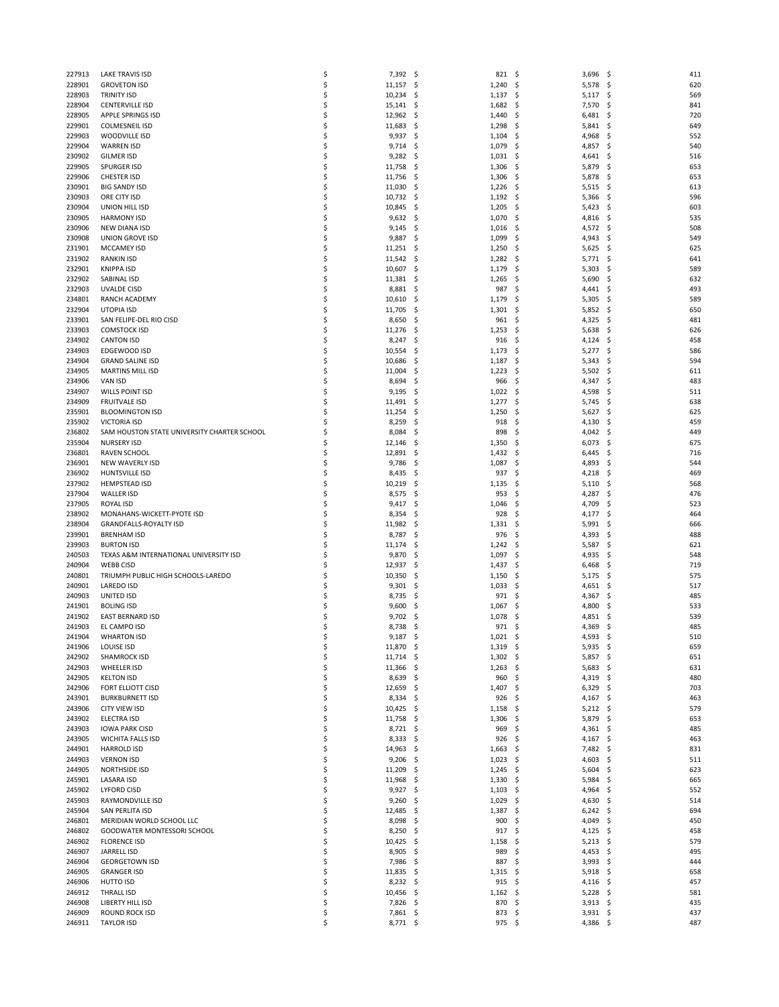|        |                                             |    |                  | 821      | \$                |            |
|--------|---------------------------------------------|----|------------------|----------|-------------------|------------|
| 227913 | <b>LAKE TRAVIS ISD</b>                      | \$ | 7,392 \$         |          | 3,696             | -\$<br>411 |
| 228901 | <b>GROVETON ISD</b>                         | \$ | 11,157<br>-\$    | 1,240    | \$<br>5,578       | \$<br>620  |
| 228903 | <b>TRINITY ISD</b>                          | \$ | 10,234<br>\$.    | 1,137    | \$<br>5,117       | -\$<br>569 |
| 228904 | <b>CENTERVILLE ISD</b>                      | \$ | 15,141<br>-\$    | 1,682    | \$<br>7,570       | \$.<br>841 |
| 228905 | APPLE SPRINGS ISD                           | \$ | $12,962 \quad $$ | 1,440    | \$<br>6,481       | \$.<br>720 |
| 229901 | <b>COLMESNEIL ISD</b>                       | \$ | 11,683<br>-\$    | 1,298    | \$<br>5,841       | \$.<br>649 |
| 229903 | WOODVILLE ISD                               | \$ | 9,937<br>\$.     | 1,104    | \$<br>4,968       | 552<br>\$. |
|        |                                             | Ś  |                  |          |                   | 540        |
| 229904 | <b>WARREN ISD</b>                           |    | 9,714<br>-\$     | 1,079    | \$<br>4,857       | \$.        |
| 230902 | <b>GILMER ISD</b>                           | \$ | 9,282<br>-\$     | 1,031    | \$<br>4,641       | \$.<br>516 |
| 229905 | <b>SPURGER ISD</b>                          | \$ | 11,758<br>\$.    | 1,306    | 5,879<br>\$       | \$.<br>653 |
| 229906 | <b>CHESTER ISD</b>                          | \$ | 11,756<br>-\$    | 1,306    | \$<br>5,878       | \$.<br>653 |
| 230901 | <b>BIG SANDY ISD</b>                        | \$ | 11,030<br>\$.    | 1,226    | \$<br>5,515       | \$.<br>613 |
| 230903 | ORE CITY ISD                                | \$ | 10,732<br>-\$    | 1,192    | \$<br>5,366       | \$.<br>596 |
| 230904 | UNION HILL ISD                              | \$ | 10,845<br>- \$   | 1,205    | \$<br>5,423       | -Ŝ<br>603  |
|        |                                             |    |                  |          |                   |            |
| 230905 | <b>HARMONY ISD</b>                          | \$ | 9,632<br>-\$     | 1,070    | \$<br>4,816       | \$.<br>535 |
| 230906 | NEW DIANA ISD                               | \$ | 9,145<br>-\$     | 1,016    | \$<br>4,572       | \$<br>508  |
| 230908 | UNION GROVE ISD                             | \$ | 9,887<br>\$.     | 1,099    | \$<br>4,943       | -\$<br>549 |
| 231901 | MCCAMEY ISD                                 | \$ | 11,251<br>\$.    | 1,250    | \$<br>5,625       | \$.<br>625 |
| 231902 | <b>RANKIN ISD</b>                           | \$ | 11,542<br>-\$    | 1,282    | \$<br>5,771       | \$.<br>641 |
| 232901 | <b>KNIPPA ISD</b>                           | \$ | 10,607<br>\$.    | 1,179    | \$<br>5,303       | \$.<br>589 |
| 232902 | SABINAL ISD                                 | \$ | 11,381<br>\$.    | 1,265    | \$<br>5,690       | \$<br>632  |
|        |                                             |    |                  |          |                   |            |
| 232903 | UVALDE CISD                                 | \$ | 8,881<br>-\$     | 987      | \$<br>4,441       | 493<br>\$. |
| 234801 | RANCH ACADEMY                               | \$ | 10,610<br>-\$    | 1,179    | \$<br>5,305       | \$.<br>589 |
| 232904 | UTOPIA ISD                                  | \$ | 11,705<br>\$.    | 1,301    | \$<br>5,852       | \$.<br>650 |
| 233901 | SAN FELIPE-DEL RIO CISD                     | \$ | 8,650<br>-\$     | 961      | \$<br>4,325       | \$.<br>481 |
| 233903 | <b>COMSTOCK ISD</b>                         | \$ | 11,276<br>\$.    | 1,253    | \$<br>5,638       | \$.<br>626 |
| 234902 | <b>CANTON ISD</b>                           | \$ | 8,247<br>\$.     | 916      | \$<br>4,124       | \$<br>458  |
| 234903 | EDGEWOOD ISD                                | \$ | 10,554<br>-\$    | 1,173    | \$<br>5,277       | \$.<br>586 |
|        |                                             | \$ |                  |          |                   | 594        |
| 234904 | <b>GRAND SALINE ISD</b>                     |    | 10,686<br>\$.    | 1,187    | \$<br>5,343       | \$.        |
| 234905 | <b>MARTINS MILL ISD</b>                     | \$ | 11,004<br>\$.    | 1,223    | \$<br>5,502       | \$<br>611  |
| 234906 | <b>VAN ISD</b>                              | \$ | 8,694<br>-\$     | 966      | \$<br>4,347       | \$.<br>483 |
| 234907 | WILLS POINT ISD                             | \$ | 9,195<br>-\$     | 1,022    | \$<br>4,598       | \$.<br>511 |
| 234909 | <b>FRUITVALE ISD</b>                        | \$ | 11,491<br>\$.    | 1,277    | \$<br>5,745       | \$.<br>638 |
| 235901 | <b>BLOOMINGTON ISD</b>                      | Ś  | 11,254<br>\$.    | 1,250    | \$<br>5,627       | \$.<br>625 |
| 235902 | <b>VICTORIA ISD</b>                         | \$ | 8,259<br>\$.     | 918      | \$<br>4,130       | \$.<br>459 |
|        | SAM HOUSTON STATE UNIVERSITY CHARTER SCHOOL |    |                  |          |                   |            |
| 236802 |                                             | \$ | 8,084<br>\$.     | 898      | \$<br>4,042       | \$.<br>449 |
| 235904 | <b>NURSERY ISD</b>                          | Ś  | 12,146<br>\$.    | 1,350    | \$<br>6,073       | 675<br>\$. |
| 236801 | RAVEN SCHOOL                                | Ś  | 12,891<br>\$.    | 1,432    | \$<br>6,445       | \$.<br>716 |
| 236901 | <b>NEW WAVERLY ISD</b>                      | \$ | 9,786<br>\$.     | 1,087    | \$<br>4,893       | \$.<br>544 |
| 236902 | HUNTSVILLE ISD                              | \$ | 8,435<br>-\$     | 937      | \$<br>4,218       | \$.<br>469 |
| 237902 | <b>HEMPSTEAD ISD</b>                        | Ś  | 10,219<br>\$.    | 1,135    | \$<br>5,110       | S<br>568   |
| 237904 | <b>WALLER ISD</b>                           | \$ | 8,575<br>-\$     | 953      | \$<br>4,287       | \$.<br>476 |
| 237905 | ROYAL ISD                                   | \$ | 9,417<br>-\$     | 1,046    | 4,709<br>\$       | \$.<br>523 |
|        |                                             |    |                  |          |                   |            |
| 238902 | MONAHANS-WICKETT-PYOTE ISD                  | Ś  | 8,354<br>\$.     | 928      | \$<br>4,177       | \$.<br>464 |
| 238904 | <b>GRANDFALLS-ROYALTY ISD</b>               | \$ | 11,982<br>\$.    | 1,331    | \$<br>5,991       | \$.<br>666 |
| 239901 | <b>BRENHAM ISD</b>                          | \$ | 8,787<br>\$.     | 976      | \$<br>4,393       | \$.<br>488 |
| 239903 | <b>BURTON ISD</b>                           | Ś  | 11,174<br>\$.    | 1,242    | \$<br>5,587       | \$.<br>621 |
| 240503 | TEXAS A&M INTERNATIONAL UNIVERSITY ISD      | \$ | 9,870<br>\$.     | 1,097    | \$<br>4,935       | \$.<br>548 |
| 240904 | <b>WEBB CISD</b>                            | Ś  | 12,937<br>\$.    | 1,437    | \$<br>6,468       | .s<br>719  |
| 240801 | TRIUMPH PUBLIC HIGH SCHOOLS-LAREDO          | Ś  | 10,350<br>\$.    | 1,150    | \$<br>5,175       | \$.<br>575 |
|        |                                             |    |                  |          |                   |            |
| 240901 | LAREDO ISD                                  | \$ | 9,301<br>\$      | 1,033    | \$<br>4,651       | \$.<br>517 |
| 240903 | UNITED ISD                                  | Ś  | 8,735<br>-\$     | 971      | \$<br>4,367       | \$<br>485  |
| 241901 | <b>BOLING ISD</b>                           | \$ | 9,600<br>-\$     | 1,067    | 4,800<br>\$,      | \$<br>533  |
| 241902 | <b>EAST BERNARD ISD</b>                     | \$ | 9,702<br>\$.     | 1,078    | \$<br>4,851       | \$<br>539  |
| 241903 | EL CAMPO ISD                                | \$ | 8,738<br>-\$     | 971      | \$<br>4,369       | S<br>485   |
| 241904 | <b>WHARTON ISD</b>                          | Ś  | 9,187<br>\$      | 1,021    | 4,593<br>\$       | 510<br>\$  |
| 241906 | LOUISE ISD                                  | \$ | 11,870<br>- \$   | 1,319    | -\$<br>$5,935$ \$ | 659        |
| 242902 | <b>SHAMROCK ISD</b>                         | \$ | 11,714<br>-\$    | 1,302    | -\$<br>$5,857$ \$ | 651        |
| 242903 | <b>WHEELER ISD</b>                          | \$ | 11,366<br>-\$    | 1,263    | \$<br>5,683       | \$.<br>631 |
|        |                                             |    |                  |          |                   |            |
| 242905 | <b>KELTON ISD</b>                           | \$ | 8,639<br>\$.     | 960      | \$<br>4,319       | \$<br>480  |
| 242906 | FORT ELLIOTT CISD                           | \$ | $12,659$ \$      | 1,407    | \$<br>6,329       | -\$<br>703 |
| 243901 | <b>BURKBURNETT ISD</b>                      | \$ | 8,334<br>-\$     | 926      | \$<br>4,167       | -\$<br>463 |
| 243906 | CITY VIEW ISD                               | \$ | 10,425<br>-\$    | 1,158    | \$<br>5,212       | 579<br>\$. |
| 243902 | ELECTRA ISD                                 | \$ | $11,758$ \$      | 1,306    | \$<br>5,879       | \$.<br>653 |
| 243903 | <b>IOWA PARK CISD</b>                       | \$ | $8,721$ \$       | 969      | \$<br>4,361       | \$<br>485  |
| 243905 | <b>WICHITA FALLS ISD</b>                    | \$ | 8,333<br>-\$     | 926      | \$<br>4,167       | \$.<br>463 |
| 244901 | <b>HARROLD ISD</b>                          | \$ | 14,963 \$        | 1,663    | \$<br>7,482       | -\$<br>831 |
|        |                                             |    |                  |          |                   |            |
| 244903 | <b>VERNON ISD</b>                           | \$ | 9,206<br>\$.     | 1,023    | \$<br>4,603       | \$<br>511  |
| 244905 | <b>NORTHSIDE ISD</b>                        | \$ | 11,209<br>-\$    | 1,245    | \$<br>5,604       | \$.<br>623 |
| 245901 | <b>LASARA ISD</b>                           | \$ | 11,968<br>-\$    | 1,330    | \$<br>5,984       | \$.<br>665 |
| 245902 | <b>LYFORD CISD</b>                          | \$ | 9,927<br>\$.     | 1,103    | \$<br>4,964       | \$<br>552  |
| 245903 | RAYMONDVILLE ISD                            | \$ | 9,260<br>-\$     | 1,029    | \$<br>4,630       | \$.<br>514 |
| 245904 | SAN PERLITA ISD                             | \$ | $12,485$ \$      | 1,387    | \$<br>6,242       | \$.<br>694 |
| 246801 | MERIDIAN WORLD SCHOOL LLC                   | \$ | 8,098<br>\$.     | 900      | \$<br>4,049       | \$<br>450  |
| 246802 | GOODWATER MONTESSORI SCHOOL                 | \$ | $8,250$ \$       | 917      | \$<br>4,125       | -\$<br>458 |
|        |                                             |    |                  |          |                   |            |
| 246902 | <b>FLORENCE ISD</b>                         | \$ | 10,425 \$        | 1,158    | \$<br>5,213       | 579<br>-\$ |
| 246907 | JARRELL ISD                                 | \$ | 8,905<br>-\$     | 989      | \$<br>4,453       | \$<br>495  |
| 246904 | <b>GEORGETOWN ISD</b>                       | \$ | 7,986 \$         | 887      | \$<br>3,993       | \$.<br>444 |
| 246905 | <b>GRANGER ISD</b>                          | \$ | 11,835<br>-\$    | 1,315    | \$<br>5,918       | 658<br>\$. |
| 246906 | HUTTO ISD                                   | \$ | 8,232<br>-\$     | 915      | \$<br>4,116       | -\$<br>457 |
| 246912 | <b>THRALL ISD</b>                           | \$ | $10,456$ \$      | 1,162    | \$<br>5,228       | -\$<br>581 |
| 246908 | LIBERTY HILL ISD                            | \$ | 7,826 \$         | 870      | \$<br>3,913       | 435<br>-\$ |
| 246909 | ROUND ROCK ISD                              | \$ | 7,861<br>-\$     | 873      | \$<br>3,931       | -\$<br>437 |
| 246911 | <b>TAYLOR ISD</b>                           | \$ | 8,771 \$         | $975$ \$ | 4,386 \$          | 487        |
|        |                                             |    |                  |          |                   |            |